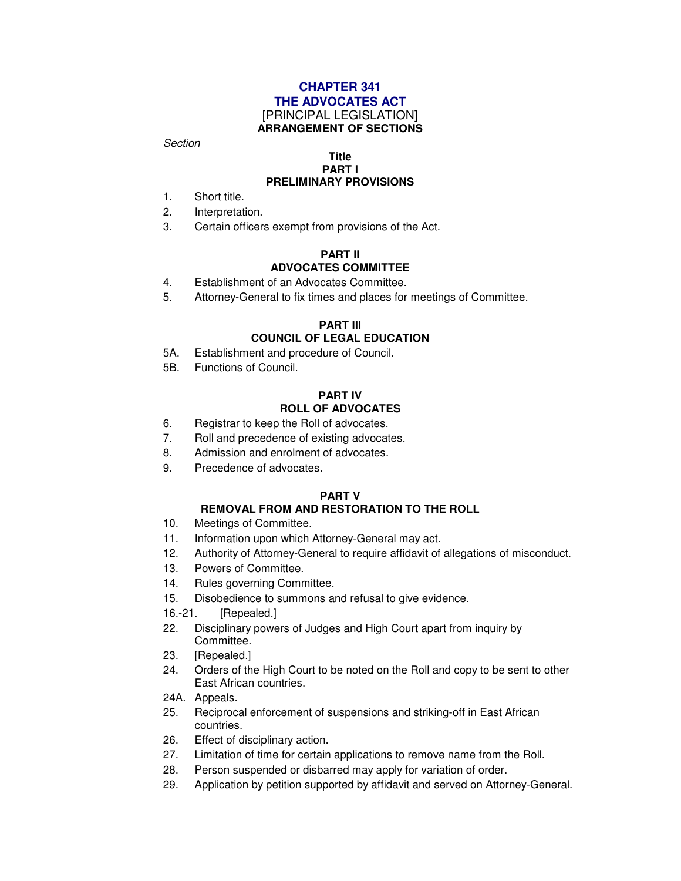### **CHAPTER 341 THE ADVOCATES ACT** [PRINCIPAL LEGISLATION] **ARRANGEMENT OF SECTIONS**

Section

#### **Title PART I PRELIMINARY PROVISIONS**

- 1. Short title.
- 2. Interpretation.
- 3. Certain officers exempt from provisions of the Act.

#### **PART II ADVOCATES COMMITTEE**

- 4. Establishment of an Advocates Committee.
- 5. Attorney-General to fix times and places for meetings of Committee.

#### **PART III COUNCIL OF LEGAL EDUCATION**

- 5A. Establishment and procedure of Council.
- 5B. Functions of Council.

#### **PART IV ROLL OF ADVOCATES**

- 6. Registrar to keep the Roll of advocates.
- 7. Roll and precedence of existing advocates.
- 8. Admission and enrolment of advocates.
- 9. Precedence of advocates.

#### **PART V**

## **REMOVAL FROM AND RESTORATION TO THE ROLL**

- 10. Meetings of Committee.
- 11. Information upon which Attorney-General may act.
- 12. Authority of Attorney-General to require affidavit of allegations of misconduct.
- 13. Powers of Committee.
- 14. Rules governing Committee.
- 15. Disobedience to summons and refusal to give evidence.
- 16.-21. [Repealed.]
- 22. Disciplinary powers of Judges and High Court apart from inquiry by Committee.
- 23. [Repealed.]
- 24. Orders of the High Court to be noted on the Roll and copy to be sent to other East African countries.
- 24A. Appeals.
- 25. Reciprocal enforcement of suspensions and striking-off in East African countries.
- 26. Effect of disciplinary action.
- 27. Limitation of time for certain applications to remove name from the Roll.
- 28. Person suspended or disbarred may apply for variation of order.
- 29. Application by petition supported by affidavit and served on Attorney-General.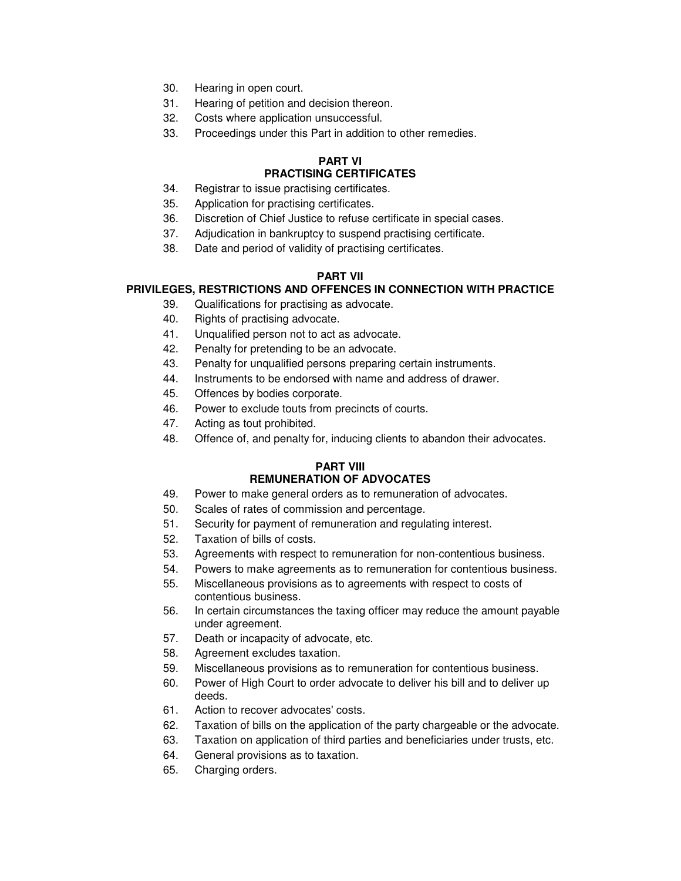- 30. Hearing in open court.
- 31. Hearing of petition and decision thereon.
- 32. Costs where application unsuccessful.
- 33. Proceedings under this Part in addition to other remedies.

#### **PART VI PRACTISING CERTIFICATES**

- 34. Registrar to issue practising certificates.
- 35. Application for practising certificates.
- 36. Discretion of Chief Justice to refuse certificate in special cases.
- 37. Adjudication in bankruptcy to suspend practising certificate.
- 38. Date and period of validity of practising certificates.

## **PART VII**

## **PRIVILEGES, RESTRICTIONS AND OFFENCES IN CONNECTION WITH PRACTICE**

- 39. Qualifications for practising as advocate.
- 40. Rights of practising advocate.
- 41. Unqualified person not to act as advocate.
- 42. Penalty for pretending to be an advocate.
- 43. Penalty for unqualified persons preparing certain instruments.
- 44. Instruments to be endorsed with name and address of drawer.
- 45. Offences by bodies corporate.
- 46. Power to exclude touts from precincts of courts.
- 47. Acting as tout prohibited.
- 48. Offence of, and penalty for, inducing clients to abandon their advocates.

#### **PART VIII REMUNERATION OF ADVOCATES**

- 49. Power to make general orders as to remuneration of advocates.
- 50. Scales of rates of commission and percentage.
- 51. Security for payment of remuneration and regulating interest.
- 52. Taxation of bills of costs.
- 53. Agreements with respect to remuneration for non-contentious business.
- 54. Powers to make agreements as to remuneration for contentious business.
- 55. Miscellaneous provisions as to agreements with respect to costs of contentious business.
- 56. In certain circumstances the taxing officer may reduce the amount payable under agreement.
- 57. Death or incapacity of advocate, etc.
- 58. Agreement excludes taxation.
- 59. Miscellaneous provisions as to remuneration for contentious business.
- 60. Power of High Court to order advocate to deliver his bill and to deliver up deeds.
- 61. Action to recover advocates' costs.
- 62. Taxation of bills on the application of the party chargeable or the advocate.
- 63. Taxation on application of third parties and beneficiaries under trusts, etc.
- 64. General provisions as to taxation.
- 65. Charging orders.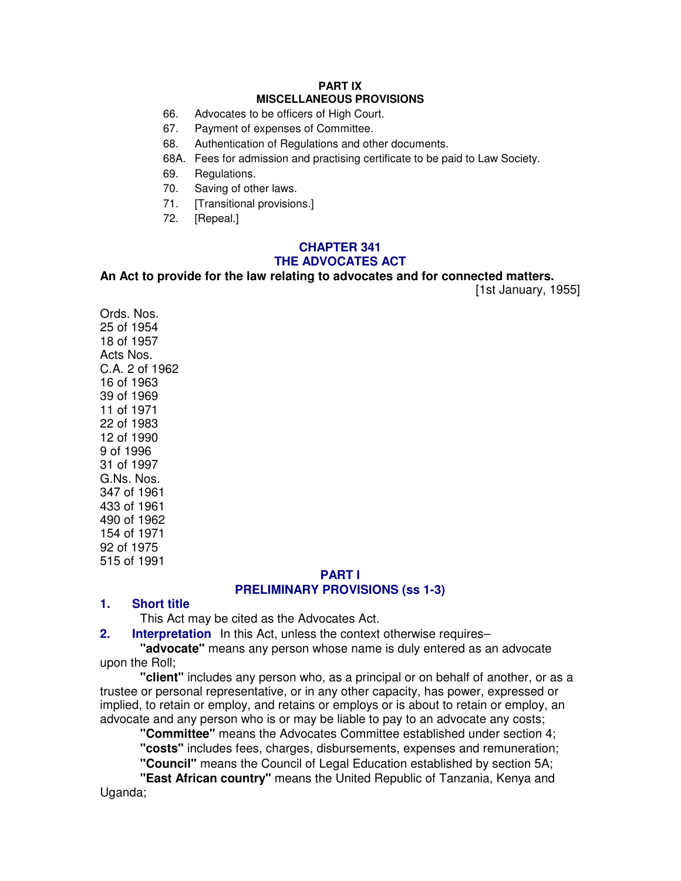#### **PART IX MISCELLANEOUS PROVISIONS**

- 66. Advocates to be officers of High Court.
- 67. Payment of expenses of Committee.
- 68. Authentication of Regulations and other documents.
- 68A. Fees for admission and practising certificate to be paid to Law Society.
- 69. Regulations.
- 70. Saving of other laws.
- 71. [Transitional provisions.]
- 72. [Repeal.]

## **CHAPTER 341 THE ADVOCATES ACT**

**An Act to provide for the law relating to advocates and for connected matters.**

[1st January, 1955]

Ords. Nos. 25 of 1954 18 of 1957 Acts Nos. C.A. 2 of 1962 16 of 1963 39 of 1969 11 of 1971 22 of 1983 12 of 1990 9 of 1996 31 of 1997 G.Ns. Nos. 347 of 1961 433 of 1961 490 of 1962 154 of 1971 92 of 1975 515 of 1991

## **PART I PRELIMINARY PROVISIONS (ss 1-3)**

#### **1. Short title**

This Act may be cited as the Advocates Act.

**2.** Interpretation In this Act, unless the context otherwise requires–

**"advocate"** means any person whose name is duly entered as an advocate upon the Roll;

**"client"** includes any person who, as a principal or on behalf of another, or as a trustee or personal representative, or in any other capacity, has power, expressed or implied, to retain or employ, and retains or employs or is about to retain or employ, an advocate and any person who is or may be liable to pay to an advocate any costs;

**"Committee"** means the Advocates Committee established under section 4; **"costs"** includes fees, charges, disbursements, expenses and remuneration; **"Council"** means the Council of Legal Education established by section 5A;

**"East African country"** means the United Republic of Tanzania, Kenya and Uganda;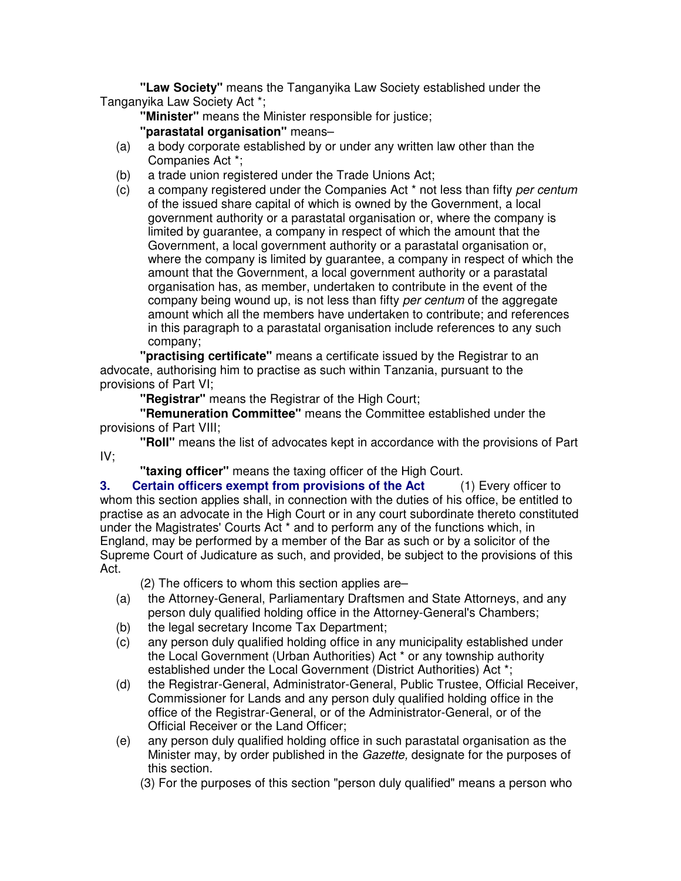**"Law Society"** means the Tanganyika Law Society established under the Tanganyika Law Society Act \*;

**"Minister"** means the Minister responsible for justice;

**"parastatal organisation"** means–

- (a) a body corporate established by or under any written law other than the Companies Act \*;
- (b) a trade union registered under the Trade Unions Act;
- (c) a company registered under the Companies Act \* not less than fifty per centum of the issued share capital of which is owned by the Government, a local government authority or a parastatal organisation or, where the company is limited by guarantee, a company in respect of which the amount that the Government, a local government authority or a parastatal organisation or, where the company is limited by guarantee, a company in respect of which the amount that the Government, a local government authority or a parastatal organisation has, as member, undertaken to contribute in the event of the company being wound up, is not less than fifty per centum of the aggregate amount which all the members have undertaken to contribute; and references in this paragraph to a parastatal organisation include references to any such company;

**"practising certificate"** means a certificate issued by the Registrar to an advocate, authorising him to practise as such within Tanzania, pursuant to the provisions of Part VI;

**"Registrar"** means the Registrar of the High Court;

**"Remuneration Committee"** means the Committee established under the provisions of Part VIII;

**"Roll"** means the list of advocates kept in accordance with the provisions of Part IV;

**"taxing officer"** means the taxing officer of the High Court.

**3. Certain officers exempt from provisions of the Act** (1) Every officer to whom this section applies shall, in connection with the duties of his office, be entitled to practise as an advocate in the High Court or in any court subordinate thereto constituted under the Magistrates' Courts Act \* and to perform any of the functions which, in England, may be performed by a member of the Bar as such or by a solicitor of the Supreme Court of Judicature as such, and provided, be subject to the provisions of this Act.

(2) The officers to whom this section applies are–

- (a) the Attorney-General, Parliamentary Draftsmen and State Attorneys, and any person duly qualified holding office in the Attorney-General's Chambers;
- (b) the legal secretary Income Tax Department;
- (c) any person duly qualified holding office in any municipality established under the Local Government (Urban Authorities) Act \* or any township authority established under the Local Government (District Authorities) Act \*;
- (d) the Registrar-General, Administrator-General, Public Trustee, Official Receiver, Commissioner for Lands and any person duly qualified holding office in the office of the Registrar-General, or of the Administrator-General, or of the Official Receiver or the Land Officer;
- (e) any person duly qualified holding office in such parastatal organisation as the Minister may, by order published in the Gazette, designate for the purposes of this section.

(3) For the purposes of this section "person duly qualified" means a person who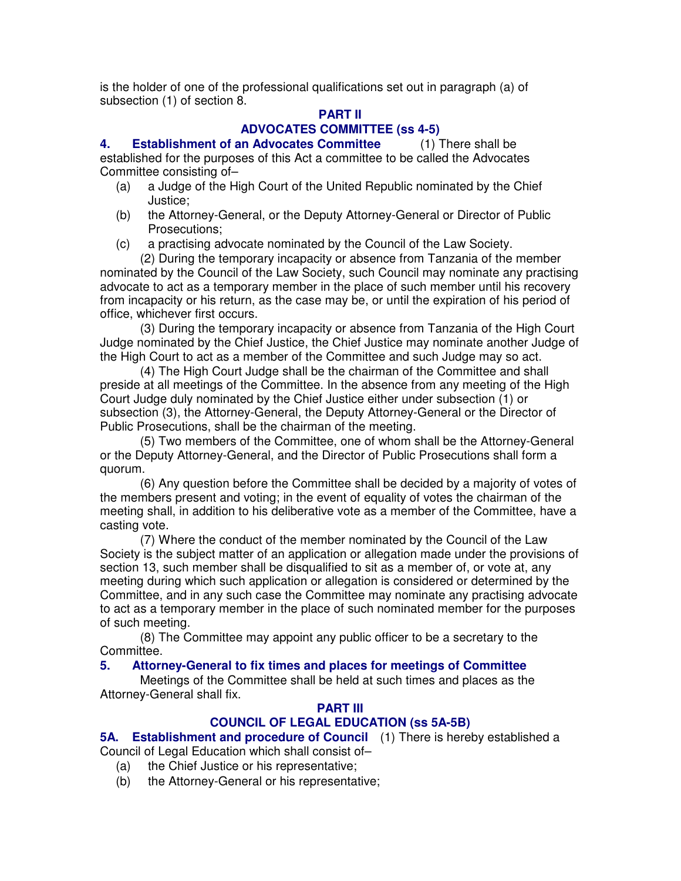is the holder of one of the professional qualifications set out in paragraph (a) of subsection (1) of section 8.

# **PART II**

# **ADVOCATES COMMITTEE (ss 4-5)**

**4. Establishment of an Advocates Committee** (1) There shall be established for the purposes of this Act a committee to be called the Advocates Committee consisting of–

- (a) a Judge of the High Court of the United Republic nominated by the Chief Justice;
- (b) the Attorney-General, or the Deputy Attorney-General or Director of Public Prosecutions;
- (c) a practising advocate nominated by the Council of the Law Society.

(2) During the temporary incapacity or absence from Tanzania of the member nominated by the Council of the Law Society, such Council may nominate any practising advocate to act as a temporary member in the place of such member until his recovery from incapacity or his return, as the case may be, or until the expiration of his period of office, whichever first occurs.

(3) During the temporary incapacity or absence from Tanzania of the High Court Judge nominated by the Chief Justice, the Chief Justice may nominate another Judge of the High Court to act as a member of the Committee and such Judge may so act.

(4) The High Court Judge shall be the chairman of the Committee and shall preside at all meetings of the Committee. In the absence from any meeting of the High Court Judge duly nominated by the Chief Justice either under subsection (1) or subsection (3), the Attorney-General, the Deputy Attorney-General or the Director of Public Prosecutions, shall be the chairman of the meeting.

(5) Two members of the Committee, one of whom shall be the Attorney-General or the Deputy Attorney-General, and the Director of Public Prosecutions shall form a quorum.

(6) Any question before the Committee shall be decided by a majority of votes of the members present and voting; in the event of equality of votes the chairman of the meeting shall, in addition to his deliberative vote as a member of the Committee, have a casting vote.

(7) Where the conduct of the member nominated by the Council of the Law Society is the subject matter of an application or allegation made under the provisions of section 13, such member shall be disqualified to sit as a member of, or vote at, any meeting during which such application or allegation is considered or determined by the Committee, and in any such case the Committee may nominate any practising advocate to act as a temporary member in the place of such nominated member for the purposes of such meeting.

(8) The Committee may appoint any public officer to be a secretary to the Committee.

## **5. Attorney-General to fix times and places for meetings of Committee**

Meetings of the Committee shall be held at such times and places as the Attorney-General shall fix.

## **PART III**

# **COUNCIL OF LEGAL EDUCATION (ss 5A-5B)**

**5A. Establishment and procedure of Council** (1) There is hereby established a Council of Legal Education which shall consist of–

- (a) the Chief Justice or his representative;
- (b) the Attorney-General or his representative;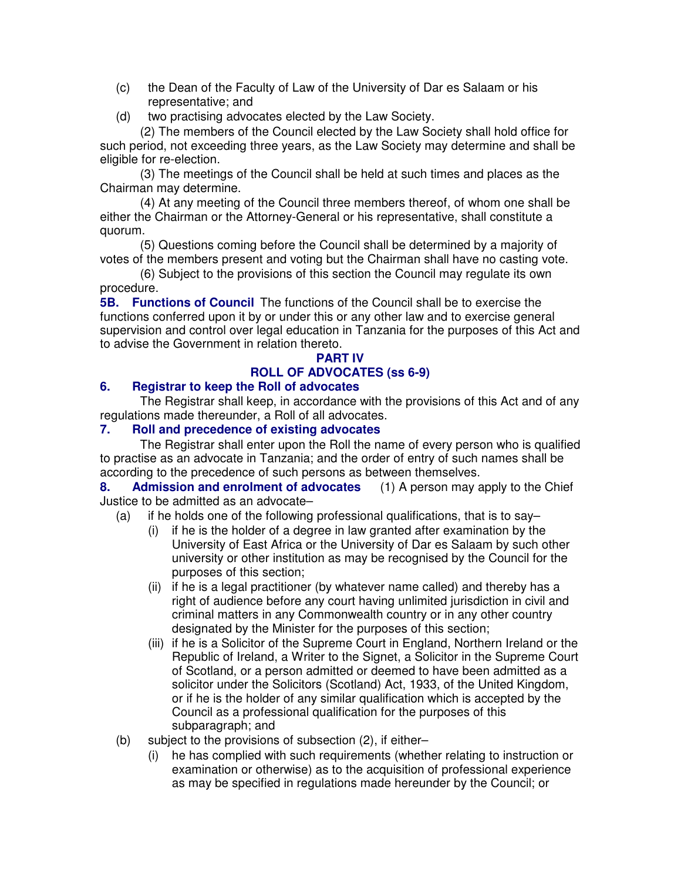- (c) the Dean of the Faculty of Law of the University of Dar es Salaam or his representative; and
- (d) two practising advocates elected by the Law Society.

(2) The members of the Council elected by the Law Society shall hold office for such period, not exceeding three years, as the Law Society may determine and shall be eligible for re-election.

(3) The meetings of the Council shall be held at such times and places as the Chairman may determine.

(4) At any meeting of the Council three members thereof, of whom one shall be either the Chairman or the Attorney-General or his representative, shall constitute a quorum.

(5) Questions coming before the Council shall be determined by a majority of votes of the members present and voting but the Chairman shall have no casting vote.

(6) Subject to the provisions of this section the Council may regulate its own procedure.

**5B. Functions of Council** The functions of the Council shall be to exercise the functions conferred upon it by or under this or any other law and to exercise general supervision and control over legal education in Tanzania for the purposes of this Act and to advise the Government in relation thereto.

## **PART IV ROLL OF ADVOCATES (ss 6-9)**

## **6. Registrar to keep the Roll of advocates**

The Registrar shall keep, in accordance with the provisions of this Act and of any regulations made thereunder, a Roll of all advocates.

## **7. Roll and precedence of existing advocates**

The Registrar shall enter upon the Roll the name of every person who is qualified to practise as an advocate in Tanzania; and the order of entry of such names shall be according to the precedence of such persons as between themselves.

**8. Admission and enrolment of advocates** (1) A person may apply to the Chief Justice to be admitted as an advocate–

- (a) if he holds one of the following professional qualifications, that is to say–
	- (i) if he is the holder of a degree in law granted after examination by the University of East Africa or the University of Dar es Salaam by such other university or other institution as may be recognised by the Council for the purposes of this section;
	- (ii) if he is a legal practitioner (by whatever name called) and thereby has a right of audience before any court having unlimited jurisdiction in civil and criminal matters in any Commonwealth country or in any other country designated by the Minister for the purposes of this section;
	- (iii) if he is a Solicitor of the Supreme Court in England, Northern Ireland or the Republic of Ireland, a Writer to the Signet, a Solicitor in the Supreme Court of Scotland, or a person admitted or deemed to have been admitted as a solicitor under the Solicitors (Scotland) Act, 1933, of the United Kingdom, or if he is the holder of any similar qualification which is accepted by the Council as a professional qualification for the purposes of this subparagraph; and
- (b) subject to the provisions of subsection (2), if either–
	- (i) he has complied with such requirements (whether relating to instruction or examination or otherwise) as to the acquisition of professional experience as may be specified in regulations made hereunder by the Council; or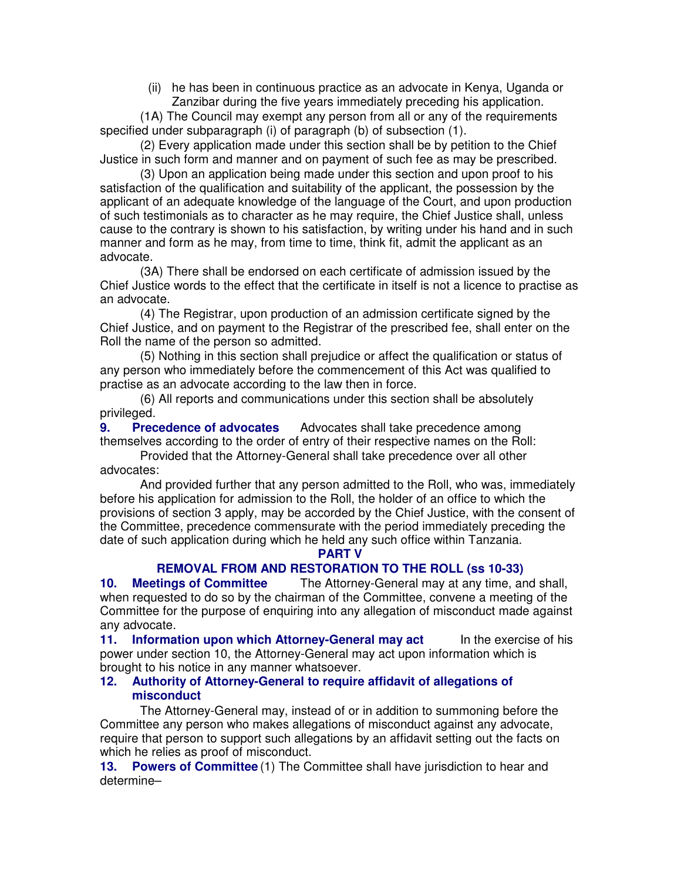(ii) he has been in continuous practice as an advocate in Kenya, Uganda or Zanzibar during the five years immediately preceding his application.

(1A) The Council may exempt any person from all or any of the requirements specified under subparagraph (i) of paragraph (b) of subsection (1).

(2) Every application made under this section shall be by petition to the Chief Justice in such form and manner and on payment of such fee as may be prescribed.

(3) Upon an application being made under this section and upon proof to his satisfaction of the qualification and suitability of the applicant, the possession by the applicant of an adequate knowledge of the language of the Court, and upon production of such testimonials as to character as he may require, the Chief Justice shall, unless cause to the contrary is shown to his satisfaction, by writing under his hand and in such manner and form as he may, from time to time, think fit, admit the applicant as an advocate.

(3A) There shall be endorsed on each certificate of admission issued by the Chief Justice words to the effect that the certificate in itself is not a licence to practise as an advocate.

(4) The Registrar, upon production of an admission certificate signed by the Chief Justice, and on payment to the Registrar of the prescribed fee, shall enter on the Roll the name of the person so admitted.

(5) Nothing in this section shall prejudice or affect the qualification or status of any person who immediately before the commencement of this Act was qualified to practise as an advocate according to the law then in force.

(6) All reports and communications under this section shall be absolutely privileged.

**9. Precedence of advocates** Advocates shall take precedence among themselves according to the order of entry of their respective names on the Roll:

Provided that the Attorney-General shall take precedence over all other advocates:

And provided further that any person admitted to the Roll, who was, immediately before his application for admission to the Roll, the holder of an office to which the provisions of section 3 apply, may be accorded by the Chief Justice, with the consent of the Committee, precedence commensurate with the period immediately preceding the date of such application during which he held any such office within Tanzania.

## **PART V**

## **REMOVAL FROM AND RESTORATION TO THE ROLL (ss 10-33)**

**10. Meetings of Committee** The Attorney-General may at any time, and shall, when requested to do so by the chairman of the Committee, convene a meeting of the Committee for the purpose of enquiring into any allegation of misconduct made against any advocate.

**11. Information upon which Attorney-General may act** In the exercise of his power under section 10, the Attorney-General may act upon information which is brought to his notice in any manner whatsoever.

#### **12. Authority of Attorney-General to require affidavit of allegations of misconduct**

The Attorney-General may, instead of or in addition to summoning before the Committee any person who makes allegations of misconduct against any advocate, require that person to support such allegations by an affidavit setting out the facts on which he relies as proof of misconduct.

**13. Powers of Committee** (1) The Committee shall have jurisdiction to hear and determine–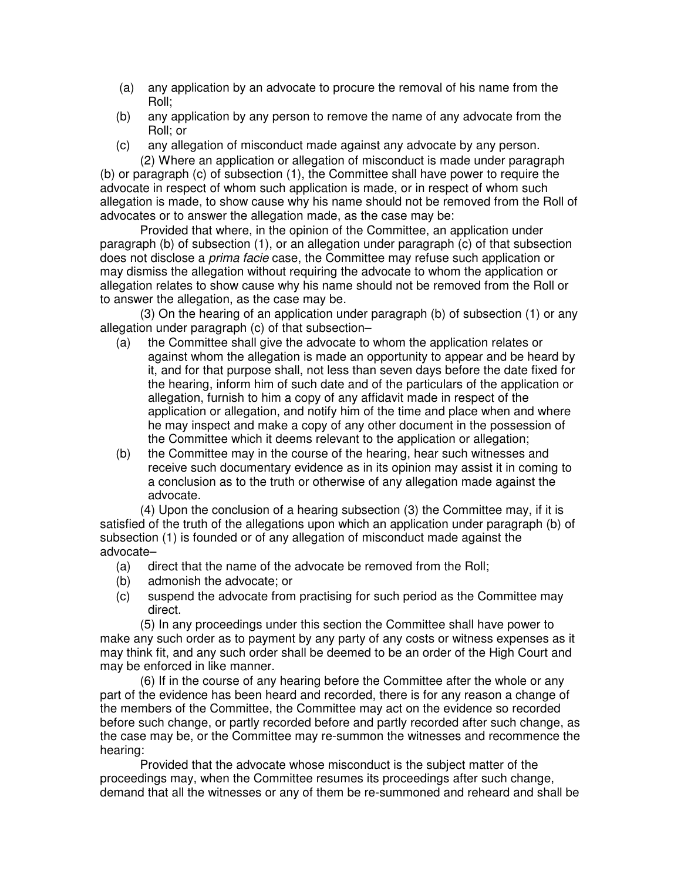- (a) any application by an advocate to procure the removal of his name from the Roll;
- (b) any application by any person to remove the name of any advocate from the Roll; or
- (c) any allegation of misconduct made against any advocate by any person. (2) Where an application or allegation of misconduct is made under paragraph

(b) or paragraph (c) of subsection (1), the Committee shall have power to require the advocate in respect of whom such application is made, or in respect of whom such allegation is made, to show cause why his name should not be removed from the Roll of advocates or to answer the allegation made, as the case may be:

Provided that where, in the opinion of the Committee, an application under paragraph (b) of subsection (1), or an allegation under paragraph (c) of that subsection does not disclose a prima facie case, the Committee may refuse such application or may dismiss the allegation without requiring the advocate to whom the application or allegation relates to show cause why his name should not be removed from the Roll or to answer the allegation, as the case may be.

(3) On the hearing of an application under paragraph (b) of subsection (1) or any allegation under paragraph (c) of that subsection–

- (a) the Committee shall give the advocate to whom the application relates or against whom the allegation is made an opportunity to appear and be heard by it, and for that purpose shall, not less than seven days before the date fixed for the hearing, inform him of such date and of the particulars of the application or allegation, furnish to him a copy of any affidavit made in respect of the application or allegation, and notify him of the time and place when and where he may inspect and make a copy of any other document in the possession of the Committee which it deems relevant to the application or allegation;
- (b) the Committee may in the course of the hearing, hear such witnesses and receive such documentary evidence as in its opinion may assist it in coming to a conclusion as to the truth or otherwise of any allegation made against the advocate.

(4) Upon the conclusion of a hearing subsection (3) the Committee may, if it is satisfied of the truth of the allegations upon which an application under paragraph (b) of subsection (1) is founded or of any allegation of misconduct made against the advocate–

- (a) direct that the name of the advocate be removed from the Roll;
- (b) admonish the advocate; or
- (c) suspend the advocate from practising for such period as the Committee may direct.

(5) In any proceedings under this section the Committee shall have power to make any such order as to payment by any party of any costs or witness expenses as it may think fit, and any such order shall be deemed to be an order of the High Court and may be enforced in like manner.

(6) If in the course of any hearing before the Committee after the whole or any part of the evidence has been heard and recorded, there is for any reason a change of the members of the Committee, the Committee may act on the evidence so recorded before such change, or partly recorded before and partly recorded after such change, as the case may be, or the Committee may re-summon the witnesses and recommence the hearing:

Provided that the advocate whose misconduct is the subject matter of the proceedings may, when the Committee resumes its proceedings after such change, demand that all the witnesses or any of them be re-summoned and reheard and shall be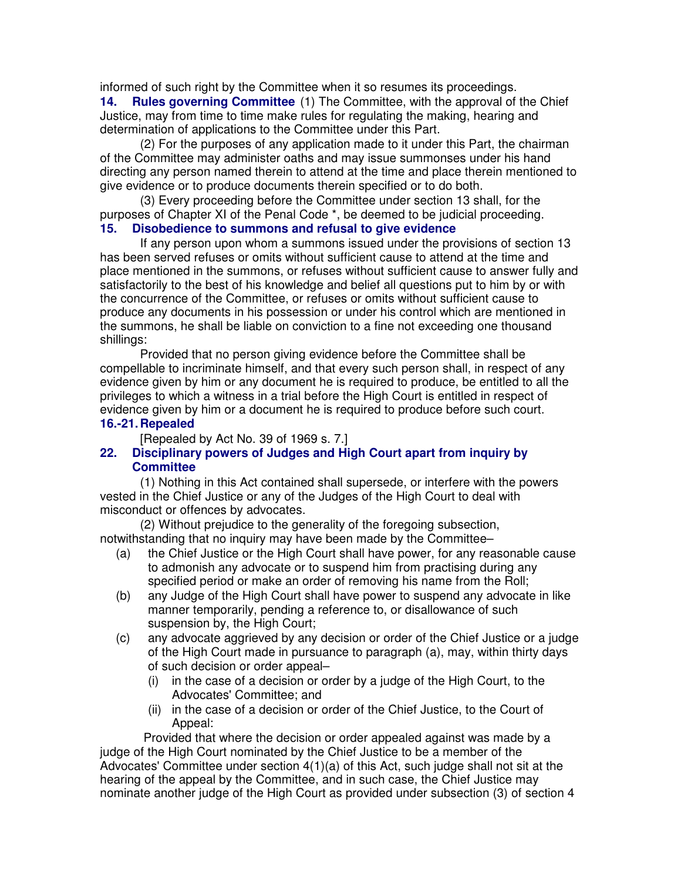informed of such right by the Committee when it so resumes its proceedings.

**14. Rules governing Committee** (1) The Committee, with the approval of the Chief Justice, may from time to time make rules for regulating the making, hearing and determination of applications to the Committee under this Part.

(2) For the purposes of any application made to it under this Part, the chairman of the Committee may administer oaths and may issue summonses under his hand directing any person named therein to attend at the time and place therein mentioned to give evidence or to produce documents therein specified or to do both.

(3) Every proceeding before the Committee under section 13 shall, for the purposes of Chapter XI of the Penal Code \*, be deemed to be judicial proceeding.

## **15. Disobedience to summons and refusal to give evidence**

If any person upon whom a summons issued under the provisions of section 13 has been served refuses or omits without sufficient cause to attend at the time and place mentioned in the summons, or refuses without sufficient cause to answer fully and satisfactorily to the best of his knowledge and belief all questions put to him by or with the concurrence of the Committee, or refuses or omits without sufficient cause to produce any documents in his possession or under his control which are mentioned in the summons, he shall be liable on conviction to a fine not exceeding one thousand shillings:

Provided that no person giving evidence before the Committee shall be compellable to incriminate himself, and that every such person shall, in respect of any evidence given by him or any document he is required to produce, be entitled to all the privileges to which a witness in a trial before the High Court is entitled in respect of evidence given by him or a document he is required to produce before such court.

## **16.-21. Repealed**

[Repealed by Act No. 39 of 1969 s. 7.]

## **22. Disciplinary powers of Judges and High Court apart from inquiry by Committee**

(1) Nothing in this Act contained shall supersede, or interfere with the powers vested in the Chief Justice or any of the Judges of the High Court to deal with misconduct or offences by advocates.

(2) Without prejudice to the generality of the foregoing subsection, notwithstanding that no inquiry may have been made by the Committee–

- (a) the Chief Justice or the High Court shall have power, for any reasonable cause to admonish any advocate or to suspend him from practising during any specified period or make an order of removing his name from the Roll;
- (b) any Judge of the High Court shall have power to suspend any advocate in like manner temporarily, pending a reference to, or disallowance of such suspension by, the High Court;
- (c) any advocate aggrieved by any decision or order of the Chief Justice or a judge of the High Court made in pursuance to paragraph (a), may, within thirty days of such decision or order appeal–
	- (i) in the case of a decision or order by a judge of the High Court, to the Advocates' Committee; and
	- (ii) in the case of a decision or order of the Chief Justice, to the Court of Appeal:

 Provided that where the decision or order appealed against was made by a judge of the High Court nominated by the Chief Justice to be a member of the Advocates' Committee under section  $4(1)(a)$  of this Act, such judge shall not sit at the hearing of the appeal by the Committee, and in such case, the Chief Justice may nominate another judge of the High Court as provided under subsection (3) of section 4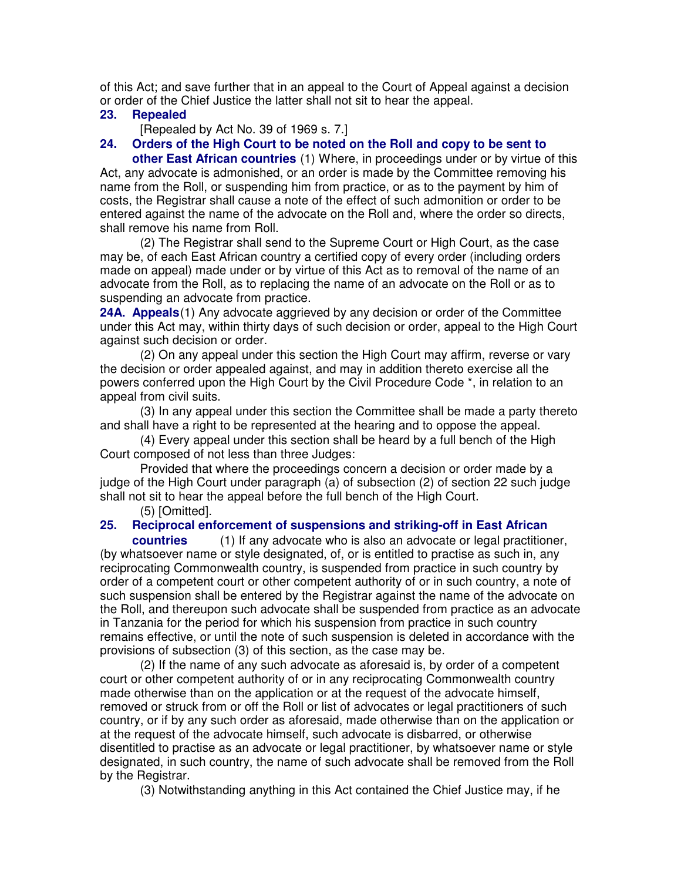of this Act; and save further that in an appeal to the Court of Appeal against a decision or order of the Chief Justice the latter shall not sit to hear the appeal.

## **23. Repealed**

[Repealed by Act No. 39 of 1969 s. 7.]

## **24. Orders of the High Court to be noted on the Roll and copy to be sent to**

**other East African countries** (1) Where, in proceedings under or by virtue of this Act, any advocate is admonished, or an order is made by the Committee removing his name from the Roll, or suspending him from practice, or as to the payment by him of costs, the Registrar shall cause a note of the effect of such admonition or order to be entered against the name of the advocate on the Roll and, where the order so directs, shall remove his name from Roll.

(2) The Registrar shall send to the Supreme Court or High Court, as the case may be, of each East African country a certified copy of every order (including orders made on appeal) made under or by virtue of this Act as to removal of the name of an advocate from the Roll, as to replacing the name of an advocate on the Roll or as to suspending an advocate from practice.

**24A. Appeals**(1) Any advocate aggrieved by any decision or order of the Committee under this Act may, within thirty days of such decision or order, appeal to the High Court against such decision or order.

(2) On any appeal under this section the High Court may affirm, reverse or vary the decision or order appealed against, and may in addition thereto exercise all the powers conferred upon the High Court by the Civil Procedure Code \*, in relation to an appeal from civil suits.

(3) In any appeal under this section the Committee shall be made a party thereto and shall have a right to be represented at the hearing and to oppose the appeal.

(4) Every appeal under this section shall be heard by a full bench of the High Court composed of not less than three Judges:

Provided that where the proceedings concern a decision or order made by a judge of the High Court under paragraph (a) of subsection (2) of section 22 such judge shall not sit to hear the appeal before the full bench of the High Court.

(5) [Omitted].

## **25. Reciprocal enforcement of suspensions and striking-off in East African**

**countries** (1) If any advocate who is also an advocate or legal practitioner, (by whatsoever name or style designated, of, or is entitled to practise as such in, any reciprocating Commonwealth country, is suspended from practice in such country by order of a competent court or other competent authority of or in such country, a note of such suspension shall be entered by the Registrar against the name of the advocate on the Roll, and thereupon such advocate shall be suspended from practice as an advocate in Tanzania for the period for which his suspension from practice in such country remains effective, or until the note of such suspension is deleted in accordance with the provisions of subsection (3) of this section, as the case may be.

(2) If the name of any such advocate as aforesaid is, by order of a competent court or other competent authority of or in any reciprocating Commonwealth country made otherwise than on the application or at the request of the advocate himself, removed or struck from or off the Roll or list of advocates or legal practitioners of such country, or if by any such order as aforesaid, made otherwise than on the application or at the request of the advocate himself, such advocate is disbarred, or otherwise disentitled to practise as an advocate or legal practitioner, by whatsoever name or style designated, in such country, the name of such advocate shall be removed from the Roll by the Registrar.

(3) Notwithstanding anything in this Act contained the Chief Justice may, if he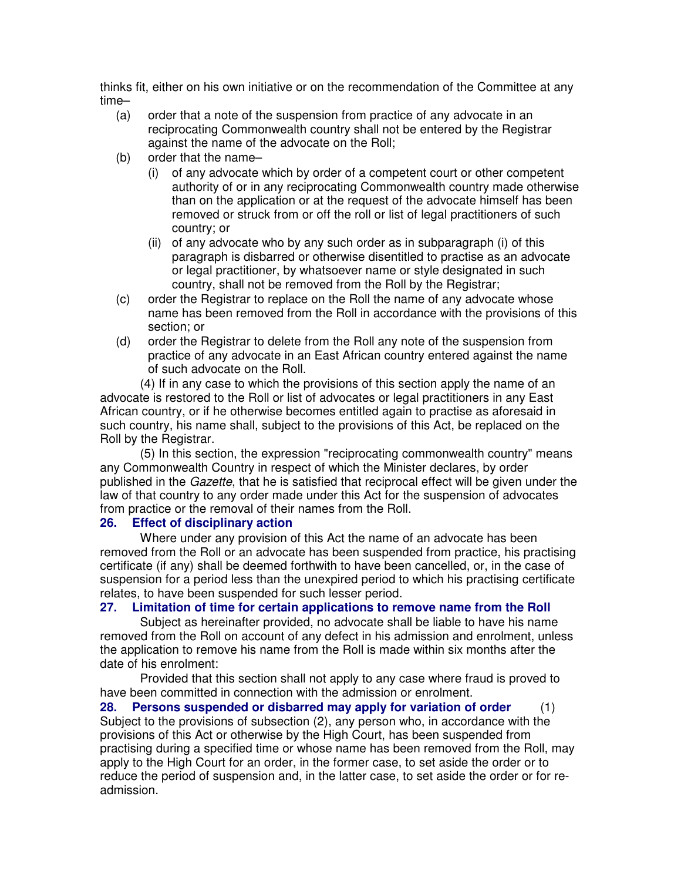thinks fit, either on his own initiative or on the recommendation of the Committee at any time–

- (a) order that a note of the suspension from practice of any advocate in an reciprocating Commonwealth country shall not be entered by the Registrar against the name of the advocate on the Roll;
- (b) order that the name–
	- (i) of any advocate which by order of a competent court or other competent authority of or in any reciprocating Commonwealth country made otherwise than on the application or at the request of the advocate himself has been removed or struck from or off the roll or list of legal practitioners of such country; or
	- (ii) of any advocate who by any such order as in subparagraph (i) of this paragraph is disbarred or otherwise disentitled to practise as an advocate or legal practitioner, by whatsoever name or style designated in such country, shall not be removed from the Roll by the Registrar;
- (c) order the Registrar to replace on the Roll the name of any advocate whose name has been removed from the Roll in accordance with the provisions of this section; or
- (d) order the Registrar to delete from the Roll any note of the suspension from practice of any advocate in an East African country entered against the name of such advocate on the Roll.

(4) If in any case to which the provisions of this section apply the name of an advocate is restored to the Roll or list of advocates or legal practitioners in any East African country, or if he otherwise becomes entitled again to practise as aforesaid in such country, his name shall, subject to the provisions of this Act, be replaced on the Roll by the Registrar.

(5) In this section, the expression "reciprocating commonwealth country" means any Commonwealth Country in respect of which the Minister declares, by order published in the Gazette, that he is satisfied that reciprocal effect will be given under the law of that country to any order made under this Act for the suspension of advocates from practice or the removal of their names from the Roll.

#### **26. Effect of disciplinary action**

Where under any provision of this Act the name of an advocate has been removed from the Roll or an advocate has been suspended from practice, his practising certificate (if any) shall be deemed forthwith to have been cancelled, or, in the case of suspension for a period less than the unexpired period to which his practising certificate relates, to have been suspended for such lesser period.

## **27. Limitation of time for certain applications to remove name from the Roll**

Subject as hereinafter provided, no advocate shall be liable to have his name removed from the Roll on account of any defect in his admission and enrolment, unless the application to remove his name from the Roll is made within six months after the date of his enrolment:

Provided that this section shall not apply to any case where fraud is proved to have been committed in connection with the admission or enrolment.

**28. Persons suspended or disbarred may apply for variation of order** (1) Subject to the provisions of subsection (2), any person who, in accordance with the provisions of this Act or otherwise by the High Court, has been suspended from practising during a specified time or whose name has been removed from the Roll, may apply to the High Court for an order, in the former case, to set aside the order or to reduce the period of suspension and, in the latter case, to set aside the order or for readmission.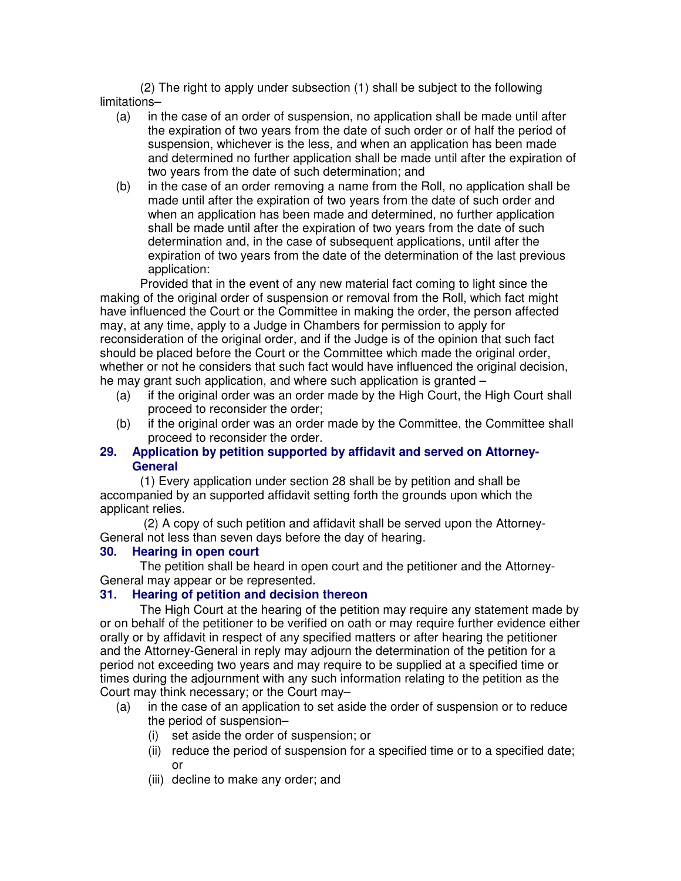(2) The right to apply under subsection (1) shall be subject to the following limitations–

- (a) in the case of an order of suspension, no application shall be made until after the expiration of two years from the date of such order or of half the period of suspension, whichever is the less, and when an application has been made and determined no further application shall be made until after the expiration of two years from the date of such determination; and
- (b) in the case of an order removing a name from the Roll, no application shall be made until after the expiration of two years from the date of such order and when an application has been made and determined, no further application shall be made until after the expiration of two years from the date of such determination and, in the case of subsequent applications, until after the expiration of two years from the date of the determination of the last previous application:

Provided that in the event of any new material fact coming to light since the making of the original order of suspension or removal from the Roll, which fact might have influenced the Court or the Committee in making the order, the person affected may, at any time, apply to a Judge in Chambers for permission to apply for reconsideration of the original order, and if the Judge is of the opinion that such fact should be placed before the Court or the Committee which made the original order, whether or not he considers that such fact would have influenced the original decision, he may grant such application, and where such application is granted –

- (a) if the original order was an order made by the High Court, the High Court shall proceed to reconsider the order;
- (b) if the original order was an order made by the Committee, the Committee shall proceed to reconsider the order.

## **29. Application by petition supported by affidavit and served on Attorney-General**

(1) Every application under section 28 shall be by petition and shall be accompanied by an supported affidavit setting forth the grounds upon which the applicant relies.

 (2) A copy of such petition and affidavit shall be served upon the Attorney-General not less than seven days before the day of hearing.

## **30. Hearing in open court**

The petition shall be heard in open court and the petitioner and the Attorney-General may appear or be represented.

## **31. Hearing of petition and decision thereon**

The High Court at the hearing of the petition may require any statement made by or on behalf of the petitioner to be verified on oath or may require further evidence either orally or by affidavit in respect of any specified matters or after hearing the petitioner and the Attorney-General in reply may adjourn the determination of the petition for a period not exceeding two years and may require to be supplied at a specified time or times during the adjournment with any such information relating to the petition as the Court may think necessary; or the Court may–

- (a) in the case of an application to set aside the order of suspension or to reduce the period of suspension–
	- (i) set aside the order of suspension; or
	- (ii) reduce the period of suspension for a specified time or to a specified date; or
	- (iii) decline to make any order; and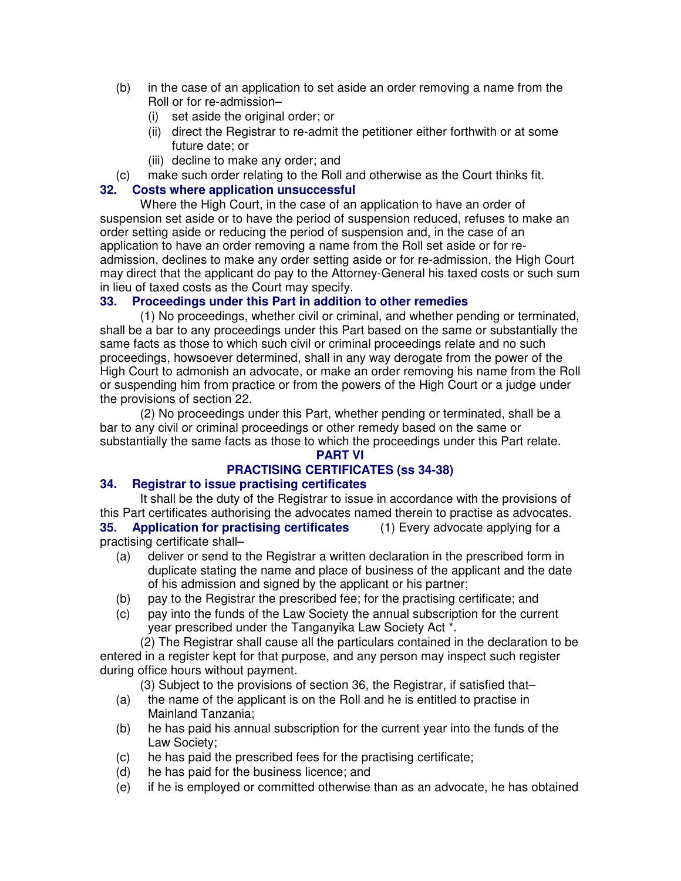- (b) in the case of an application to set aside an order removing a name from the Roll or for re-admission–
	- (i) set aside the original order; or
	- (ii) direct the Registrar to re-admit the petitioner either forthwith or at some future date; or
	- (iii) decline to make any order; and
- (c) make such order relating to the Roll and otherwise as the Court thinks fit.

## **32. Costs where application unsuccessful**

Where the High Court, in the case of an application to have an order of suspension set aside or to have the period of suspension reduced, refuses to make an order setting aside or reducing the period of suspension and, in the case of an application to have an order removing a name from the Roll set aside or for readmission, declines to make any order setting aside or for re-admission, the High Court may direct that the applicant do pay to the Attorney-General his taxed costs or such sum in lieu of taxed costs as the Court may specify.

## **33. Proceedings under this Part in addition to other remedies**

(1) No proceedings, whether civil or criminal, and whether pending or terminated, shall be a bar to any proceedings under this Part based on the same or substantially the same facts as those to which such civil or criminal proceedings relate and no such proceedings, howsoever determined, shall in any way derogate from the power of the High Court to admonish an advocate, or make an order removing his name from the Roll or suspending him from practice or from the powers of the High Court or a judge under the provisions of section 22.

(2) No proceedings under this Part, whether pending or terminated, shall be a bar to any civil or criminal proceedings or other remedy based on the same or substantially the same facts as those to which the proceedings under this Part relate.

#### **PART VI**

## **PRACTISING CERTIFICATES (ss 34-38)**

## **34. Registrar to issue practising certificates**

It shall be the duty of the Registrar to issue in accordance with the provisions of this Part certificates authorising the advocates named therein to practise as advocates. **35. Application for practising certificates** (1) Every advocate applying for a practising certificate shall–

- (a) deliver or send to the Registrar a written declaration in the prescribed form in duplicate stating the name and place of business of the applicant and the date of his admission and signed by the applicant or his partner;
- (b) pay to the Registrar the prescribed fee; for the practising certificate; and
- (c) pay into the funds of the Law Society the annual subscription for the current year prescribed under the Tanganyika Law Society Act \*.

(2) The Registrar shall cause all the particulars contained in the declaration to be entered in a register kept for that purpose, and any person may inspect such register during office hours without payment.

(3) Subject to the provisions of section 36, the Registrar, if satisfied that–

- (a) the name of the applicant is on the Roll and he is entitled to practise in Mainland Tanzania;
- (b) he has paid his annual subscription for the current year into the funds of the Law Society;
- (c) he has paid the prescribed fees for the practising certificate;
- (d) he has paid for the business licence; and
- (e) if he is employed or committed otherwise than as an advocate, he has obtained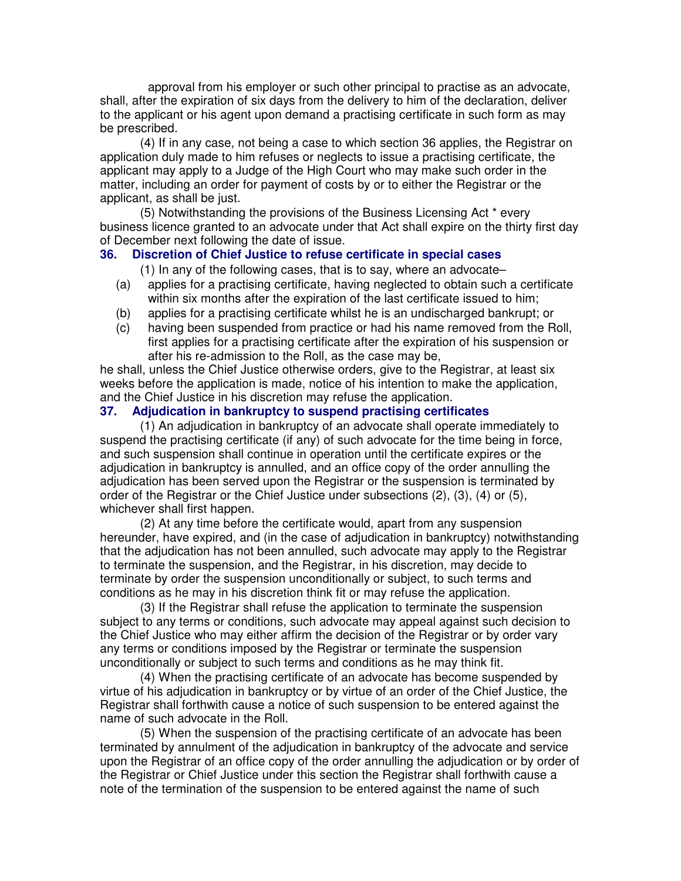approval from his employer or such other principal to practise as an advocate, shall, after the expiration of six days from the delivery to him of the declaration, deliver to the applicant or his agent upon demand a practising certificate in such form as may be prescribed.

(4) If in any case, not being a case to which section 36 applies, the Registrar on application duly made to him refuses or neglects to issue a practising certificate, the applicant may apply to a Judge of the High Court who may make such order in the matter, including an order for payment of costs by or to either the Registrar or the applicant, as shall be just.

(5) Notwithstanding the provisions of the Business Licensing Act \* every business licence granted to an advocate under that Act shall expire on the thirty first day of December next following the date of issue.

#### **36. Discretion of Chief Justice to refuse certificate in special cases**

(1) In any of the following cases, that is to say, where an advocate–

- (a) applies for a practising certificate, having neglected to obtain such a certificate within six months after the expiration of the last certificate issued to him;
- (b) applies for a practising certificate whilst he is an undischarged bankrupt; or
- (c) having been suspended from practice or had his name removed from the Roll, first applies for a practising certificate after the expiration of his suspension or after his re-admission to the Roll, as the case may be,

he shall, unless the Chief Justice otherwise orders, give to the Registrar, at least six weeks before the application is made, notice of his intention to make the application, and the Chief Justice in his discretion may refuse the application.

## **37. Adjudication in bankruptcy to suspend practising certificates**

(1) An adjudication in bankruptcy of an advocate shall operate immediately to suspend the practising certificate (if any) of such advocate for the time being in force, and such suspension shall continue in operation until the certificate expires or the adjudication in bankruptcy is annulled, and an office copy of the order annulling the adjudication has been served upon the Registrar or the suspension is terminated by order of the Registrar or the Chief Justice under subsections (2), (3), (4) or (5), whichever shall first happen.

(2) At any time before the certificate would, apart from any suspension hereunder, have expired, and (in the case of adjudication in bankruptcy) notwithstanding that the adjudication has not been annulled, such advocate may apply to the Registrar to terminate the suspension, and the Registrar, in his discretion, may decide to terminate by order the suspension unconditionally or subject, to such terms and conditions as he may in his discretion think fit or may refuse the application.

(3) If the Registrar shall refuse the application to terminate the suspension subject to any terms or conditions, such advocate may appeal against such decision to the Chief Justice who may either affirm the decision of the Registrar or by order vary any terms or conditions imposed by the Registrar or terminate the suspension unconditionally or subject to such terms and conditions as he may think fit.

(4) When the practising certificate of an advocate has become suspended by virtue of his adjudication in bankruptcy or by virtue of an order of the Chief Justice, the Registrar shall forthwith cause a notice of such suspension to be entered against the name of such advocate in the Roll.

(5) When the suspension of the practising certificate of an advocate has been terminated by annulment of the adjudication in bankruptcy of the advocate and service upon the Registrar of an office copy of the order annulling the adjudication or by order of the Registrar or Chief Justice under this section the Registrar shall forthwith cause a note of the termination of the suspension to be entered against the name of such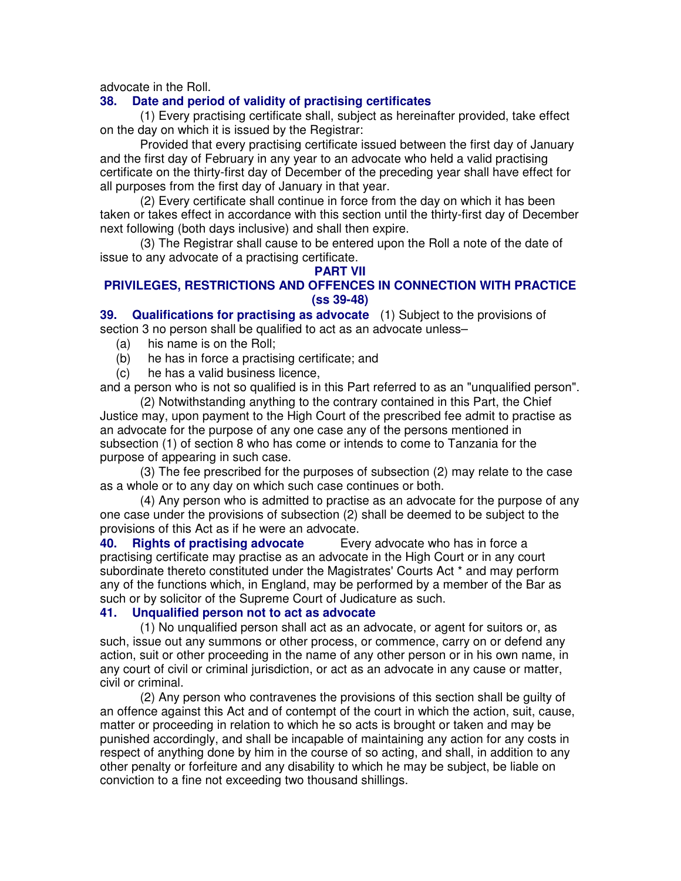advocate in the Roll.

## **38. Date and period of validity of practising certificates**

(1) Every practising certificate shall, subject as hereinafter provided, take effect on the day on which it is issued by the Registrar:

Provided that every practising certificate issued between the first day of January and the first day of February in any year to an advocate who held a valid practising certificate on the thirty-first day of December of the preceding year shall have effect for all purposes from the first day of January in that year.

(2) Every certificate shall continue in force from the day on which it has been taken or takes effect in accordance with this section until the thirty-first day of December next following (both days inclusive) and shall then expire.

(3) The Registrar shall cause to be entered upon the Roll a note of the date of issue to any advocate of a practising certificate.

#### **PART VII**

## **PRIVILEGES, RESTRICTIONS AND OFFENCES IN CONNECTION WITH PRACTICE (ss 39-48)**

**39. Qualifications for practising as advocate** (1) Subject to the provisions of section 3 no person shall be qualified to act as an advocate unless–

- (a) his name is on the Roll;
- (b) he has in force a practising certificate; and
- (c) he has a valid business licence,

and a person who is not so qualified is in this Part referred to as an "unqualified person".

(2) Notwithstanding anything to the contrary contained in this Part, the Chief Justice may, upon payment to the High Court of the prescribed fee admit to practise as an advocate for the purpose of any one case any of the persons mentioned in subsection (1) of section 8 who has come or intends to come to Tanzania for the purpose of appearing in such case.

(3) The fee prescribed for the purposes of subsection (2) may relate to the case as a whole or to any day on which such case continues or both.

(4) Any person who is admitted to practise as an advocate for the purpose of any one case under the provisions of subsection (2) shall be deemed to be subject to the provisions of this Act as if he were an advocate.

**40. Rights of practising advocate** Every advocate who has in force a practising certificate may practise as an advocate in the High Court or in any court subordinate thereto constituted under the Magistrates' Courts Act \* and may perform any of the functions which, in England, may be performed by a member of the Bar as such or by solicitor of the Supreme Court of Judicature as such.

## **41. Unqualified person not to act as advocate**

(1) No unqualified person shall act as an advocate, or agent for suitors or, as such, issue out any summons or other process, or commence, carry on or defend any action, suit or other proceeding in the name of any other person or in his own name, in any court of civil or criminal jurisdiction, or act as an advocate in any cause or matter, civil or criminal.

(2) Any person who contravenes the provisions of this section shall be guilty of an offence against this Act and of contempt of the court in which the action, suit, cause, matter or proceeding in relation to which he so acts is brought or taken and may be punished accordingly, and shall be incapable of maintaining any action for any costs in respect of anything done by him in the course of so acting, and shall, in addition to any other penalty or forfeiture and any disability to which he may be subject, be liable on conviction to a fine not exceeding two thousand shillings.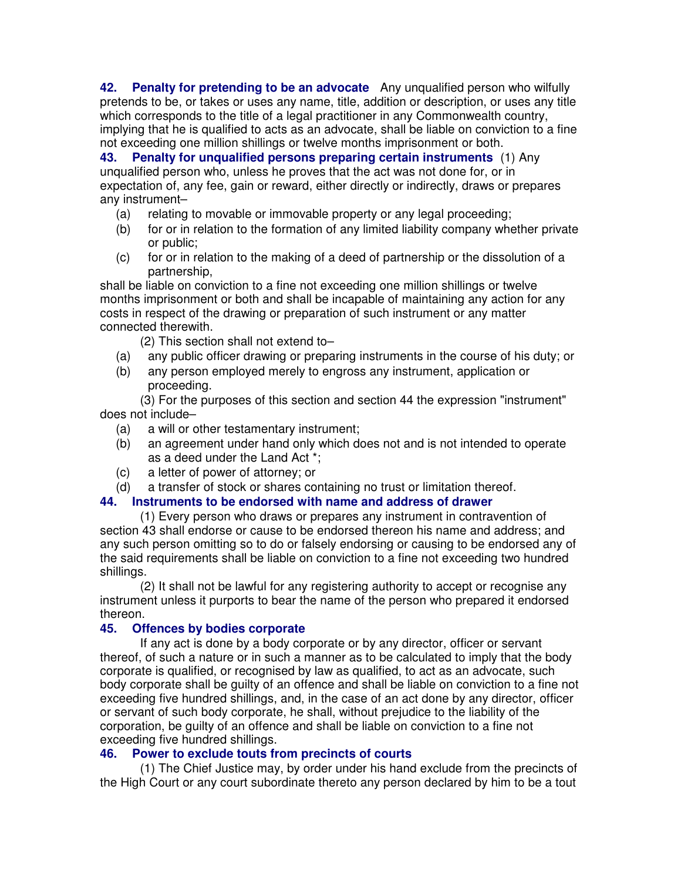**42. Penalty for pretending to be an advocate** Any unqualified person who wilfully pretends to be, or takes or uses any name, title, addition or description, or uses any title which corresponds to the title of a legal practitioner in any Commonwealth country, implying that he is qualified to acts as an advocate, shall be liable on conviction to a fine not exceeding one million shillings or twelve months imprisonment or both.

**43. Penalty for unqualified persons preparing certain instruments** (1) Any unqualified person who, unless he proves that the act was not done for, or in expectation of, any fee, gain or reward, either directly or indirectly, draws or prepares any instrument–

- (a) relating to movable or immovable property or any legal proceeding;
- (b) for or in relation to the formation of any limited liability company whether private or public;
- (c) for or in relation to the making of a deed of partnership or the dissolution of a partnership,

shall be liable on conviction to a fine not exceeding one million shillings or twelve months imprisonment or both and shall be incapable of maintaining any action for any costs in respect of the drawing or preparation of such instrument or any matter connected therewith.

(2) This section shall not extend to–

- (a) any public officer drawing or preparing instruments in the course of his duty; or
- (b) any person employed merely to engross any instrument, application or proceeding.

(3) For the purposes of this section and section 44 the expression "instrument" does not include–

- (a) a will or other testamentary instrument;
- (b) an agreement under hand only which does not and is not intended to operate as a deed under the Land Act \*;
- (c) a letter of power of attorney; or
- (d) a transfer of stock or shares containing no trust or limitation thereof.

## **44. Instruments to be endorsed with name and address of drawer**

(1) Every person who draws or prepares any instrument in contravention of section 43 shall endorse or cause to be endorsed thereon his name and address; and any such person omitting so to do or falsely endorsing or causing to be endorsed any of the said requirements shall be liable on conviction to a fine not exceeding two hundred shillings.

(2) It shall not be lawful for any registering authority to accept or recognise any instrument unless it purports to bear the name of the person who prepared it endorsed thereon.

#### **45. Offences by bodies corporate**

If any act is done by a body corporate or by any director, officer or servant thereof, of such a nature or in such a manner as to be calculated to imply that the body corporate is qualified, or recognised by law as qualified, to act as an advocate, such body corporate shall be guilty of an offence and shall be liable on conviction to a fine not exceeding five hundred shillings, and, in the case of an act done by any director, officer or servant of such body corporate, he shall, without prejudice to the liability of the corporation, be guilty of an offence and shall be liable on conviction to a fine not exceeding five hundred shillings.

#### **46. Power to exclude touts from precincts of courts**

(1) The Chief Justice may, by order under his hand exclude from the precincts of the High Court or any court subordinate thereto any person declared by him to be a tout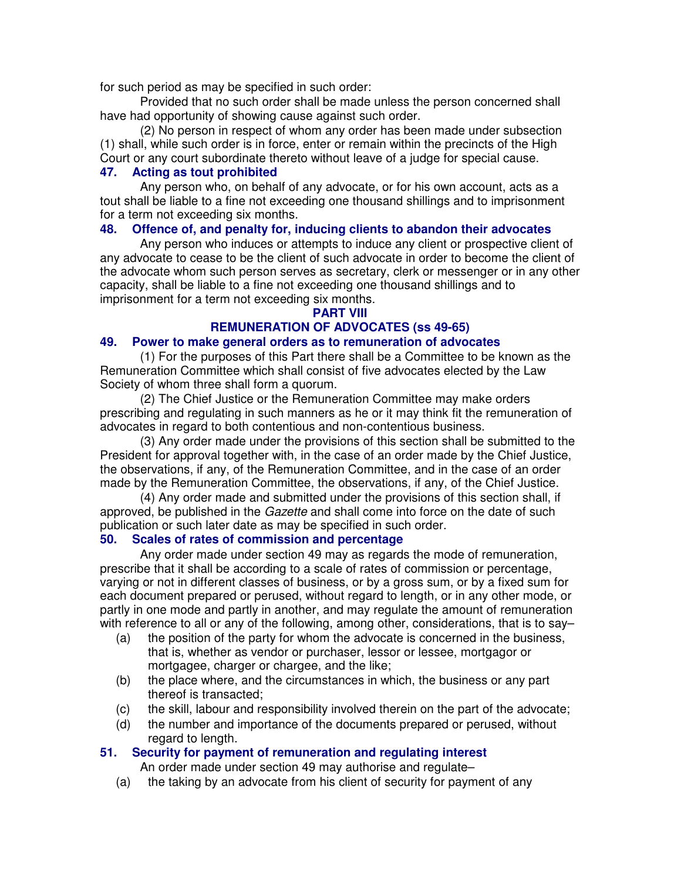for such period as may be specified in such order:

Provided that no such order shall be made unless the person concerned shall have had opportunity of showing cause against such order.

(2) No person in respect of whom any order has been made under subsection (1) shall, while such order is in force, enter or remain within the precincts of the High Court or any court subordinate thereto without leave of a judge for special cause.

## **47. Acting as tout prohibited**

Any person who, on behalf of any advocate, or for his own account, acts as a tout shall be liable to a fine not exceeding one thousand shillings and to imprisonment for a term not exceeding six months.

## **48. Offence of, and penalty for, inducing clients to abandon their advocates**

Any person who induces or attempts to induce any client or prospective client of any advocate to cease to be the client of such advocate in order to become the client of the advocate whom such person serves as secretary, clerk or messenger or in any other capacity, shall be liable to a fine not exceeding one thousand shillings and to imprisonment for a term not exceeding six months.

#### **PART VIII**

# **REMUNERATION OF ADVOCATES (ss 49-65)**

## **49. Power to make general orders as to remuneration of advocates**

(1) For the purposes of this Part there shall be a Committee to be known as the Remuneration Committee which shall consist of five advocates elected by the Law Society of whom three shall form a quorum.

(2) The Chief Justice or the Remuneration Committee may make orders prescribing and regulating in such manners as he or it may think fit the remuneration of advocates in regard to both contentious and non-contentious business.

(3) Any order made under the provisions of this section shall be submitted to the President for approval together with, in the case of an order made by the Chief Justice, the observations, if any, of the Remuneration Committee, and in the case of an order made by the Remuneration Committee, the observations, if any, of the Chief Justice.

(4) Any order made and submitted under the provisions of this section shall, if approved, be published in the *Gazette* and shall come into force on the date of such publication or such later date as may be specified in such order.

## **50. Scales of rates of commission and percentage**

Any order made under section 49 may as regards the mode of remuneration, prescribe that it shall be according to a scale of rates of commission or percentage, varying or not in different classes of business, or by a gross sum, or by a fixed sum for each document prepared or perused, without regard to length, or in any other mode, or partly in one mode and partly in another, and may regulate the amount of remuneration with reference to all or any of the following, among other, considerations, that is to say-

- (a) the position of the party for whom the advocate is concerned in the business, that is, whether as vendor or purchaser, lessor or lessee, mortgagor or mortgagee, charger or chargee, and the like;
- (b) the place where, and the circumstances in which, the business or any part thereof is transacted;
- (c) the skill, labour and responsibility involved therein on the part of the advocate;
- (d) the number and importance of the documents prepared or perused, without regard to length.

## **51. Security for payment of remuneration and regulating interest**

An order made under section 49 may authorise and regulate–

(a) the taking by an advocate from his client of security for payment of any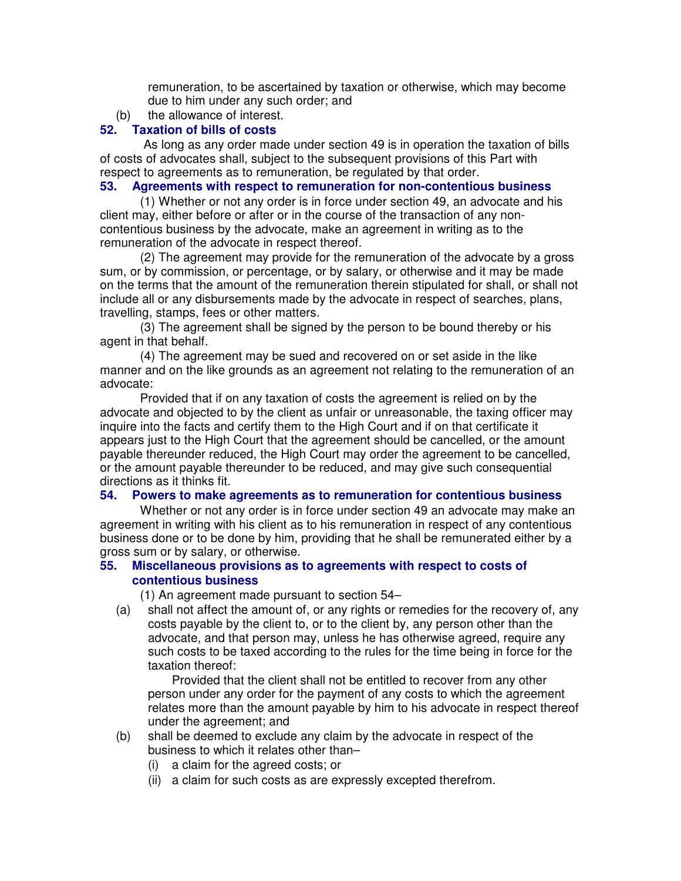remuneration, to be ascertained by taxation or otherwise, which may become due to him under any such order; and

(b) the allowance of interest.

#### **52. Taxation of bills of costs**

 As long as any order made under section 49 is in operation the taxation of bills of costs of advocates shall, subject to the subsequent provisions of this Part with respect to agreements as to remuneration, be regulated by that order.

#### **53. Agreements with respect to remuneration for non-contentious business**

(1) Whether or not any order is in force under section 49, an advocate and his client may, either before or after or in the course of the transaction of any noncontentious business by the advocate, make an agreement in writing as to the remuneration of the advocate in respect thereof.

(2) The agreement may provide for the remuneration of the advocate by a gross sum, or by commission, or percentage, or by salary, or otherwise and it may be made on the terms that the amount of the remuneration therein stipulated for shall, or shall not include all or any disbursements made by the advocate in respect of searches, plans, travelling, stamps, fees or other matters.

(3) The agreement shall be signed by the person to be bound thereby or his agent in that behalf.

(4) The agreement may be sued and recovered on or set aside in the like manner and on the like grounds as an agreement not relating to the remuneration of an advocate:

Provided that if on any taxation of costs the agreement is relied on by the advocate and objected to by the client as unfair or unreasonable, the taxing officer may inquire into the facts and certify them to the High Court and if on that certificate it appears just to the High Court that the agreement should be cancelled, or the amount payable thereunder reduced, the High Court may order the agreement to be cancelled, or the amount payable thereunder to be reduced, and may give such consequential directions as it thinks fit.

#### **54. Powers to make agreements as to remuneration for contentious business**

Whether or not any order is in force under section 49 an advocate may make an agreement in writing with his client as to his remuneration in respect of any contentious business done or to be done by him, providing that he shall be remunerated either by a gross sum or by salary, or otherwise.

## **55. Miscellaneous provisions as to agreements with respect to costs of contentious business**

(1) An agreement made pursuant to section 54–

(a) shall not affect the amount of, or any rights or remedies for the recovery of, any costs payable by the client to, or to the client by, any person other than the advocate, and that person may, unless he has otherwise agreed, require any such costs to be taxed according to the rules for the time being in force for the taxation thereof:

Provided that the client shall not be entitled to recover from any other person under any order for the payment of any costs to which the agreement relates more than the amount payable by him to his advocate in respect thereof under the agreement; and

- (b) shall be deemed to exclude any claim by the advocate in respect of the business to which it relates other than–
	- (i) a claim for the agreed costs; or
	- (ii) a claim for such costs as are expressly excepted therefrom.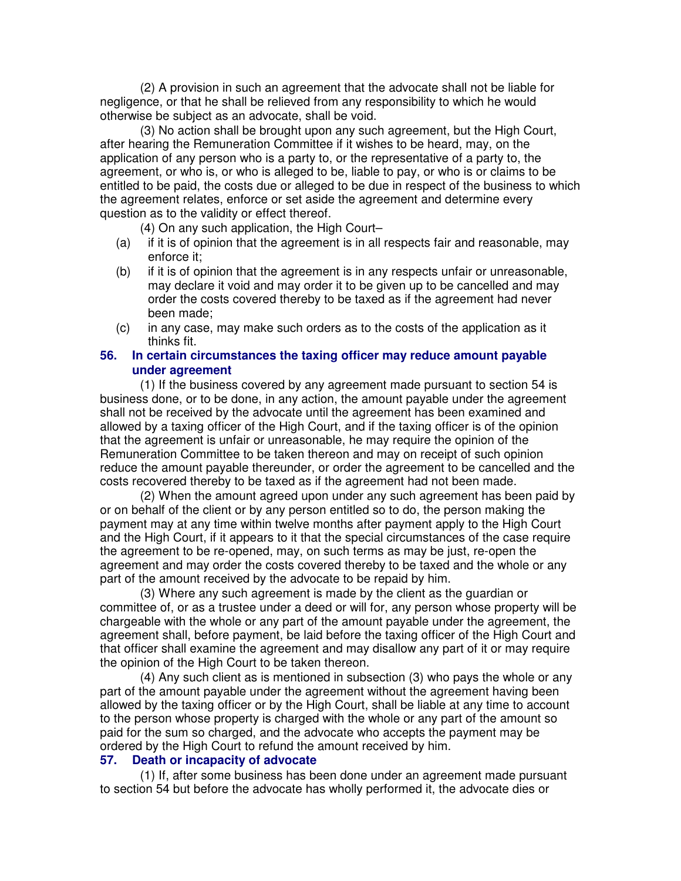(2) A provision in such an agreement that the advocate shall not be liable for negligence, or that he shall be relieved from any responsibility to which he would otherwise be subject as an advocate, shall be void.

(3) No action shall be brought upon any such agreement, but the High Court, after hearing the Remuneration Committee if it wishes to be heard, may, on the application of any person who is a party to, or the representative of a party to, the agreement, or who is, or who is alleged to be, liable to pay, or who is or claims to be entitled to be paid, the costs due or alleged to be due in respect of the business to which the agreement relates, enforce or set aside the agreement and determine every question as to the validity or effect thereof.

(4) On any such application, the High Court–

- (a) if it is of opinion that the agreement is in all respects fair and reasonable, may enforce it;
- (b) if it is of opinion that the agreement is in any respects unfair or unreasonable, may declare it void and may order it to be given up to be cancelled and may order the costs covered thereby to be taxed as if the agreement had never been made;
- (c) in any case, may make such orders as to the costs of the application as it thinks fit.

#### **56. In certain circumstances the taxing officer may reduce amount payable under agreement**

(1) If the business covered by any agreement made pursuant to section 54 is business done, or to be done, in any action, the amount payable under the agreement shall not be received by the advocate until the agreement has been examined and allowed by a taxing officer of the High Court, and if the taxing officer is of the opinion that the agreement is unfair or unreasonable, he may require the opinion of the Remuneration Committee to be taken thereon and may on receipt of such opinion reduce the amount payable thereunder, or order the agreement to be cancelled and the costs recovered thereby to be taxed as if the agreement had not been made.

(2) When the amount agreed upon under any such agreement has been paid by or on behalf of the client or by any person entitled so to do, the person making the payment may at any time within twelve months after payment apply to the High Court and the High Court, if it appears to it that the special circumstances of the case require the agreement to be re-opened, may, on such terms as may be just, re-open the agreement and may order the costs covered thereby to be taxed and the whole or any part of the amount received by the advocate to be repaid by him.

(3) Where any such agreement is made by the client as the guardian or committee of, or as a trustee under a deed or will for, any person whose property will be chargeable with the whole or any part of the amount payable under the agreement, the agreement shall, before payment, be laid before the taxing officer of the High Court and that officer shall examine the agreement and may disallow any part of it or may require the opinion of the High Court to be taken thereon.

(4) Any such client as is mentioned in subsection (3) who pays the whole or any part of the amount payable under the agreement without the agreement having been allowed by the taxing officer or by the High Court, shall be liable at any time to account to the person whose property is charged with the whole or any part of the amount so paid for the sum so charged, and the advocate who accepts the payment may be ordered by the High Court to refund the amount received by him.

#### **57. Death or incapacity of advocate**

(1) If, after some business has been done under an agreement made pursuant to section 54 but before the advocate has wholly performed it, the advocate dies or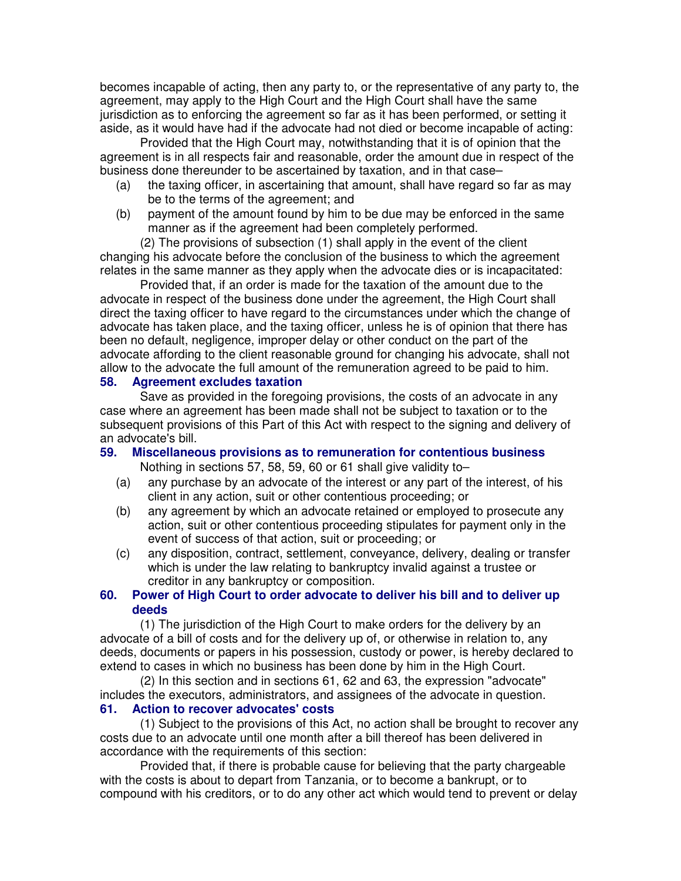becomes incapable of acting, then any party to, or the representative of any party to, the agreement, may apply to the High Court and the High Court shall have the same jurisdiction as to enforcing the agreement so far as it has been performed, or setting it aside, as it would have had if the advocate had not died or become incapable of acting:

Provided that the High Court may, notwithstanding that it is of opinion that the agreement is in all respects fair and reasonable, order the amount due in respect of the business done thereunder to be ascertained by taxation, and in that case–

- (a) the taxing officer, in ascertaining that amount, shall have regard so far as may be to the terms of the agreement; and
- (b) payment of the amount found by him to be due may be enforced in the same manner as if the agreement had been completely performed.

(2) The provisions of subsection (1) shall apply in the event of the client changing his advocate before the conclusion of the business to which the agreement relates in the same manner as they apply when the advocate dies or is incapacitated:

Provided that, if an order is made for the taxation of the amount due to the advocate in respect of the business done under the agreement, the High Court shall direct the taxing officer to have regard to the circumstances under which the change of advocate has taken place, and the taxing officer, unless he is of opinion that there has been no default, negligence, improper delay or other conduct on the part of the advocate affording to the client reasonable ground for changing his advocate, shall not allow to the advocate the full amount of the remuneration agreed to be paid to him.

#### **58. Agreement excludes taxation**

Save as provided in the foregoing provisions, the costs of an advocate in any case where an agreement has been made shall not be subject to taxation or to the subsequent provisions of this Part of this Act with respect to the signing and delivery of an advocate's bill.

#### **59. Miscellaneous provisions as to remuneration for contentious business** Nothing in sections 57, 58, 59, 60 or 61 shall give validity to–

- (a) any purchase by an advocate of the interest or any part of the interest, of his client in any action, suit or other contentious proceeding; or
- (b) any agreement by which an advocate retained or employed to prosecute any action, suit or other contentious proceeding stipulates for payment only in the event of success of that action, suit or proceeding; or
- (c) any disposition, contract, settlement, conveyance, delivery, dealing or transfer which is under the law relating to bankruptcy invalid against a trustee or creditor in any bankruptcy or composition.

#### **60. Power of High Court to order advocate to deliver his bill and to deliver up deeds**

(1) The jurisdiction of the High Court to make orders for the delivery by an advocate of a bill of costs and for the delivery up of, or otherwise in relation to, any deeds, documents or papers in his possession, custody or power, is hereby declared to extend to cases in which no business has been done by him in the High Court.

(2) In this section and in sections 61, 62 and 63, the expression "advocate" includes the executors, administrators, and assignees of the advocate in question. **61. Action to recover advocates' costs**

#### (1) Subject to the provisions of this Act, no action shall be brought to recover any costs due to an advocate until one month after a bill thereof has been delivered in accordance with the requirements of this section:

Provided that, if there is probable cause for believing that the party chargeable with the costs is about to depart from Tanzania, or to become a bankrupt, or to compound with his creditors, or to do any other act which would tend to prevent or delay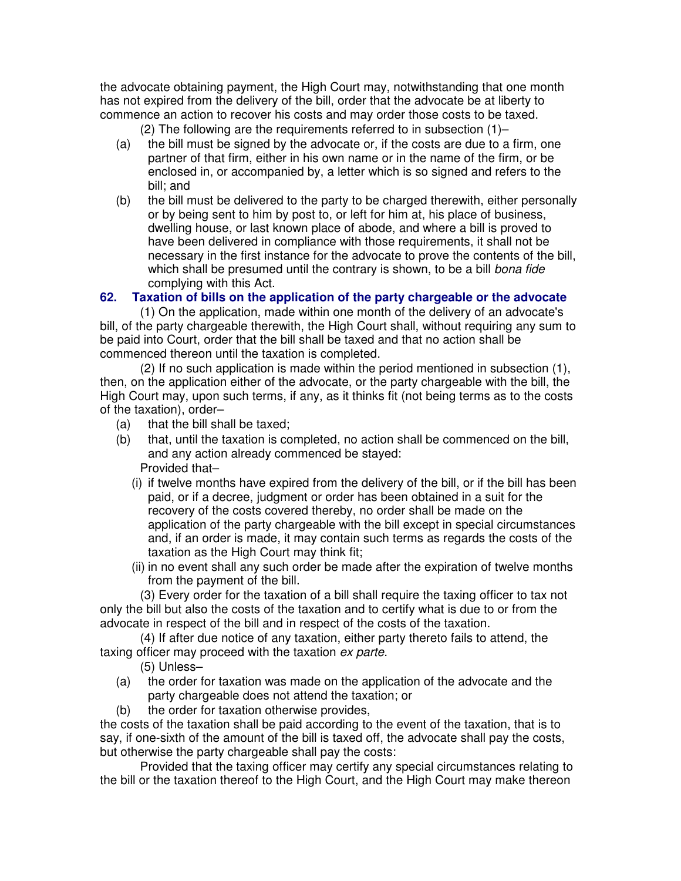the advocate obtaining payment, the High Court may, notwithstanding that one month has not expired from the delivery of the bill, order that the advocate be at liberty to commence an action to recover his costs and may order those costs to be taxed.

(2) The following are the requirements referred to in subsection (1)–

- (a) the bill must be signed by the advocate or, if the costs are due to a firm, one partner of that firm, either in his own name or in the name of the firm, or be enclosed in, or accompanied by, a letter which is so signed and refers to the bill; and
- (b) the bill must be delivered to the party to be charged therewith, either personally or by being sent to him by post to, or left for him at, his place of business, dwelling house, or last known place of abode, and where a bill is proved to have been delivered in compliance with those requirements, it shall not be necessary in the first instance for the advocate to prove the contents of the bill, which shall be presumed until the contrary is shown, to be a bill bona fide complying with this Act.

## **62. Taxation of bills on the application of the party chargeable or the advocate**

(1) On the application, made within one month of the delivery of an advocate's bill, of the party chargeable therewith, the High Court shall, without requiring any sum to be paid into Court, order that the bill shall be taxed and that no action shall be commenced thereon until the taxation is completed.

(2) If no such application is made within the period mentioned in subsection (1), then, on the application either of the advocate, or the party chargeable with the bill, the High Court may, upon such terms, if any, as it thinks fit (not being terms as to the costs of the taxation), order–

- (a) that the bill shall be taxed;
- (b) that, until the taxation is completed, no action shall be commenced on the bill, and any action already commenced be stayed: Provided that–
	- (i) if twelve months have expired from the delivery of the bill, or if the bill has been paid, or if a decree, judgment or order has been obtained in a suit for the recovery of the costs covered thereby, no order shall be made on the application of the party chargeable with the bill except in special circumstances and, if an order is made, it may contain such terms as regards the costs of the taxation as the High Court may think fit;
	- (ii) in no event shall any such order be made after the expiration of twelve months from the payment of the bill.

(3) Every order for the taxation of a bill shall require the taxing officer to tax not only the bill but also the costs of the taxation and to certify what is due to or from the advocate in respect of the bill and in respect of the costs of the taxation.

(4) If after due notice of any taxation, either party thereto fails to attend, the taxing officer may proceed with the taxation ex parte.

- (5) Unless–
- (a) the order for taxation was made on the application of the advocate and the party chargeable does not attend the taxation; or
- (b) the order for taxation otherwise provides,

the costs of the taxation shall be paid according to the event of the taxation, that is to say, if one-sixth of the amount of the bill is taxed off, the advocate shall pay the costs, but otherwise the party chargeable shall pay the costs:

Provided that the taxing officer may certify any special circumstances relating to the bill or the taxation thereof to the High Court, and the High Court may make thereon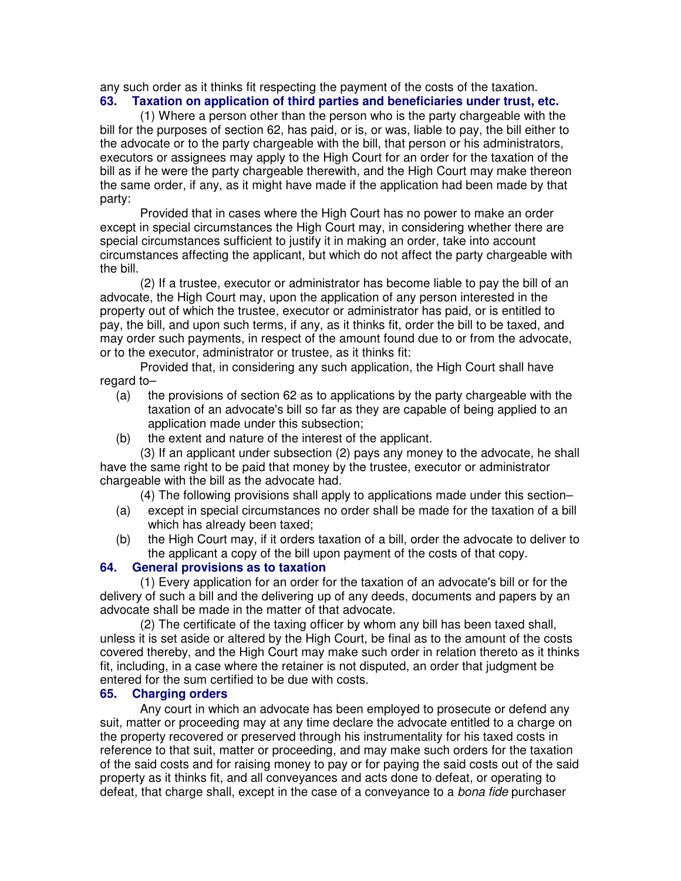any such order as it thinks fit respecting the payment of the costs of the taxation.

## **63. Taxation on application of third parties and beneficiaries under trust, etc.**

(1) Where a person other than the person who is the party chargeable with the bill for the purposes of section 62, has paid, or is, or was, liable to pay, the bill either to the advocate or to the party chargeable with the bill, that person or his administrators, executors or assignees may apply to the High Court for an order for the taxation of the bill as if he were the party chargeable therewith, and the High Court may make thereon the same order, if any, as it might have made if the application had been made by that party:

Provided that in cases where the High Court has no power to make an order except in special circumstances the High Court may, in considering whether there are special circumstances sufficient to justify it in making an order, take into account circumstances affecting the applicant, but which do not affect the party chargeable with the bill.

(2) If a trustee, executor or administrator has become liable to pay the bill of an advocate, the High Court may, upon the application of any person interested in the property out of which the trustee, executor or administrator has paid, or is entitled to pay, the bill, and upon such terms, if any, as it thinks fit, order the bill to be taxed, and may order such payments, in respect of the amount found due to or from the advocate, or to the executor, administrator or trustee, as it thinks fit:

Provided that, in considering any such application, the High Court shall have regard to–

- (a) the provisions of section 62 as to applications by the party chargeable with the taxation of an advocate's bill so far as they are capable of being applied to an application made under this subsection;
- (b) the extent and nature of the interest of the applicant.

(3) If an applicant under subsection (2) pays any money to the advocate, he shall have the same right to be paid that money by the trustee, executor or administrator chargeable with the bill as the advocate had.

(4) The following provisions shall apply to applications made under this section–

- (a) except in special circumstances no order shall be made for the taxation of a bill which has already been taxed;
- (b) the High Court may, if it orders taxation of a bill, order the advocate to deliver to the applicant a copy of the bill upon payment of the costs of that copy.

## **64. General provisions as to taxation**

(1) Every application for an order for the taxation of an advocate's bill or for the delivery of such a bill and the delivering up of any deeds, documents and papers by an advocate shall be made in the matter of that advocate.

(2) The certificate of the taxing officer by whom any bill has been taxed shall, unless it is set aside or altered by the High Court, be final as to the amount of the costs covered thereby, and the High Court may make such order in relation thereto as it thinks fit, including, in a case where the retainer is not disputed, an order that judgment be entered for the sum certified to be due with costs.

## **65. Charging orders**

Any court in which an advocate has been employed to prosecute or defend any suit, matter or proceeding may at any time declare the advocate entitled to a charge on the property recovered or preserved through his instrumentality for his taxed costs in reference to that suit, matter or proceeding, and may make such orders for the taxation of the said costs and for raising money to pay or for paying the said costs out of the said property as it thinks fit, and all conveyances and acts done to defeat, or operating to defeat, that charge shall, except in the case of a conveyance to a *bona fide* purchaser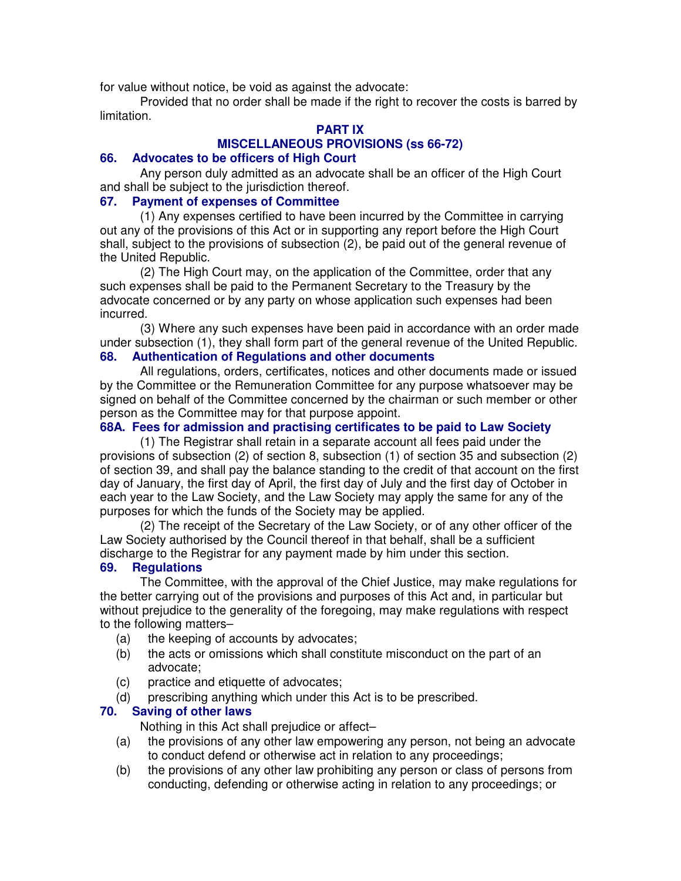for value without notice, be void as against the advocate:

Provided that no order shall be made if the right to recover the costs is barred by limitation.

## **PART IX**

## **MISCELLANEOUS PROVISIONS (ss 66-72)**

#### **66. Advocates to be officers of High Court**

Any person duly admitted as an advocate shall be an officer of the High Court and shall be subject to the jurisdiction thereof.

#### **67. Payment of expenses of Committee**

(1) Any expenses certified to have been incurred by the Committee in carrying out any of the provisions of this Act or in supporting any report before the High Court shall, subject to the provisions of subsection (2), be paid out of the general revenue of the United Republic.

(2) The High Court may, on the application of the Committee, order that any such expenses shall be paid to the Permanent Secretary to the Treasury by the advocate concerned or by any party on whose application such expenses had been incurred.

(3) Where any such expenses have been paid in accordance with an order made under subsection (1), they shall form part of the general revenue of the United Republic.

## **68. Authentication of Regulations and other documents**

All regulations, orders, certificates, notices and other documents made or issued by the Committee or the Remuneration Committee for any purpose whatsoever may be signed on behalf of the Committee concerned by the chairman or such member or other person as the Committee may for that purpose appoint.

## **68A. Fees for admission and practising certificates to be paid to Law Society**

(1) The Registrar shall retain in a separate account all fees paid under the provisions of subsection (2) of section 8, subsection (1) of section 35 and subsection (2) of section 39, and shall pay the balance standing to the credit of that account on the first day of January, the first day of April, the first day of July and the first day of October in each year to the Law Society, and the Law Society may apply the same for any of the purposes for which the funds of the Society may be applied.

(2) The receipt of the Secretary of the Law Society, or of any other officer of the Law Society authorised by the Council thereof in that behalf, shall be a sufficient discharge to the Registrar for any payment made by him under this section.

#### **69. Regulations**

The Committee, with the approval of the Chief Justice, may make regulations for the better carrying out of the provisions and purposes of this Act and, in particular but without prejudice to the generality of the foregoing, may make regulations with respect to the following matters–

- (a) the keeping of accounts by advocates;
- (b) the acts or omissions which shall constitute misconduct on the part of an advocate;
- (c) practice and etiquette of advocates;
- (d) prescribing anything which under this Act is to be prescribed.

## **70. Saving of other laws**

Nothing in this Act shall prejudice or affect–

- (a) the provisions of any other law empowering any person, not being an advocate to conduct defend or otherwise act in relation to any proceedings;
- (b) the provisions of any other law prohibiting any person or class of persons from conducting, defending or otherwise acting in relation to any proceedings; or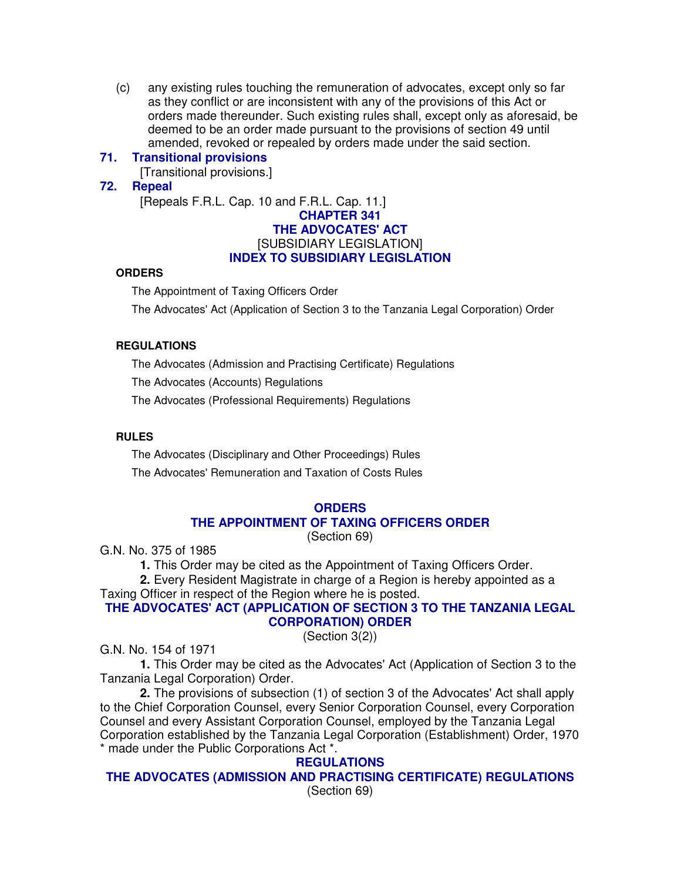(c) any existing rules touching the remuneration of advocates, except only so far as they conflict or are inconsistent with any of the provisions of this Act or orders made thereunder. Such existing rules shall, except only as aforesaid, be deemed to be an order made pursuant to the provisions of section 49 until amended, revoked or repealed by orders made under the said section.

#### **71. Transitional provisions**

[Transitional provisions.]

#### **72. Repeal**

[Repeals F.R.L. Cap. 10 and F.R.L. Cap. 11.]

#### **CHAPTER 341 THE ADVOCATES' ACT** [SUBSIDIARY LEGISLATION] **INDEX TO SUBSIDIARY LEGISLATION**

#### **ORDERS**

The Appointment of Taxing Officers Order

The Advocates' Act (Application of Section 3 to the Tanzania Legal Corporation) Order

#### **REGULATIONS**

The Advocates (Admission and Practising Certificate) Regulations

The Advocates (Accounts) Regulations

The Advocates (Professional Requirements) Regulations

#### **RULES**

The Advocates (Disciplinary and Other Proceedings) Rules

The Advocates' Remuneration and Taxation of Costs Rules

#### **ORDERS**

#### **THE APPOINTMENT OF TAXING OFFICERS ORDER**

(Section 69)

G.N. No. 375 of 1985

**1.** This Order may be cited as the Appointment of Taxing Officers Order.

**2.** Every Resident Magistrate in charge of a Region is hereby appointed as a Taxing Officer in respect of the Region where he is posted.

#### **THE ADVOCATES' ACT (APPLICATION OF SECTION 3 TO THE TANZANIA LEGAL CORPORATION) ORDER**

(Section 3(2))

G.N. No. 154 of 1971

**1.** This Order may be cited as the Advocates' Act (Application of Section 3 to the Tanzania Legal Corporation) Order.

**2.** The provisions of subsection (1) of section 3 of the Advocates' Act shall apply to the Chief Corporation Counsel, every Senior Corporation Counsel, every Corporation Counsel and every Assistant Corporation Counsel, employed by the Tanzania Legal Corporation established by the Tanzania Legal Corporation (Establishment) Order, 1970 \* made under the Public Corporations Act \*.

#### **REGULATIONS**

**THE ADVOCATES (ADMISSION AND PRACTISING CERTIFICATE) REGULATIONS** (Section 69)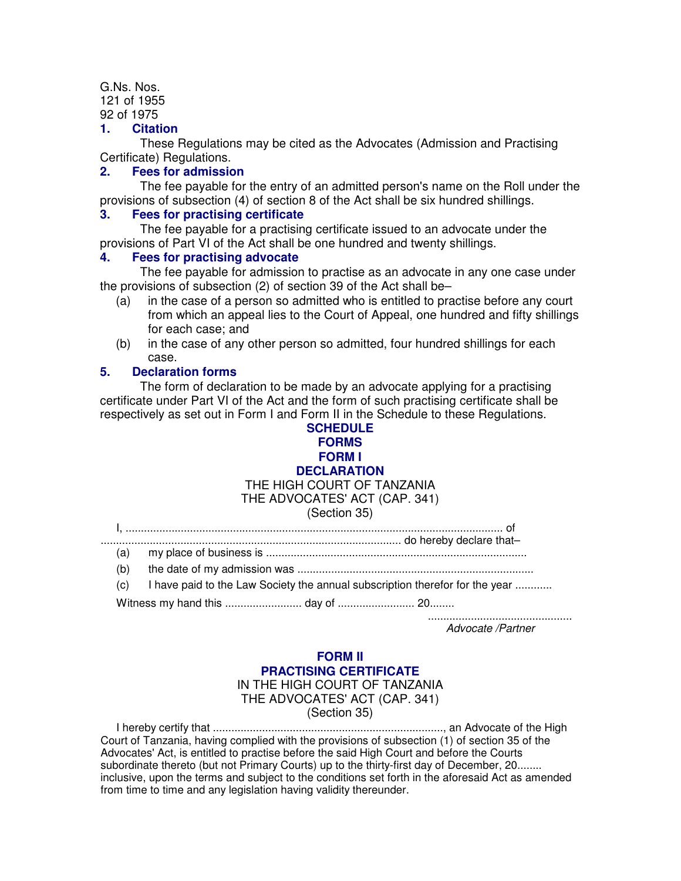G.Ns. Nos. 121 of 1955 92 of 1975

## **1. Citation**

These Regulations may be cited as the Advocates (Admission and Practising Certificate) Regulations.

#### **2. Fees for admission**

The fee payable for the entry of an admitted person's name on the Roll under the provisions of subsection (4) of section 8 of the Act shall be six hundred shillings.

#### **3. Fees for practising certificate**

The fee payable for a practising certificate issued to an advocate under the provisions of Part VI of the Act shall be one hundred and twenty shillings.

## **4. Fees for practising advocate**

The fee payable for admission to practise as an advocate in any one case under the provisions of subsection (2) of section 39 of the Act shall be–

- (a) in the case of a person so admitted who is entitled to practise before any court from which an appeal lies to the Court of Appeal, one hundred and fifty shillings for each case; and
- (b) in the case of any other person so admitted, four hundred shillings for each case.

## **5. Declaration forms**

The form of declaration to be made by an advocate applying for a practising certificate under Part VI of the Act and the form of such practising certificate shall be respectively as set out in Form I and Form II in the Schedule to these Regulations.

#### **SCHEDULE FORMS FORM I DECLARATION** THE HIGH COURT OF TANZANIA THE ADVOCATES' ACT (CAP. 341)

### (Section 35)

I, ........................................................................................................................... of

- .................................................................................................. do hereby declare that– (a) my place of business is .....................................................................................
	- (b) the date of my admission was .............................................................................
	- (c) I have paid to the Law Society the annual subscription therefor for the year ............

Witness my hand this ......................... day of ......................... 20........

............................................... Advocate /Partner

#### **FORM II PRACTISING CERTIFICATE** IN THE HIGH COURT OF TANZANIA THE ADVOCATES' ACT (CAP. 341) (Section 35)

I hereby certify that ..........................................................................., an Advocate of the High Court of Tanzania, having complied with the provisions of subsection (1) of section 35 of the Advocates' Act, is entitled to practise before the said High Court and before the Courts subordinate thereto (but not Primary Courts) up to the thirty-first day of December, 20........ inclusive, upon the terms and subject to the conditions set forth in the aforesaid Act as amended from time to time and any legislation having validity thereunder.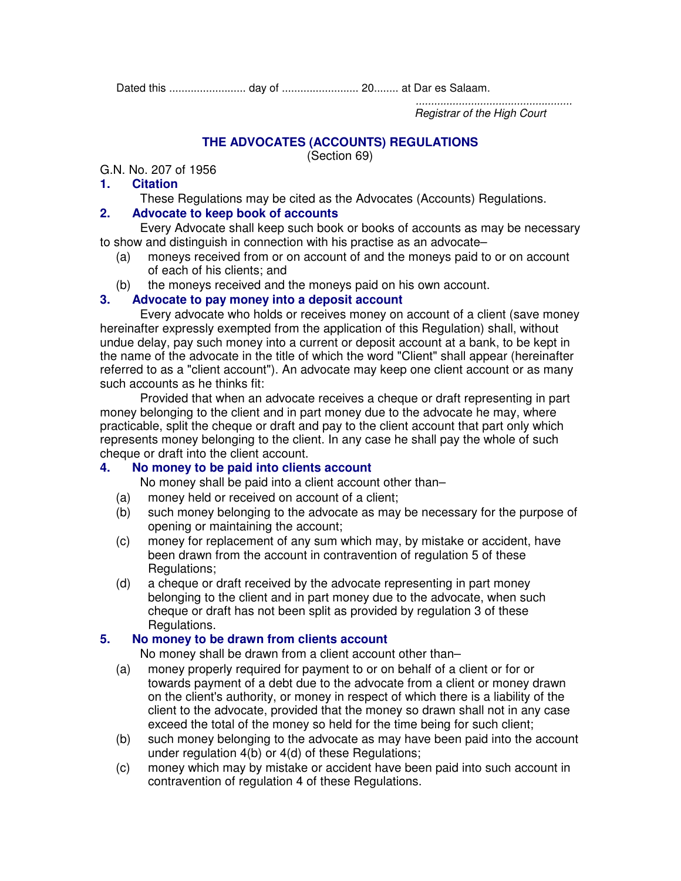Dated this ......................... day of ......................... 20........ at Dar es Salaam.

................................................... Registrar of the High Court

# **THE ADVOCATES (ACCOUNTS) REGULATIONS**

(Section 69)

G.N. No. 207 of 1956

## **1. Citation**

These Regulations may be cited as the Advocates (Accounts) Regulations.

## **2. Advocate to keep book of accounts**

Every Advocate shall keep such book or books of accounts as may be necessary to show and distinguish in connection with his practise as an advocate–

- (a) moneys received from or on account of and the moneys paid to or on account of each of his clients; and
- (b) the moneys received and the moneys paid on his own account.

## **3. Advocate to pay money into a deposit account**

Every advocate who holds or receives money on account of a client (save money hereinafter expressly exempted from the application of this Regulation) shall, without undue delay, pay such money into a current or deposit account at a bank, to be kept in the name of the advocate in the title of which the word "Client" shall appear (hereinafter referred to as a "client account"). An advocate may keep one client account or as many such accounts as he thinks fit:

Provided that when an advocate receives a cheque or draft representing in part money belonging to the client and in part money due to the advocate he may, where practicable, split the cheque or draft and pay to the client account that part only which represents money belonging to the client. In any case he shall pay the whole of such cheque or draft into the client account.

## **4. No money to be paid into clients account**

No money shall be paid into a client account other than–

- (a) money held or received on account of a client;
- (b) such money belonging to the advocate as may be necessary for the purpose of opening or maintaining the account;
- (c) money for replacement of any sum which may, by mistake or accident, have been drawn from the account in contravention of regulation 5 of these Regulations;
- (d) a cheque or draft received by the advocate representing in part money belonging to the client and in part money due to the advocate, when such cheque or draft has not been split as provided by regulation 3 of these Regulations.

## **5. No money to be drawn from clients account**

No money shall be drawn from a client account other than–

- (a) money properly required for payment to or on behalf of a client or for or towards payment of a debt due to the advocate from a client or money drawn on the client's authority, or money in respect of which there is a liability of the client to the advocate, provided that the money so drawn shall not in any case exceed the total of the money so held for the time being for such client;
- (b) such money belonging to the advocate as may have been paid into the account under regulation 4(b) or 4(d) of these Regulations;
- (c) money which may by mistake or accident have been paid into such account in contravention of regulation 4 of these Regulations.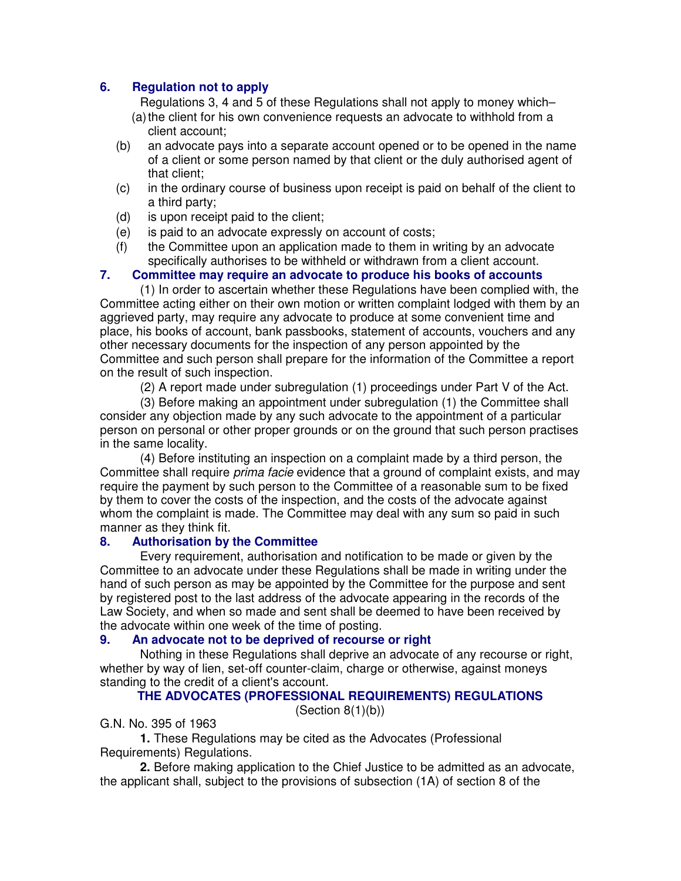## **6. Regulation not to apply**

Regulations 3, 4 and 5 of these Regulations shall not apply to money which–

- (a)the client for his own convenience requests an advocate to withhold from a client account;
- (b) an advocate pays into a separate account opened or to be opened in the name of a client or some person named by that client or the duly authorised agent of that client;
- (c) in the ordinary course of business upon receipt is paid on behalf of the client to a third party;
- (d) is upon receipt paid to the client;
- (e) is paid to an advocate expressly on account of costs;
- (f) the Committee upon an application made to them in writing by an advocate specifically authorises to be withheld or withdrawn from a client account.

## **7. Committee may require an advocate to produce his books of accounts**

(1) In order to ascertain whether these Regulations have been complied with, the Committee acting either on their own motion or written complaint lodged with them by an aggrieved party, may require any advocate to produce at some convenient time and place, his books of account, bank passbooks, statement of accounts, vouchers and any other necessary documents for the inspection of any person appointed by the Committee and such person shall prepare for the information of the Committee a report on the result of such inspection.

(2) A report made under subregulation (1) proceedings under Part V of the Act.

(3) Before making an appointment under subregulation (1) the Committee shall consider any objection made by any such advocate to the appointment of a particular person on personal or other proper grounds or on the ground that such person practises in the same locality.

(4) Before instituting an inspection on a complaint made by a third person, the Committee shall require *prima facie* evidence that a ground of complaint exists, and may require the payment by such person to the Committee of a reasonable sum to be fixed by them to cover the costs of the inspection, and the costs of the advocate against whom the complaint is made. The Committee may deal with any sum so paid in such manner as they think fit.

## **8. Authorisation by the Committee**

Every requirement, authorisation and notification to be made or given by the Committee to an advocate under these Regulations shall be made in writing under the hand of such person as may be appointed by the Committee for the purpose and sent by registered post to the last address of the advocate appearing in the records of the Law Society, and when so made and sent shall be deemed to have been received by the advocate within one week of the time of posting.

## **9. An advocate not to be deprived of recourse or right**

Nothing in these Regulations shall deprive an advocate of any recourse or right, whether by way of lien, set-off counter-claim, charge or otherwise, against moneys standing to the credit of a client's account.

## **THE ADVOCATES (PROFESSIONAL REQUIREMENTS) REGULATIONS**

 $(Section 8(1)(b))$ 

G.N. No. 395 of 1963

**1.** These Regulations may be cited as the Advocates (Professional Requirements) Regulations.

**2.** Before making application to the Chief Justice to be admitted as an advocate, the applicant shall, subject to the provisions of subsection (1A) of section 8 of the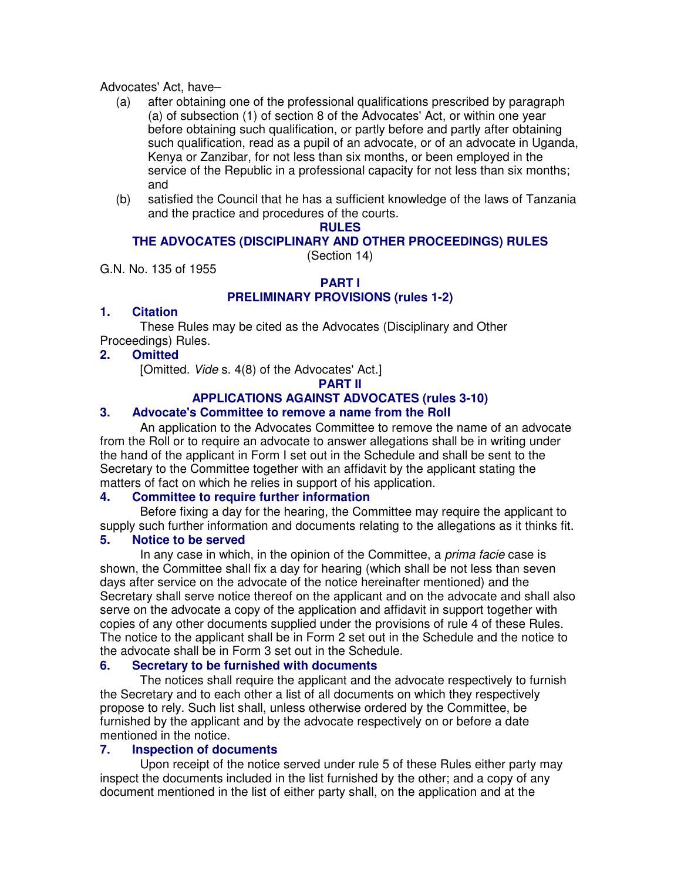#### Advocates' Act, have–

- (a) after obtaining one of the professional qualifications prescribed by paragraph (a) of subsection (1) of section 8 of the Advocates' Act, or within one year before obtaining such qualification, or partly before and partly after obtaining such qualification, read as a pupil of an advocate, or of an advocate in Uganda, Kenya or Zanzibar, for not less than six months, or been employed in the service of the Republic in a professional capacity for not less than six months; and
- (b) satisfied the Council that he has a sufficient knowledge of the laws of Tanzania and the practice and procedures of the courts.

## **RULES**

## **THE ADVOCATES (DISCIPLINARY AND OTHER PROCEEDINGS) RULES**

(Section 14)

G.N. No. 135 of 1955

#### **PART I PRELIMINARY PROVISIONS (rules 1-2)**

## **1. Citation**

These Rules may be cited as the Advocates (Disciplinary and Other Proceedings) Rules.

## **2. Omitted**

[Omitted. Vide s. 4(8) of the Advocates' Act.]

**PART II**

## **APPLICATIONS AGAINST ADVOCATES (rules 3-10)**

## **3. Advocate's Committee to remove a name from the Roll**

An application to the Advocates Committee to remove the name of an advocate from the Roll or to require an advocate to answer allegations shall be in writing under the hand of the applicant in Form I set out in the Schedule and shall be sent to the Secretary to the Committee together with an affidavit by the applicant stating the matters of fact on which he relies in support of his application.

## **4. Committee to require further information**

Before fixing a day for the hearing, the Committee may require the applicant to supply such further information and documents relating to the allegations as it thinks fit.

## **5. Notice to be served**

In any case in which, in the opinion of the Committee, a *prima facie* case is shown, the Committee shall fix a day for hearing (which shall be not less than seven days after service on the advocate of the notice hereinafter mentioned) and the Secretary shall serve notice thereof on the applicant and on the advocate and shall also serve on the advocate a copy of the application and affidavit in support together with copies of any other documents supplied under the provisions of rule 4 of these Rules. The notice to the applicant shall be in Form 2 set out in the Schedule and the notice to the advocate shall be in Form 3 set out in the Schedule.

## **6. Secretary to be furnished with documents**

The notices shall require the applicant and the advocate respectively to furnish the Secretary and to each other a list of all documents on which they respectively propose to rely. Such list shall, unless otherwise ordered by the Committee, be furnished by the applicant and by the advocate respectively on or before a date mentioned in the notice.

## **7. Inspection of documents**

Upon receipt of the notice served under rule 5 of these Rules either party may inspect the documents included in the list furnished by the other; and a copy of any document mentioned in the list of either party shall, on the application and at the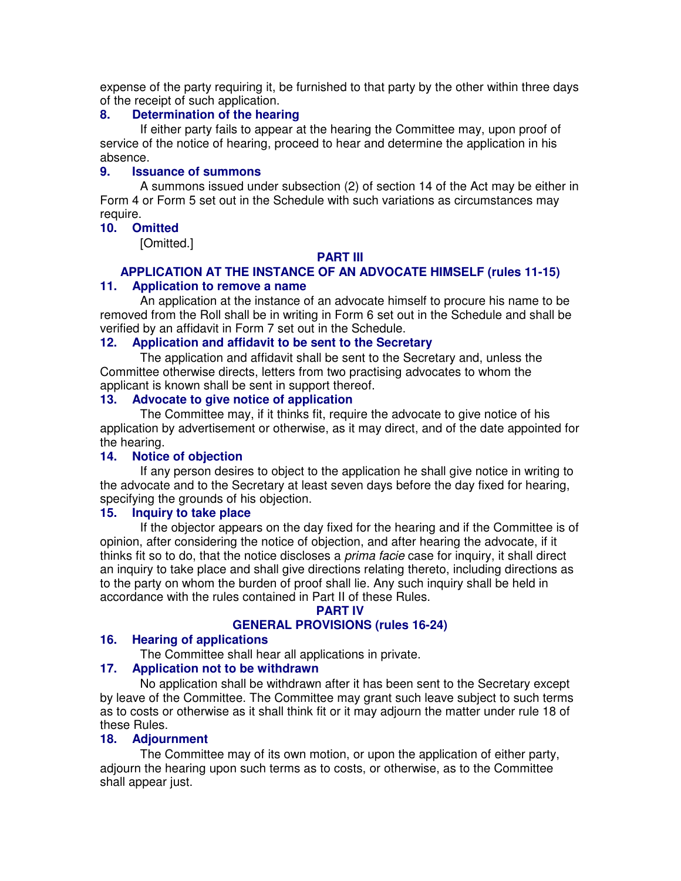expense of the party requiring it, be furnished to that party by the other within three days of the receipt of such application.

## **8. Determination of the hearing**

If either party fails to appear at the hearing the Committee may, upon proof of service of the notice of hearing, proceed to hear and determine the application in his absence.

## **9. Issuance of summons**

A summons issued under subsection (2) of section 14 of the Act may be either in Form 4 or Form 5 set out in the Schedule with such variations as circumstances may require.

## **10. Omitted**

[Omitted.]

## **PART III**

#### **APPLICATION AT THE INSTANCE OF AN ADVOCATE HIMSELF (rules 11-15) 11. Application to remove a name**

An application at the instance of an advocate himself to procure his name to be removed from the Roll shall be in writing in Form 6 set out in the Schedule and shall be verified by an affidavit in Form 7 set out in the Schedule.

#### **12. Application and affidavit to be sent to the Secretary**

The application and affidavit shall be sent to the Secretary and, unless the Committee otherwise directs, letters from two practising advocates to whom the applicant is known shall be sent in support thereof.

## **13. Advocate to give notice of application**

The Committee may, if it thinks fit, require the advocate to give notice of his application by advertisement or otherwise, as it may direct, and of the date appointed for the hearing.

#### **14. Notice of objection**

If any person desires to object to the application he shall give notice in writing to the advocate and to the Secretary at least seven days before the day fixed for hearing, specifying the grounds of his objection.

### **15. Inquiry to take place**

If the objector appears on the day fixed for the hearing and if the Committee is of opinion, after considering the notice of objection, and after hearing the advocate, if it thinks fit so to do, that the notice discloses a *prima facie* case for inquiry, it shall direct an inquiry to take place and shall give directions relating thereto, including directions as to the party on whom the burden of proof shall lie. Any such inquiry shall be held in accordance with the rules contained in Part II of these Rules.

## **PART IV**

## **GENERAL PROVISIONS (rules 16-24)**

## **16. Hearing of applications**

The Committee shall hear all applications in private.

#### **17. Application not to be withdrawn**

No application shall be withdrawn after it has been sent to the Secretary except by leave of the Committee. The Committee may grant such leave subject to such terms as to costs or otherwise as it shall think fit or it may adjourn the matter under rule 18 of these Rules.

#### **18. Adjournment**

The Committee may of its own motion, or upon the application of either party, adjourn the hearing upon such terms as to costs, or otherwise, as to the Committee shall appear just.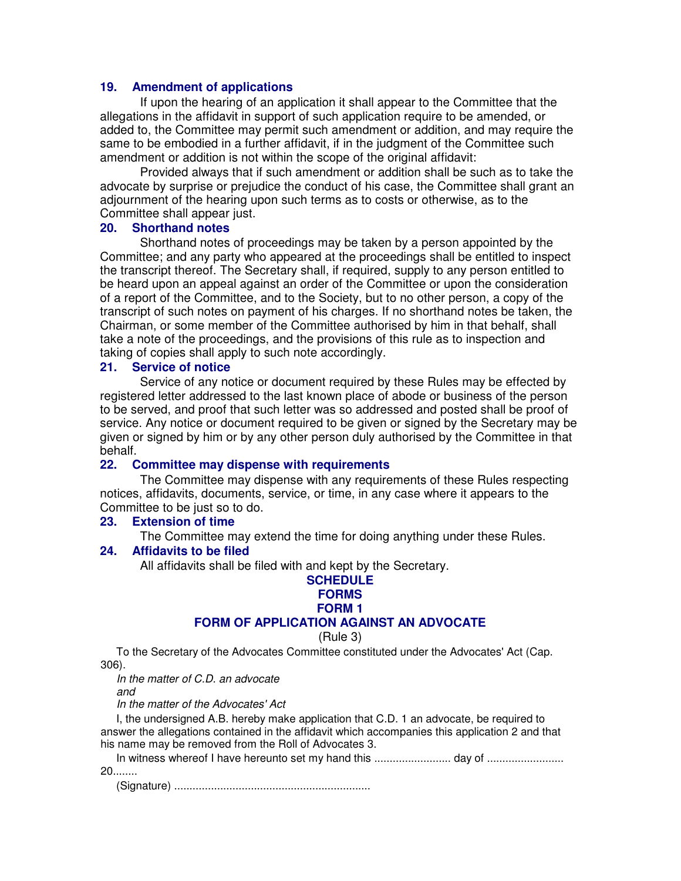#### **19. Amendment of applications**

If upon the hearing of an application it shall appear to the Committee that the allegations in the affidavit in support of such application require to be amended, or added to, the Committee may permit such amendment or addition, and may require the same to be embodied in a further affidavit, if in the judgment of the Committee such amendment or addition is not within the scope of the original affidavit:

Provided always that if such amendment or addition shall be such as to take the advocate by surprise or prejudice the conduct of his case, the Committee shall grant an adjournment of the hearing upon such terms as to costs or otherwise, as to the Committee shall appear just.

#### **20. Shorthand notes**

Shorthand notes of proceedings may be taken by a person appointed by the Committee; and any party who appeared at the proceedings shall be entitled to inspect the transcript thereof. The Secretary shall, if required, supply to any person entitled to be heard upon an appeal against an order of the Committee or upon the consideration of a report of the Committee, and to the Society, but to no other person, a copy of the transcript of such notes on payment of his charges. If no shorthand notes be taken, the Chairman, or some member of the Committee authorised by him in that behalf, shall take a note of the proceedings, and the provisions of this rule as to inspection and taking of copies shall apply to such note accordingly.

## **21. Service of notice**

Service of any notice or document required by these Rules may be effected by registered letter addressed to the last known place of abode or business of the person to be served, and proof that such letter was so addressed and posted shall be proof of service. Any notice or document required to be given or signed by the Secretary may be given or signed by him or by any other person duly authorised by the Committee in that behalf.

#### **22. Committee may dispense with requirements**

The Committee may dispense with any requirements of these Rules respecting notices, affidavits, documents, service, or time, in any case where it appears to the Committee to be just so to do.

#### **23. Extension of time**

The Committee may extend the time for doing anything under these Rules.

#### **24. Affidavits to be filed**

All affidavits shall be filed with and kept by the Secretary.

# **SCHEDULE FORMS FORM 1 FORM OF APPLICATION AGAINST AN ADVOCATE**

#### (Rule 3)

To the Secretary of the Advocates Committee constituted under the Advocates' Act (Cap. 306).

In the matter of C.D. an advocate and

In the matter of the Advocates' Act

I, the undersigned A.B. hereby make application that C.D. 1 an advocate, be required to answer the allegations contained in the affidavit which accompanies this application 2 and that his name may be removed from the Roll of Advocates 3.

In witness whereof I have hereunto set my hand this ............................. day of ..................... 20........

(Signature) ................................................................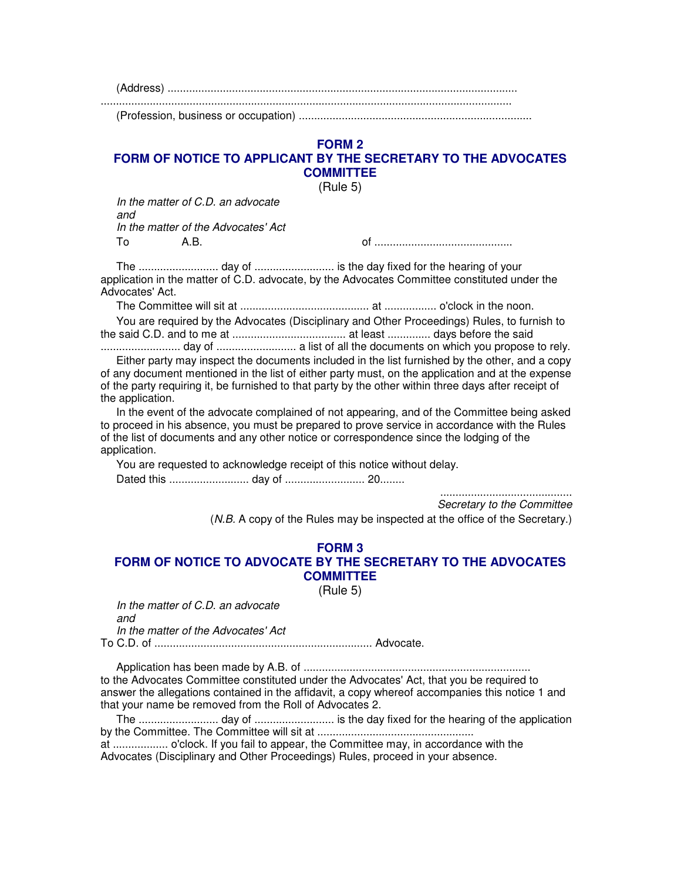(Address) ..................................................................................................................

......................................................................................................................................

(Profession, business or occupation) ............................................................................

#### **FORM 2 FORM OF NOTICE TO APPLICANT BY THE SECRETARY TO THE ADVOCATES COMMITTEE**

(Rule 5)

In the matter of C.D. an advocate and In the matter of the Advocates' Act To A.B. of .............................................

The .......................... day of .......................... is the day fixed for the hearing of your application in the matter of C.D. advocate, by the Advocates Committee constituted under the Advocates' Act.

The Committee will sit at .......................................... at ................. o'clock in the noon.

You are required by the Advocates (Disciplinary and Other Proceedings) Rules, to furnish to the said C.D. and to me at ..................................... at least .............. days before the said

.......................... day of .......................... a list of all the documents on which you propose to rely. Either party may inspect the documents included in the list furnished by the other, and a copy of any document mentioned in the list of either party must, on the application and at the expense of the party requiring it, be furnished to that party by the other within three days after receipt of the application.

In the event of the advocate complained of not appearing, and of the Committee being asked to proceed in his absence, you must be prepared to prove service in accordance with the Rules of the list of documents and any other notice or correspondence since the lodging of the application.

You are requested to acknowledge receipt of this notice without delay.

Dated this .......................... day of .......................... 20........

........................................... Secretary to the Committee

(N.B. A copy of the Rules may be inspected at the office of the Secretary.)

## **FORM 3 FORM OF NOTICE TO ADVOCATE BY THE SECRETARY TO THE ADVOCATES COMMITTEE**

(Rule 5)

In the matter of C.D. an advocate and In the matter of the Advocates' Act

To C.D. of ....................................................................... Advocate.

Application has been made by A.B. of .......................................................................... to the Advocates Committee constituted under the Advocates' Act, that you be required to answer the allegations contained in the affidavit, a copy whereof accompanies this notice 1 and that your name be removed from the Roll of Advocates 2.

The .......................... day of .......................... is the day fixed for the hearing of the application by the Committee. The Committee will sit at ...................................................

at .................. o'clock. If you fail to appear, the Committee may, in accordance with the Advocates (Disciplinary and Other Proceedings) Rules, proceed in your absence.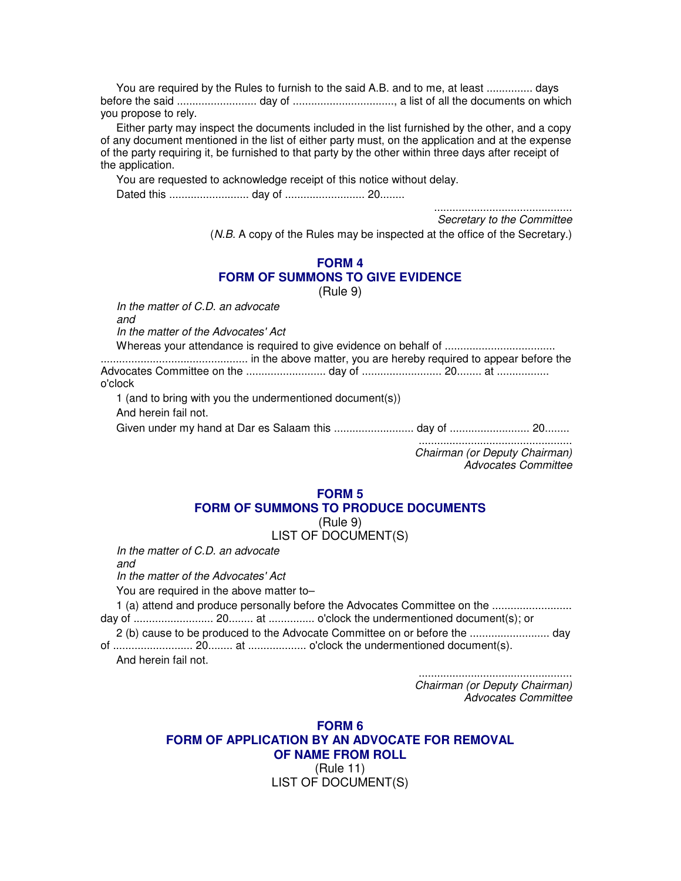You are required by the Rules to furnish to the said A.B. and to me, at least ............... days before the said .......................... day of ................................., a list of all the documents on which you propose to rely.

Either party may inspect the documents included in the list furnished by the other, and a copy of any document mentioned in the list of either party must, on the application and at the expense of the party requiring it, be furnished to that party by the other within three days after receipt of the application.

You are requested to acknowledge receipt of this notice without delay.

Dated this .......................... day of .......................... 20........

............................................. Secretary to the Committee

(N.B. A copy of the Rules may be inspected at the office of the Secretary.)

#### **FORM 4 FORM OF SUMMONS TO GIVE EVIDENCE**

(Rule 9)

In the matter of C.D. an advocate

and

In the matter of the Advocates' Act

Whereas your attendance is required to give evidence on behalf of .................................... ................................................ in the above matter, you are hereby required to appear before the Advocates Committee on the .......................... day of .......................... 20........ at ................. o'clock 1 (and to bring with you the undermentioned document(s))

And herein fail not.

Given under my hand at Dar es Salaam this .......................... day of .......................... 20........

.................................................. Chairman (or Deputy Chairman) Advocates Committee

## **FORM 5 FORM OF SUMMONS TO PRODUCE DOCUMENTS**

(Rule 9)

## LIST OF DOCUMENT(S)

In the matter of C.D. an advocate

and

In the matter of the Advocates' Act

You are required in the above matter to–

1 (a) attend and produce personally before the Advocates Committee on the .......................... day of .......................... 20........ at ............... o'clock the undermentioned document(s); or

2 (b) cause to be produced to the Advocate Committee on or before the .......................... day of .......................... 20........ at ................... o'clock the undermentioned document(s).

And herein fail not.

.................................................. Chairman (or Deputy Chairman) Advocates Committee

**FORM 6 FORM OF APPLICATION BY AN ADVOCATE FOR REMOVAL OF NAME FROM ROLL** (Rule 11) LIST OF DOCUMENT(S)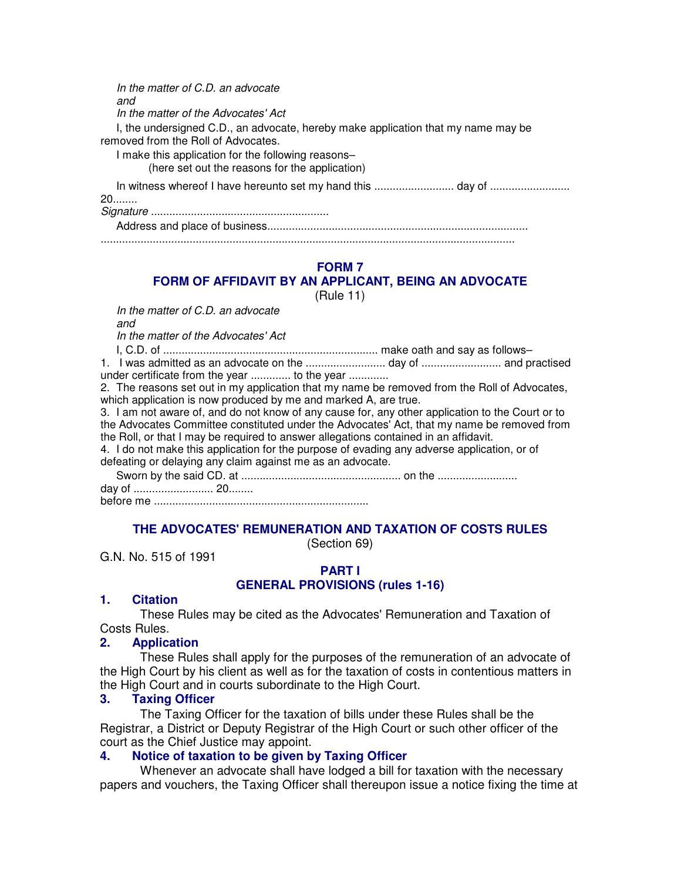In the matter of C.D. an advocate and In the matter of the Advocates' Act I, the undersigned C.D., an advocate, hereby make application that my name may be removed from the Roll of Advocates. I make this application for the following reasons– (here set out the reasons for the application) In witness whereof I have hereunto set my hand this ............................. day of ..................... 20........ Signature .......................................................... Address and place of business..................................................................................... .......................................................................................................................................

## **FORM 7**

## **FORM OF AFFIDAVIT BY AN APPLICANT, BEING AN ADVOCATE**

(Rule 11)

In the matter of C.D. an advocate

and

In the matter of the Advocates' Act

I, C.D. of ...................................................................... make oath and say as follows–

1. I was admitted as an advocate on the .......................... day of .......................... and practised under certificate from the year .............. to the year ..............

2. The reasons set out in my application that my name be removed from the Roll of Advocates, which application is now produced by me and marked A, are true.

3. I am not aware of, and do not know of any cause for, any other application to the Court or to the Advocates Committee constituted under the Advocates' Act, that my name be removed from the Roll, or that I may be required to answer allegations contained in an affidavit.

4. I do not make this application for the purpose of evading any adverse application, or of defeating or delaying any claim against me as an advocate.

Sworn by the said CD. at .................................................... on the ..........................

day of .......................... 20........

before me ......................................................................

## **THE ADVOCATES' REMUNERATION AND TAXATION OF COSTS RULES**

(Section 69)

G.N. No. 515 of 1991

## **PART I GENERAL PROVISIONS (rules 1-16)**

#### **1. Citation**

These Rules may be cited as the Advocates' Remuneration and Taxation of Costs Rules.

## **2. Application**

These Rules shall apply for the purposes of the remuneration of an advocate of the High Court by his client as well as for the taxation of costs in contentious matters in the High Court and in courts subordinate to the High Court.

#### **3. Taxing Officer**

The Taxing Officer for the taxation of bills under these Rules shall be the Registrar, a District or Deputy Registrar of the High Court or such other officer of the court as the Chief Justice may appoint.

## **4. Notice of taxation to be given by Taxing Officer**

Whenever an advocate shall have lodged a bill for taxation with the necessary papers and vouchers, the Taxing Officer shall thereupon issue a notice fixing the time at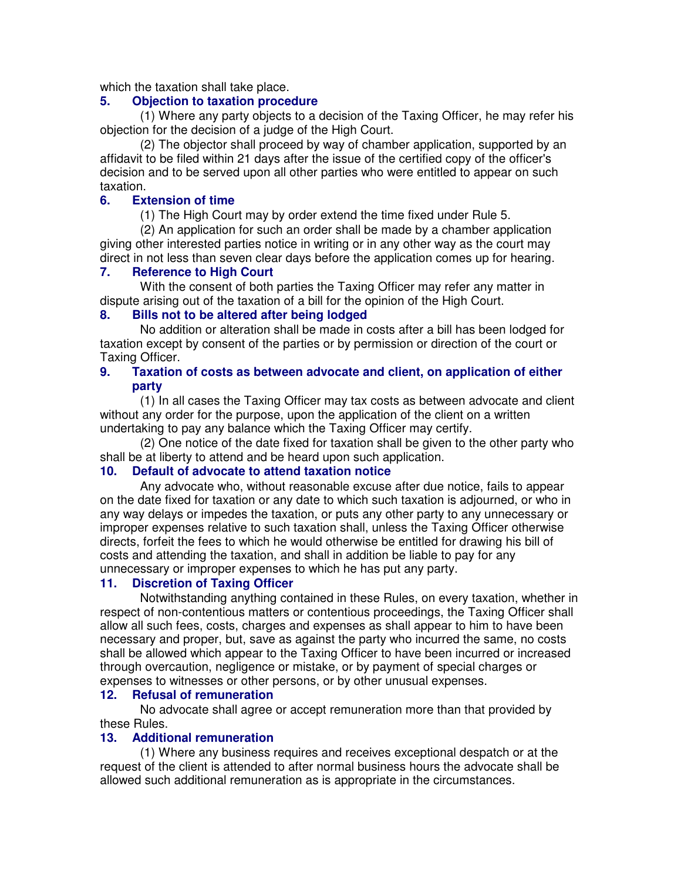which the taxation shall take place.

#### **5. Objection to taxation procedure**

(1) Where any party objects to a decision of the Taxing Officer, he may refer his objection for the decision of a judge of the High Court.

(2) The objector shall proceed by way of chamber application, supported by an affidavit to be filed within 21 days after the issue of the certified copy of the officer's decision and to be served upon all other parties who were entitled to appear on such taxation.

## **6. Extension of time**

(1) The High Court may by order extend the time fixed under Rule 5.

(2) An application for such an order shall be made by a chamber application giving other interested parties notice in writing or in any other way as the court may direct in not less than seven clear days before the application comes up for hearing.

## **7. Reference to High Court**

With the consent of both parties the Taxing Officer may refer any matter in dispute arising out of the taxation of a bill for the opinion of the High Court.

## **8. Bills not to be altered after being lodged**

No addition or alteration shall be made in costs after a bill has been lodged for taxation except by consent of the parties or by permission or direction of the court or Taxing Officer.

## **9. Taxation of costs as between advocate and client, on application of either party**

(1) In all cases the Taxing Officer may tax costs as between advocate and client without any order for the purpose, upon the application of the client on a written undertaking to pay any balance which the Taxing Officer may certify.

(2) One notice of the date fixed for taxation shall be given to the other party who shall be at liberty to attend and be heard upon such application.

## **10. Default of advocate to attend taxation notice**

Any advocate who, without reasonable excuse after due notice, fails to appear on the date fixed for taxation or any date to which such taxation is adjourned, or who in any way delays or impedes the taxation, or puts any other party to any unnecessary or improper expenses relative to such taxation shall, unless the Taxing Officer otherwise directs, forfeit the fees to which he would otherwise be entitled for drawing his bill of costs and attending the taxation, and shall in addition be liable to pay for any unnecessary or improper expenses to which he has put any party.

## **11. Discretion of Taxing Officer**

Notwithstanding anything contained in these Rules, on every taxation, whether in respect of non-contentious matters or contentious proceedings, the Taxing Officer shall allow all such fees, costs, charges and expenses as shall appear to him to have been necessary and proper, but, save as against the party who incurred the same, no costs shall be allowed which appear to the Taxing Officer to have been incurred or increased through overcaution, negligence or mistake, or by payment of special charges or expenses to witnesses or other persons, or by other unusual expenses.

## **12. Refusal of remuneration**

No advocate shall agree or accept remuneration more than that provided by these Rules.

#### **13. Additional remuneration**

(1) Where any business requires and receives exceptional despatch or at the request of the client is attended to after normal business hours the advocate shall be allowed such additional remuneration as is appropriate in the circumstances.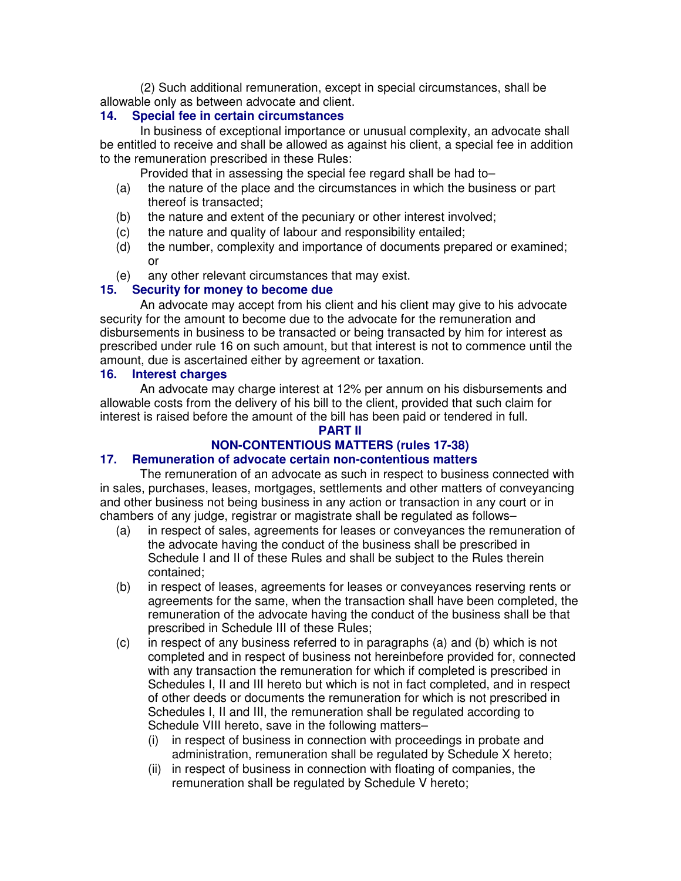(2) Such additional remuneration, except in special circumstances, shall be allowable only as between advocate and client.

## **14. Special fee in certain circumstances**

In business of exceptional importance or unusual complexity, an advocate shall be entitled to receive and shall be allowed as against his client, a special fee in addition to the remuneration prescribed in these Rules:

Provided that in assessing the special fee regard shall be had to–

- (a) the nature of the place and the circumstances in which the business or part thereof is transacted;
- (b) the nature and extent of the pecuniary or other interest involved;
- (c) the nature and quality of labour and responsibility entailed;
- (d) the number, complexity and importance of documents prepared or examined; or
- (e) any other relevant circumstances that may exist.

## **15. Security for money to become due**

An advocate may accept from his client and his client may give to his advocate security for the amount to become due to the advocate for the remuneration and disbursements in business to be transacted or being transacted by him for interest as prescribed under rule 16 on such amount, but that interest is not to commence until the amount, due is ascertained either by agreement or taxation.

#### **16. Interest charges**

An advocate may charge interest at 12% per annum on his disbursements and allowable costs from the delivery of his bill to the client, provided that such claim for interest is raised before the amount of the bill has been paid or tendered in full.

#### **PART II**

# **NON-CONTENTIOUS MATTERS (rules 17-38)**

## **17. Remuneration of advocate certain non-contentious matters**

The remuneration of an advocate as such in respect to business connected with in sales, purchases, leases, mortgages, settlements and other matters of conveyancing and other business not being business in any action or transaction in any court or in chambers of any judge, registrar or magistrate shall be regulated as follows–

- (a) in respect of sales, agreements for leases or conveyances the remuneration of the advocate having the conduct of the business shall be prescribed in Schedule I and II of these Rules and shall be subject to the Rules therein contained;
- (b) in respect of leases, agreements for leases or conveyances reserving rents or agreements for the same, when the transaction shall have been completed, the remuneration of the advocate having the conduct of the business shall be that prescribed in Schedule III of these Rules;
- (c) in respect of any business referred to in paragraphs (a) and (b) which is not completed and in respect of business not hereinbefore provided for, connected with any transaction the remuneration for which if completed is prescribed in Schedules I, II and III hereto but which is not in fact completed, and in respect of other deeds or documents the remuneration for which is not prescribed in Schedules I, II and III, the remuneration shall be regulated according to Schedule VIII hereto, save in the following matters–
	- (i) in respect of business in connection with proceedings in probate and administration, remuneration shall be regulated by Schedule X hereto;
	- (ii) in respect of business in connection with floating of companies, the remuneration shall be regulated by Schedule V hereto;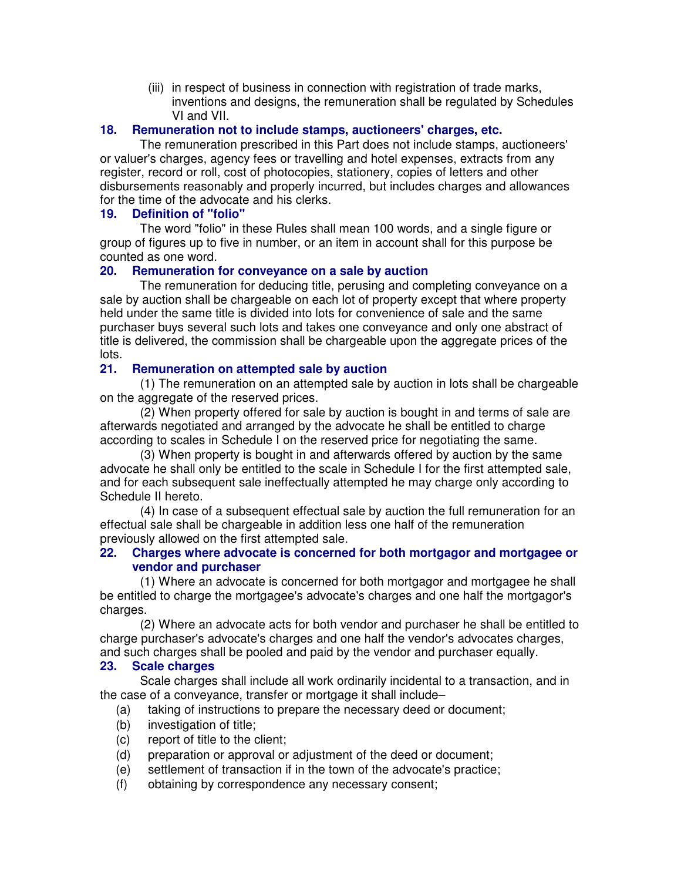(iii) in respect of business in connection with registration of trade marks, inventions and designs, the remuneration shall be regulated by Schedules VI and VII.

## **18. Remuneration not to include stamps, auctioneers' charges, etc.**

The remuneration prescribed in this Part does not include stamps, auctioneers' or valuer's charges, agency fees or travelling and hotel expenses, extracts from any register, record or roll, cost of photocopies, stationery, copies of letters and other disbursements reasonably and properly incurred, but includes charges and allowances for the time of the advocate and his clerks.

## **19. Definition of "folio"**

The word "folio" in these Rules shall mean 100 words, and a single figure or group of figures up to five in number, or an item in account shall for this purpose be counted as one word.

## **20. Remuneration for conveyance on a sale by auction**

The remuneration for deducing title, perusing and completing conveyance on a sale by auction shall be chargeable on each lot of property except that where property held under the same title is divided into lots for convenience of sale and the same purchaser buys several such lots and takes one conveyance and only one abstract of title is delivered, the commission shall be chargeable upon the aggregate prices of the lots.

## **21. Remuneration on attempted sale by auction**

(1) The remuneration on an attempted sale by auction in lots shall be chargeable on the aggregate of the reserved prices.

(2) When property offered for sale by auction is bought in and terms of sale are afterwards negotiated and arranged by the advocate he shall be entitled to charge according to scales in Schedule I on the reserved price for negotiating the same.

(3) When property is bought in and afterwards offered by auction by the same advocate he shall only be entitled to the scale in Schedule I for the first attempted sale, and for each subsequent sale ineffectually attempted he may charge only according to Schedule II hereto.

(4) In case of a subsequent effectual sale by auction the full remuneration for an effectual sale shall be chargeable in addition less one half of the remuneration previously allowed on the first attempted sale.

## **22. Charges where advocate is concerned for both mortgagor and mortgagee or vendor and purchaser**

(1) Where an advocate is concerned for both mortgagor and mortgagee he shall be entitled to charge the mortgagee's advocate's charges and one half the mortgagor's charges.

(2) Where an advocate acts for both vendor and purchaser he shall be entitled to charge purchaser's advocate's charges and one half the vendor's advocates charges, and such charges shall be pooled and paid by the vendor and purchaser equally.

#### **23. Scale charges**

Scale charges shall include all work ordinarily incidental to a transaction, and in the case of a conveyance, transfer or mortgage it shall include–

- (a) taking of instructions to prepare the necessary deed or document;
- (b) investigation of title;
- (c) report of title to the client;
- (d) preparation or approval or adjustment of the deed or document;
- (e) settlement of transaction if in the town of the advocate's practice;
- (f) obtaining by correspondence any necessary consent;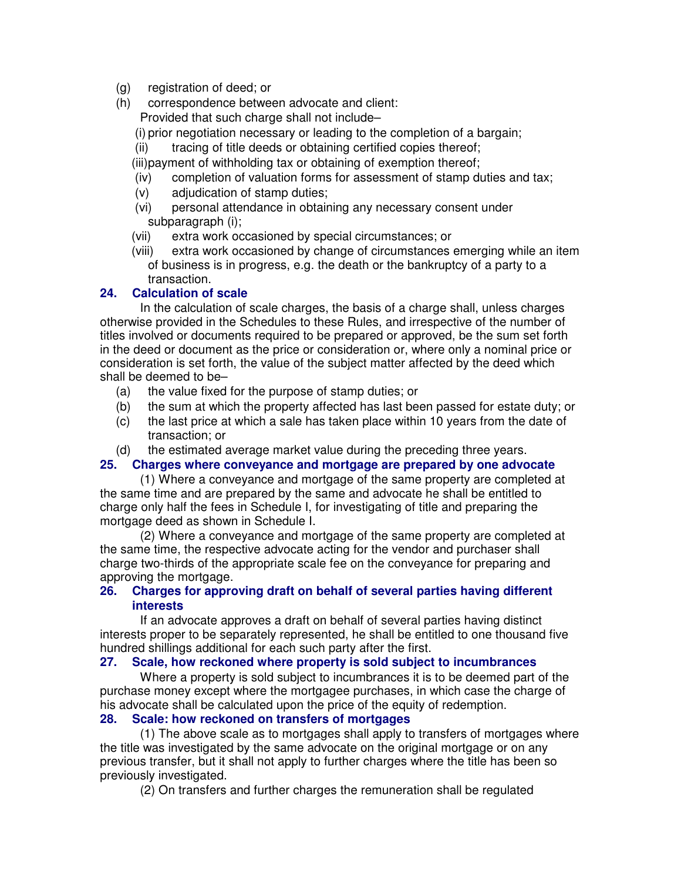- (g) registration of deed; or
- (h) correspondence between advocate and client: Provided that such charge shall not include–
	- (i) prior negotiation necessary or leading to the completion of a bargain;
	- (ii) tracing of title deeds or obtaining certified copies thereof;
	- (iii)payment of withholding tax or obtaining of exemption thereof;
	- (iv) completion of valuation forms for assessment of stamp duties and tax;
	- (v) adjudication of stamp duties;
	- (vi) personal attendance in obtaining any necessary consent under subparagraph (i);
	- (vii) extra work occasioned by special circumstances; or
	- (viii) extra work occasioned by change of circumstances emerging while an item of business is in progress, e.g. the death or the bankruptcy of a party to a transaction.

## **24. Calculation of scale**

In the calculation of scale charges, the basis of a charge shall, unless charges otherwise provided in the Schedules to these Rules, and irrespective of the number of titles involved or documents required to be prepared or approved, be the sum set forth in the deed or document as the price or consideration or, where only a nominal price or consideration is set forth, the value of the subject matter affected by the deed which shall be deemed to be–

- (a) the value fixed for the purpose of stamp duties; or
- (b) the sum at which the property affected has last been passed for estate duty; or
- (c) the last price at which a sale has taken place within 10 years from the date of transaction; or
- (d) the estimated average market value during the preceding three years.

## **25. Charges where conveyance and mortgage are prepared by one advocate**

(1) Where a conveyance and mortgage of the same property are completed at the same time and are prepared by the same and advocate he shall be entitled to charge only half the fees in Schedule I, for investigating of title and preparing the mortgage deed as shown in Schedule I.

(2) Where a conveyance and mortgage of the same property are completed at the same time, the respective advocate acting for the vendor and purchaser shall charge two-thirds of the appropriate scale fee on the conveyance for preparing and approving the mortgage.

## **26. Charges for approving draft on behalf of several parties having different interests**

If an advocate approves a draft on behalf of several parties having distinct interests proper to be separately represented, he shall be entitled to one thousand five hundred shillings additional for each such party after the first.

## **27. Scale, how reckoned where property is sold subject to incumbrances**

Where a property is sold subject to incumbrances it is to be deemed part of the purchase money except where the mortgagee purchases, in which case the charge of his advocate shall be calculated upon the price of the equity of redemption.

# **28. Scale: how reckoned on transfers of mortgages**

(1) The above scale as to mortgages shall apply to transfers of mortgages where the title was investigated by the same advocate on the original mortgage or on any previous transfer, but it shall not apply to further charges where the title has been so previously investigated.

(2) On transfers and further charges the remuneration shall be regulated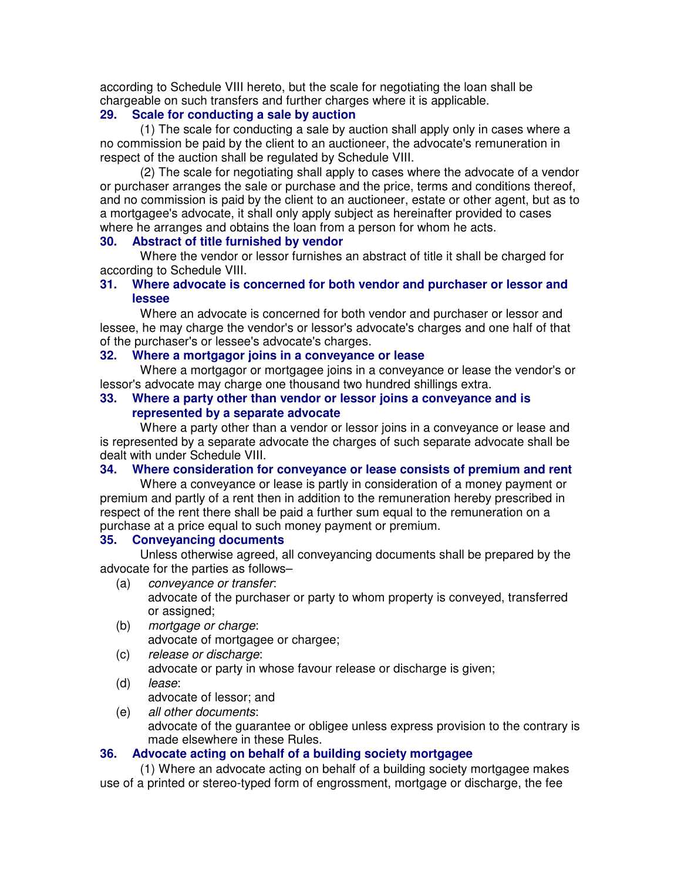according to Schedule VIII hereto, but the scale for negotiating the loan shall be chargeable on such transfers and further charges where it is applicable.

## **29. Scale for conducting a sale by auction**

(1) The scale for conducting a sale by auction shall apply only in cases where a no commission be paid by the client to an auctioneer, the advocate's remuneration in respect of the auction shall be regulated by Schedule VIII.

(2) The scale for negotiating shall apply to cases where the advocate of a vendor or purchaser arranges the sale or purchase and the price, terms and conditions thereof, and no commission is paid by the client to an auctioneer, estate or other agent, but as to a mortgagee's advocate, it shall only apply subject as hereinafter provided to cases where he arranges and obtains the loan from a person for whom he acts.

## **30. Abstract of title furnished by vendor**

Where the vendor or lessor furnishes an abstract of title it shall be charged for according to Schedule VIII.

## **31. Where advocate is concerned for both vendor and purchaser or lessor and lessee**

Where an advocate is concerned for both vendor and purchaser or lessor and lessee, he may charge the vendor's or lessor's advocate's charges and one half of that of the purchaser's or lessee's advocate's charges.

## **32. Where a mortgagor joins in a conveyance or lease**

Where a mortgagor or mortgagee joins in a conveyance or lease the vendor's or lessor's advocate may charge one thousand two hundred shillings extra.

## **33. Where a party other than vendor or lessor joins a conveyance and is represented by a separate advocate**

Where a party other than a vendor or lessor joins in a conveyance or lease and is represented by a separate advocate the charges of such separate advocate shall be dealt with under Schedule VIII.

## **34. Where consideration for conveyance or lease consists of premium and rent**

Where a conveyance or lease is partly in consideration of a money payment or premium and partly of a rent then in addition to the remuneration hereby prescribed in respect of the rent there shall be paid a further sum equal to the remuneration on a purchase at a price equal to such money payment or premium.

## **35. Conveyancing documents**

Unless otherwise agreed, all conveyancing documents shall be prepared by the advocate for the parties as follows–

- (a) conveyance or transfer: advocate of the purchaser or party to whom property is conveyed, transferred or assigned;
- (b) mortgage or charge: advocate of mortgagee or chargee;
- (c) release or discharge:

advocate or party in whose favour release or discharge is given;

(d) lease:

advocate of lessor; and

(e) all other documents:

advocate of the guarantee or obligee unless express provision to the contrary is made elsewhere in these Rules.

## **36. Advocate acting on behalf of a building society mortgagee**

(1) Where an advocate acting on behalf of a building society mortgagee makes use of a printed or stereo-typed form of engrossment, mortgage or discharge, the fee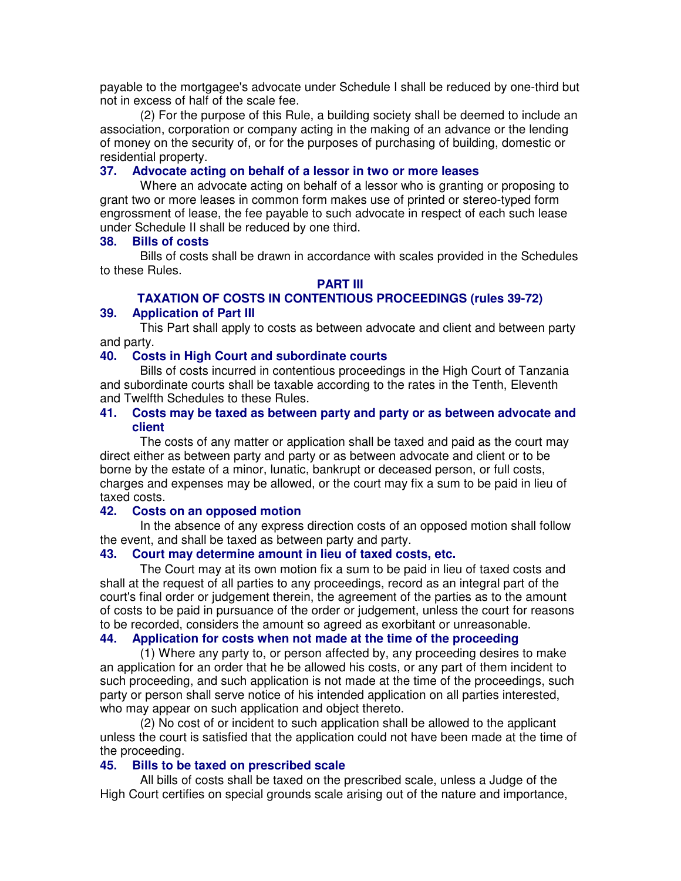payable to the mortgagee's advocate under Schedule I shall be reduced by one-third but not in excess of half of the scale fee.

(2) For the purpose of this Rule, a building society shall be deemed to include an association, corporation or company acting in the making of an advance or the lending of money on the security of, or for the purposes of purchasing of building, domestic or residential property.

## **37. Advocate acting on behalf of a lessor in two or more leases**

Where an advocate acting on behalf of a lessor who is granting or proposing to grant two or more leases in common form makes use of printed or stereo-typed form engrossment of lease, the fee payable to such advocate in respect of each such lease under Schedule II shall be reduced by one third.

#### **38. Bills of costs**

Bills of costs shall be drawn in accordance with scales provided in the Schedules to these Rules.

#### **PART III**

# **TAXATION OF COSTS IN CONTENTIOUS PROCEEDINGS (rules 39-72)**

# **39. Application of Part III**

This Part shall apply to costs as between advocate and client and between party and party.

#### **40. Costs in High Court and subordinate courts**

Bills of costs incurred in contentious proceedings in the High Court of Tanzania and subordinate courts shall be taxable according to the rates in the Tenth, Eleventh and Twelfth Schedules to these Rules.

#### **41. Costs may be taxed as between party and party or as between advocate and client**

The costs of any matter or application shall be taxed and paid as the court may direct either as between party and party or as between advocate and client or to be borne by the estate of a minor, lunatic, bankrupt or deceased person, or full costs, charges and expenses may be allowed, or the court may fix a sum to be paid in lieu of taxed costs.

#### **42. Costs on an opposed motion**

In the absence of any express direction costs of an opposed motion shall follow the event, and shall be taxed as between party and party.

#### **43. Court may determine amount in lieu of taxed costs, etc.**

The Court may at its own motion fix a sum to be paid in lieu of taxed costs and shall at the request of all parties to any proceedings, record as an integral part of the court's final order or judgement therein, the agreement of the parties as to the amount of costs to be paid in pursuance of the order or judgement, unless the court for reasons to be recorded, considers the amount so agreed as exorbitant or unreasonable.

### **44. Application for costs when not made at the time of the proceeding**

(1) Where any party to, or person affected by, any proceeding desires to make an application for an order that he be allowed his costs, or any part of them incident to such proceeding, and such application is not made at the time of the proceedings, such party or person shall serve notice of his intended application on all parties interested, who may appear on such application and object thereto.

(2) No cost of or incident to such application shall be allowed to the applicant unless the court is satisfied that the application could not have been made at the time of the proceeding.

#### **45. Bills to be taxed on prescribed scale**

All bills of costs shall be taxed on the prescribed scale, unless a Judge of the High Court certifies on special grounds scale arising out of the nature and importance,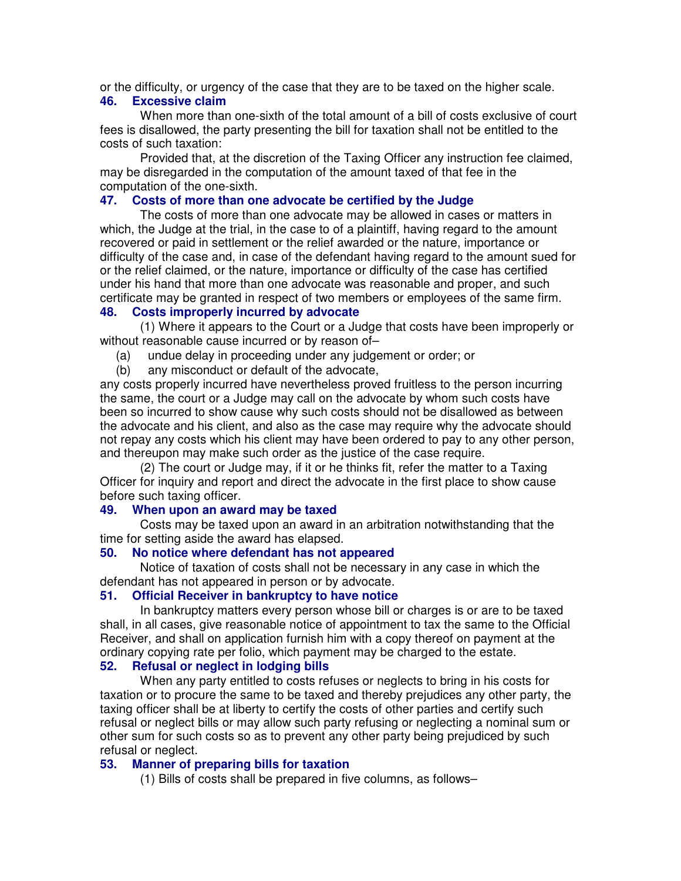or the difficulty, or urgency of the case that they are to be taxed on the higher scale.

#### **46. Excessive claim**

When more than one-sixth of the total amount of a bill of costs exclusive of court fees is disallowed, the party presenting the bill for taxation shall not be entitled to the costs of such taxation:

Provided that, at the discretion of the Taxing Officer any instruction fee claimed, may be disregarded in the computation of the amount taxed of that fee in the computation of the one-sixth.

## **47. Costs of more than one advocate be certified by the Judge**

The costs of more than one advocate may be allowed in cases or matters in which, the Judge at the trial, in the case to of a plaintiff, having regard to the amount recovered or paid in settlement or the relief awarded or the nature, importance or difficulty of the case and, in case of the defendant having regard to the amount sued for or the relief claimed, or the nature, importance or difficulty of the case has certified under his hand that more than one advocate was reasonable and proper, and such certificate may be granted in respect of two members or employees of the same firm.

## **48. Costs improperly incurred by advocate**

(1) Where it appears to the Court or a Judge that costs have been improperly or without reasonable cause incurred or by reason of–

- (a) undue delay in proceeding under any judgement or order; or
- (b) any misconduct or default of the advocate,

any costs properly incurred have nevertheless proved fruitless to the person incurring the same, the court or a Judge may call on the advocate by whom such costs have been so incurred to show cause why such costs should not be disallowed as between the advocate and his client, and also as the case may require why the advocate should not repay any costs which his client may have been ordered to pay to any other person, and thereupon may make such order as the justice of the case require.

(2) The court or Judge may, if it or he thinks fit, refer the matter to a Taxing Officer for inquiry and report and direct the advocate in the first place to show cause before such taxing officer.

## **49. When upon an award may be taxed**

Costs may be taxed upon an award in an arbitration notwithstanding that the time for setting aside the award has elapsed.

## **50. No notice where defendant has not appeared**

Notice of taxation of costs shall not be necessary in any case in which the defendant has not appeared in person or by advocate.

## **51. Official Receiver in bankruptcy to have notice**

In bankruptcy matters every person whose bill or charges is or are to be taxed shall, in all cases, give reasonable notice of appointment to tax the same to the Official Receiver, and shall on application furnish him with a copy thereof on payment at the ordinary copying rate per folio, which payment may be charged to the estate.

## **52. Refusal or neglect in lodging bills**

When any party entitled to costs refuses or neglects to bring in his costs for taxation or to procure the same to be taxed and thereby prejudices any other party, the taxing officer shall be at liberty to certify the costs of other parties and certify such refusal or neglect bills or may allow such party refusing or neglecting a nominal sum or other sum for such costs so as to prevent any other party being prejudiced by such refusal or neglect.

## **53. Manner of preparing bills for taxation**

(1) Bills of costs shall be prepared in five columns, as follows–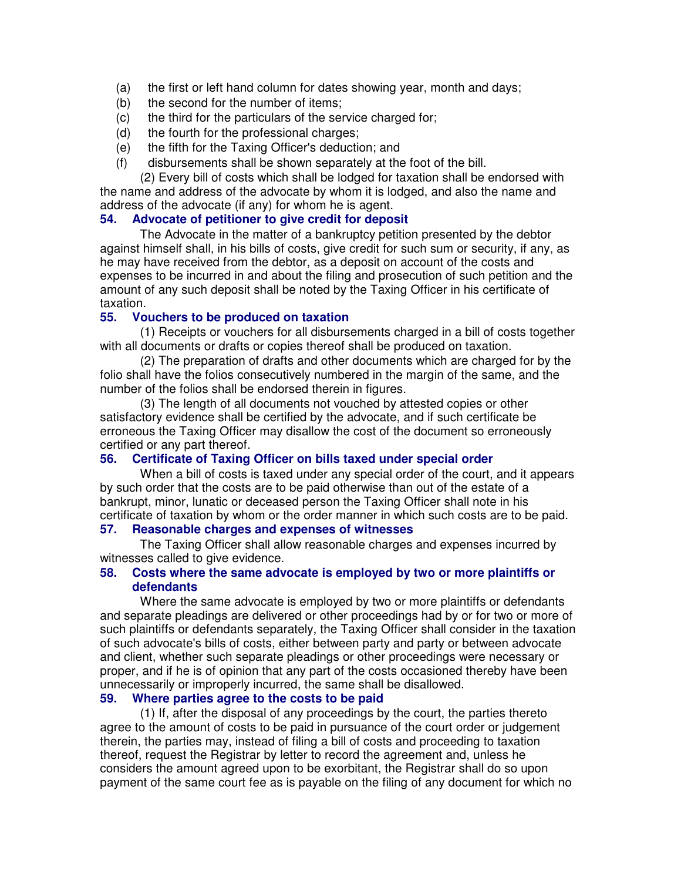- (a) the first or left hand column for dates showing year, month and days;
- (b) the second for the number of items;
- (c) the third for the particulars of the service charged for;
- (d) the fourth for the professional charges;
- (e) the fifth for the Taxing Officer's deduction; and
- (f) disbursements shall be shown separately at the foot of the bill.

(2) Every bill of costs which shall be lodged for taxation shall be endorsed with the name and address of the advocate by whom it is lodged, and also the name and address of the advocate (if any) for whom he is agent.

## **54. Advocate of petitioner to give credit for deposit**

The Advocate in the matter of a bankruptcy petition presented by the debtor against himself shall, in his bills of costs, give credit for such sum or security, if any, as he may have received from the debtor, as a deposit on account of the costs and expenses to be incurred in and about the filing and prosecution of such petition and the amount of any such deposit shall be noted by the Taxing Officer in his certificate of taxation.

## **55. Vouchers to be produced on taxation**

(1) Receipts or vouchers for all disbursements charged in a bill of costs together with all documents or drafts or copies thereof shall be produced on taxation.

(2) The preparation of drafts and other documents which are charged for by the folio shall have the folios consecutively numbered in the margin of the same, and the number of the folios shall be endorsed therein in figures.

(3) The length of all documents not vouched by attested copies or other satisfactory evidence shall be certified by the advocate, and if such certificate be erroneous the Taxing Officer may disallow the cost of the document so erroneously certified or any part thereof.

#### **56. Certificate of Taxing Officer on bills taxed under special order**

When a bill of costs is taxed under any special order of the court, and it appears by such order that the costs are to be paid otherwise than out of the estate of a bankrupt, minor, lunatic or deceased person the Taxing Officer shall note in his certificate of taxation by whom or the order manner in which such costs are to be paid.

## **57. Reasonable charges and expenses of witnesses**

The Taxing Officer shall allow reasonable charges and expenses incurred by witnesses called to give evidence.

#### **58. Costs where the same advocate is employed by two or more plaintiffs or defendants**

Where the same advocate is employed by two or more plaintiffs or defendants and separate pleadings are delivered or other proceedings had by or for two or more of such plaintiffs or defendants separately, the Taxing Officer shall consider in the taxation of such advocate's bills of costs, either between party and party or between advocate and client, whether such separate pleadings or other proceedings were necessary or proper, and if he is of opinion that any part of the costs occasioned thereby have been unnecessarily or improperly incurred, the same shall be disallowed.

## **59. Where parties agree to the costs to be paid**

(1) If, after the disposal of any proceedings by the court, the parties thereto agree to the amount of costs to be paid in pursuance of the court order or judgement therein, the parties may, instead of filing a bill of costs and proceeding to taxation thereof, request the Registrar by letter to record the agreement and, unless he considers the amount agreed upon to be exorbitant, the Registrar shall do so upon payment of the same court fee as is payable on the filing of any document for which no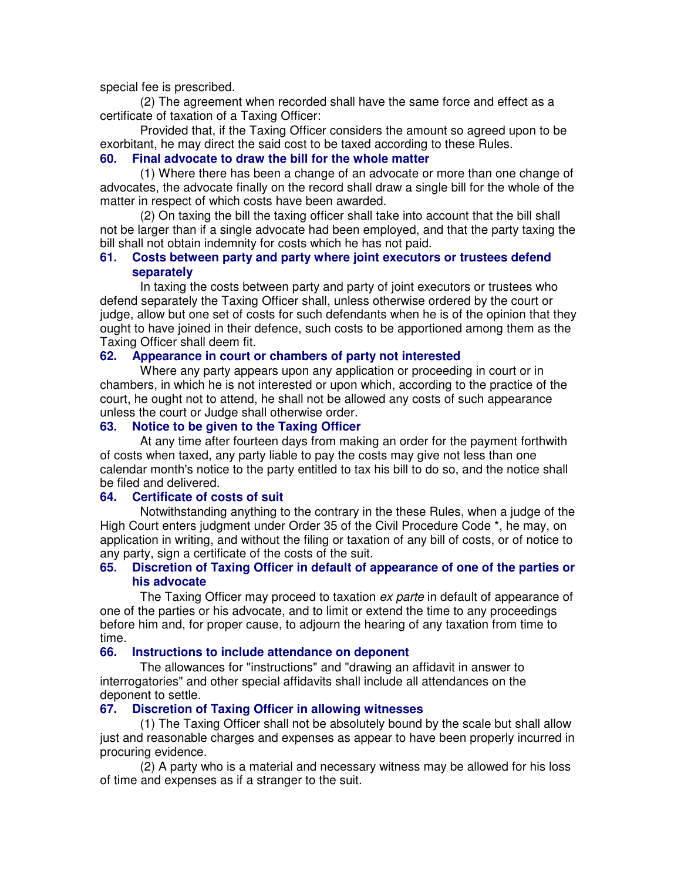special fee is prescribed.

(2) The agreement when recorded shall have the same force and effect as a certificate of taxation of a Taxing Officer:

Provided that, if the Taxing Officer considers the amount so agreed upon to be exorbitant, he may direct the said cost to be taxed according to these Rules.

# **60. Final advocate to draw the bill for the whole matter**

(1) Where there has been a change of an advocate or more than one change of advocates, the advocate finally on the record shall draw a single bill for the whole of the matter in respect of which costs have been awarded.

(2) On taxing the bill the taxing officer shall take into account that the bill shall not be larger than if a single advocate had been employed, and that the party taxing the bill shall not obtain indemnity for costs which he has not paid.

#### **61. Costs between party and party where joint executors or trustees defend separately**

In taxing the costs between party and party of joint executors or trustees who defend separately the Taxing Officer shall, unless otherwise ordered by the court or judge, allow but one set of costs for such defendants when he is of the opinion that they ought to have joined in their defence, such costs to be apportioned among them as the Taxing Officer shall deem fit.

#### **62. Appearance in court or chambers of party not interested**

Where any party appears upon any application or proceeding in court or in chambers, in which he is not interested or upon which, according to the practice of the court, he ought not to attend, he shall not be allowed any costs of such appearance unless the court or Judge shall otherwise order.

## **63. Notice to be given to the Taxing Officer**

At any time after fourteen days from making an order for the payment forthwith of costs when taxed, any party liable to pay the costs may give not less than one calendar month's notice to the party entitled to tax his bill to do so, and the notice shall be filed and delivered.

#### **64. Certificate of costs of suit**

Notwithstanding anything to the contrary in the these Rules, when a judge of the High Court enters judgment under Order 35 of the Civil Procedure Code \*, he may, on application in writing, and without the filing or taxation of any bill of costs, or of notice to any party, sign a certificate of the costs of the suit.

#### **65. Discretion of Taxing Officer in default of appearance of one of the parties or his advocate**

The Taxing Officer may proceed to taxation ex parte in default of appearance of one of the parties or his advocate, and to limit or extend the time to any proceedings before him and, for proper cause, to adjourn the hearing of any taxation from time to time.

#### **66. Instructions to include attendance on deponent**

The allowances for "instructions" and "drawing an affidavit in answer to interrogatories" and other special affidavits shall include all attendances on the deponent to settle.

## **67. Discretion of Taxing Officer in allowing witnesses**

(1) The Taxing Officer shall not be absolutely bound by the scale but shall allow just and reasonable charges and expenses as appear to have been properly incurred in procuring evidence.

(2) A party who is a material and necessary witness may be allowed for his loss of time and expenses as if a stranger to the suit.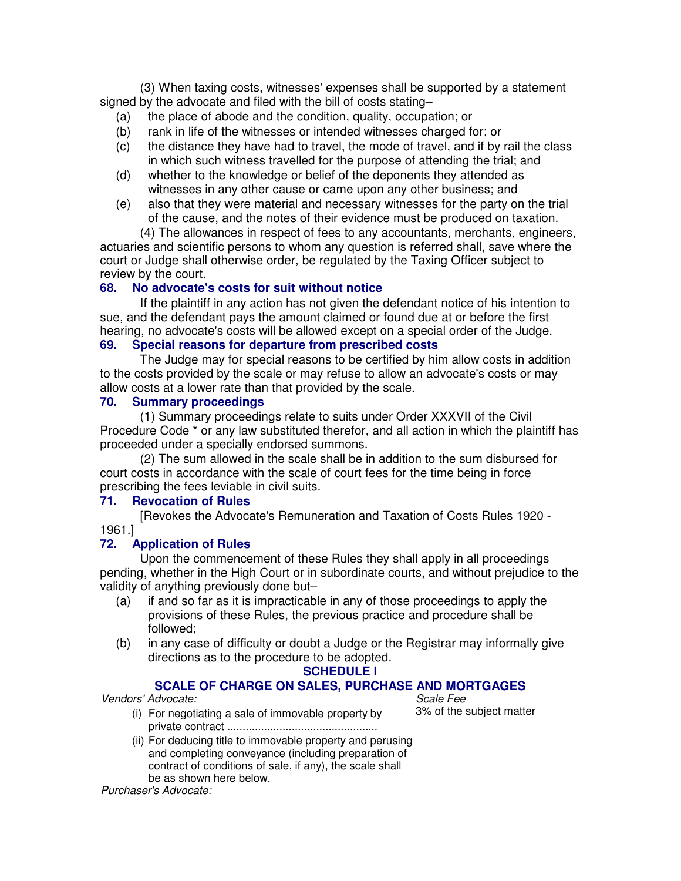(3) When taxing costs, witnesses' expenses shall be supported by a statement signed by the advocate and filed with the bill of costs stating–

- (a) the place of abode and the condition, quality, occupation; or
- (b) rank in life of the witnesses or intended witnesses charged for; or
- (c) the distance they have had to travel, the mode of travel, and if by rail the class in which such witness travelled for the purpose of attending the trial; and
- (d) whether to the knowledge or belief of the deponents they attended as witnesses in any other cause or came upon any other business; and
- (e) also that they were material and necessary witnesses for the party on the trial of the cause, and the notes of their evidence must be produced on taxation.

(4) The allowances in respect of fees to any accountants, merchants, engineers, actuaries and scientific persons to whom any question is referred shall, save where the court or Judge shall otherwise order, be regulated by the Taxing Officer subject to review by the court.

## **68. No advocate's costs for suit without notice**

If the plaintiff in any action has not given the defendant notice of his intention to sue, and the defendant pays the amount claimed or found due at or before the first hearing, no advocate's costs will be allowed except on a special order of the Judge.

## **69. Special reasons for departure from prescribed costs**

The Judge may for special reasons to be certified by him allow costs in addition to the costs provided by the scale or may refuse to allow an advocate's costs or may allow costs at a lower rate than that provided by the scale.

#### **70. Summary proceedings**

(1) Summary proceedings relate to suits under Order XXXVII of the Civil Procedure Code \* or any law substituted therefor, and all action in which the plaintiff has proceeded under a specially endorsed summons.

(2) The sum allowed in the scale shall be in addition to the sum disbursed for court costs in accordance with the scale of court fees for the time being in force prescribing the fees leviable in civil suits.

#### **71. Revocation of Rules**

[Revokes the Advocate's Remuneration and Taxation of Costs Rules 1920 - 1961.]

#### **72. Application of Rules**

Upon the commencement of these Rules they shall apply in all proceedings pending, whether in the High Court or in subordinate courts, and without prejudice to the validity of anything previously done but–

- (a) if and so far as it is impracticable in any of those proceedings to apply the provisions of these Rules, the previous practice and procedure shall be followed;
- (b) in any case of difficulty or doubt a Judge or the Registrar may informally give directions as to the procedure to be adopted.

#### **SCHEDULE I**

## **SCALE OF CHARGE ON SALES, PURCHASE AND MORTGAGES**

Vendors' Advocate: Scale Fee et al. (1990) Scale Fee et al. (1991) Scale Fee et al. (1991) Scale Fee et al. (1

- (i) For negotiating a sale of immovable property by private contract .................................................
- (ii) For deducing title to immovable property and perusing and completing conveyance (including preparation of contract of conditions of sale, if any), the scale shall be as shown here below.

Purchaser's Advocate:

3% of the subject matter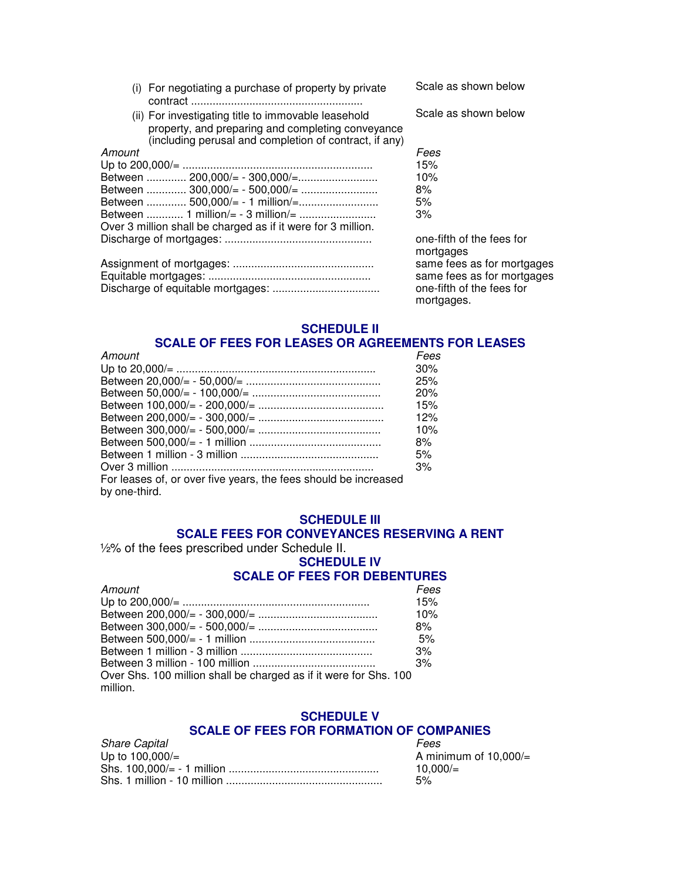| (i) For negotiating a purchase of property by private                                                                                                              | Scale as shown below                    |
|--------------------------------------------------------------------------------------------------------------------------------------------------------------------|-----------------------------------------|
| (ii) For investigating title to immovable leasehold<br>property, and preparing and completing conveyance<br>(including perusal and completion of contract, if any) | Scale as shown below                    |
| Amount                                                                                                                                                             | Fees                                    |
|                                                                                                                                                                    | 15%                                     |
|                                                                                                                                                                    | 10%                                     |
|                                                                                                                                                                    | 8%                                      |
| Between  500,000/= - 1 million/=                                                                                                                                   | 5%                                      |
| Between  1 million/= - 3 million/=                                                                                                                                 | 3%                                      |
| Over 3 million shall be charged as if it were for 3 million.                                                                                                       |                                         |
|                                                                                                                                                                    | one-fifth of the fees for<br>mortgages  |
|                                                                                                                                                                    | same fees as for mortgages              |
|                                                                                                                                                                    | same fees as for mortgages              |
|                                                                                                                                                                    | one-fifth of the fees for<br>mortgages. |

#### **SCHEDULE II SCALE OF FEES FOR LEASES OR AGREEMENTS FOR LEASES**

| Amount                                                          | Fees |
|-----------------------------------------------------------------|------|
|                                                                 | 30%  |
|                                                                 | 25%  |
|                                                                 | 20%  |
|                                                                 | 15%  |
|                                                                 | 12%  |
|                                                                 | 10%  |
|                                                                 | 8%   |
|                                                                 | 5%   |
|                                                                 | 3%   |
| For leases of, or over five years, the fees should be increased |      |
| by one-third.                                                   |      |

## **SCHEDULE III SCALE FEES FOR CONVEYANCES RESERVING A RENT**

½% of the fees prescribed under Schedule II.

# **SCHEDULE IV**

# **SCALE OF FEES FOR DEBENTURES**

| Amount                                                                        | Fees |
|-------------------------------------------------------------------------------|------|
|                                                                               | 15%  |
|                                                                               | 10%  |
|                                                                               | 8%   |
|                                                                               | 5%   |
|                                                                               | 3%   |
|                                                                               | 3%   |
| Over Shs. 100 million shall be charged as if it were for Shs. 100<br>million. |      |
|                                                                               |      |

#### **SCHEDULE V SCALE OF FEES FOR FORMATION OF COMPANIES**

| <b>Share Capital</b> | Fees                     |
|----------------------|--------------------------|
| Up to $100,000/$ =   | A minimum of 10.000/ $=$ |
|                      | $10.000 =$               |
|                      | 5%                       |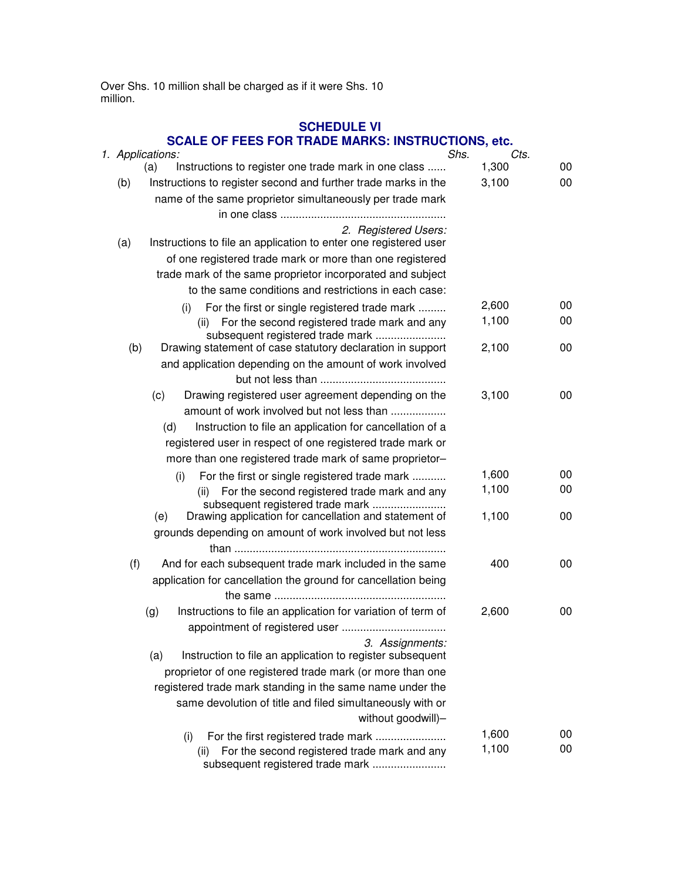Over Shs. 10 million shall be charged as if it were Shs. 10 million.

# **SCHEDULE VI**

# **SCALE OF FEES FOR TRADE MARKS: INSTRUCTIONS, etc.**

|     | 1. Applications:                                                                               | Shs. | Cts.  |    |
|-----|------------------------------------------------------------------------------------------------|------|-------|----|
|     | Instructions to register one trade mark in one class<br>(a)                                    |      | 1,300 | 00 |
| (b) | Instructions to register second and further trade marks in the                                 |      | 3,100 | 00 |
|     | name of the same proprietor simultaneously per trade mark                                      |      |       |    |
|     |                                                                                                |      |       |    |
|     | 2. Registered Users:                                                                           |      |       |    |
| (a) | Instructions to file an application to enter one registered user                               |      |       |    |
|     | of one registered trade mark or more than one registered                                       |      |       |    |
|     | trade mark of the same proprietor incorporated and subject                                     |      |       |    |
|     | to the same conditions and restrictions in each case:                                          |      |       |    |
|     | For the first or single registered trade mark<br>(i)                                           |      | 2,600 | 00 |
|     | For the second registered trade mark and any<br>(ii)                                           |      | 1,100 | 00 |
| (b) | subsequent registered trade mark<br>Drawing statement of case statutory declaration in support |      | 2,100 | 00 |
|     | and application depending on the amount of work involved                                       |      |       |    |
|     |                                                                                                |      |       |    |
|     | (c)<br>Drawing registered user agreement depending on the                                      |      | 3,100 | 00 |
|     | amount of work involved but not less than                                                      |      |       |    |
|     | Instruction to file an application for cancellation of a<br>(d)                                |      |       |    |
|     | registered user in respect of one registered trade mark or                                     |      |       |    |
|     | more than one registered trade mark of same proprietor-                                        |      |       |    |
|     | For the first or single registered trade mark<br>(i)                                           |      | 1,600 | 00 |
|     | For the second registered trade mark and any<br>(ii)                                           |      | 1,100 | 00 |
|     | subsequent registered trade mark                                                               |      |       |    |
|     | Drawing application for cancellation and statement of<br>(e)                                   |      | 1,100 | 00 |
|     | grounds depending on amount of work involved but not less                                      |      |       |    |
|     |                                                                                                |      |       |    |
| (f) | And for each subsequent trade mark included in the same                                        |      | 400   | 00 |
|     | application for cancellation the ground for cancellation being                                 |      |       |    |
|     |                                                                                                |      |       |    |
|     | Instructions to file an application for variation of term of<br>(g)                            |      | 2,600 | 00 |
|     |                                                                                                |      |       |    |
|     | 3. Assignments:<br>Instruction to file an application to register subsequent<br>(a)            |      |       |    |
|     | proprietor of one registered trade mark (or more than one                                      |      |       |    |
|     | registered trade mark standing in the same name under the                                      |      |       |    |
|     | same devolution of title and filed simultaneously with or                                      |      |       |    |
|     | without goodwill)-                                                                             |      |       |    |
|     | For the first registered trade mark<br>(i)                                                     |      | 1,600 | 00 |
|     | For the second registered trade mark and any<br>(ii)                                           |      | 1,100 | 00 |
|     | subsequent registered trade mark                                                               |      |       |    |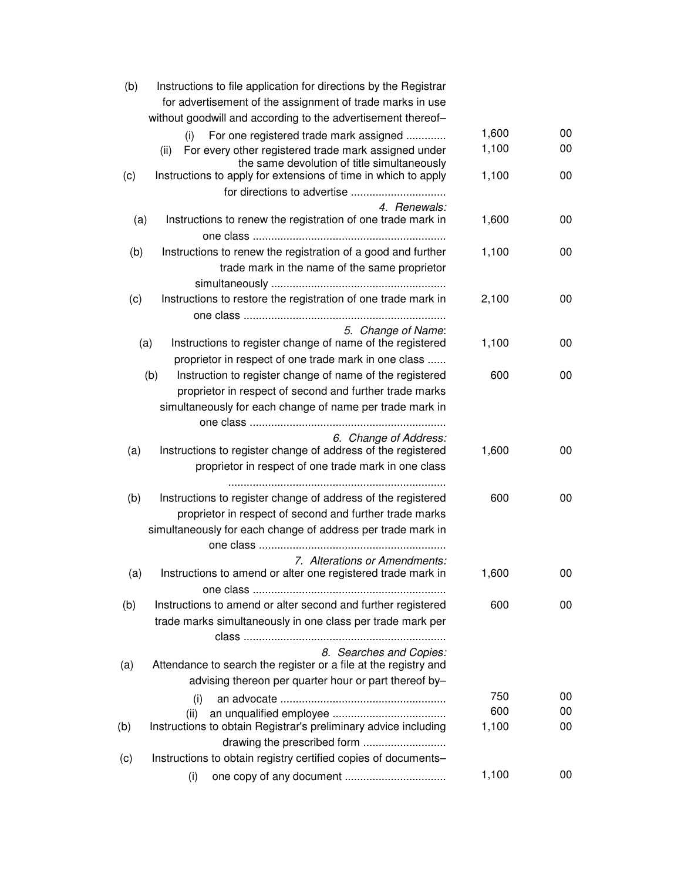| (b) | Instructions to file application for directions by the Registrar                                            |                |          |
|-----|-------------------------------------------------------------------------------------------------------------|----------------|----------|
|     | for advertisement of the assignment of trade marks in use                                                   |                |          |
|     | without goodwill and according to the advertisement thereof-                                                |                |          |
|     | For one registered trade mark assigned<br>(i)                                                               | 1,600<br>1,100 | 00<br>00 |
|     | For every other registered trade mark assigned under<br>(ii)<br>the same devolution of title simultaneously |                |          |
| (c) | Instructions to apply for extensions of time in which to apply                                              | 1,100          | 00       |
|     |                                                                                                             |                |          |
|     | 4. Renewals:                                                                                                |                |          |
| (a) | Instructions to renew the registration of one trade mark in                                                 | 1,600          | 00       |
|     |                                                                                                             |                |          |
| (b) | Instructions to renew the registration of a good and further                                                | 1,100          | 00       |
|     | trade mark in the name of the same proprietor                                                               |                |          |
|     |                                                                                                             |                |          |
| (c) | Instructions to restore the registration of one trade mark in                                               | 2,100          | 00       |
|     |                                                                                                             |                |          |
|     | 5. Change of Name:                                                                                          |                |          |
|     | (a)<br>Instructions to register change of name of the registered                                            | 1,100          | 00       |
|     | proprietor in respect of one trade mark in one class                                                        |                |          |
|     | Instruction to register change of name of the registered<br>(b)                                             | 600            | 00       |
|     | proprietor in respect of second and further trade marks                                                     |                |          |
|     | simultaneously for each change of name per trade mark in                                                    |                |          |
|     |                                                                                                             |                |          |
|     | 6. Change of Address:                                                                                       |                |          |
| (a) | Instructions to register change of address of the registered                                                | 1,600          | 00       |
|     | proprietor in respect of one trade mark in one class                                                        |                |          |
| (b) | Instructions to register change of address of the registered                                                | 600            | 00       |
|     | proprietor in respect of second and further trade marks                                                     |                |          |
|     | simultaneously for each change of address per trade mark in                                                 |                |          |
|     |                                                                                                             |                |          |
|     | 7. Alterations or Amendments:                                                                               |                |          |
| (a) | Instructions to amend or alter one registered trade mark in                                                 | 1,600          | 00       |
|     |                                                                                                             |                |          |
| (b) | Instructions to amend or alter second and further registered                                                | 600            | 00       |
|     | trade marks simultaneously in one class per trade mark per                                                  |                |          |
|     |                                                                                                             |                |          |
|     | 8. Searches and Copies:                                                                                     |                |          |
| (a) | Attendance to search the register or a file at the registry and                                             |                |          |
|     | advising thereon per quarter hour or part thereof by-                                                       |                |          |
|     | (i)                                                                                                         | 750            | 00       |
|     | (ii)                                                                                                        | 600            | 00       |
| (b) | Instructions to obtain Registrar's preliminary advice including                                             | 1,100          | 00       |
|     | drawing the prescribed form                                                                                 |                |          |
| (c) | Instructions to obtain registry certified copies of documents-                                              |                |          |
|     | (i)                                                                                                         | 1,100          | 00       |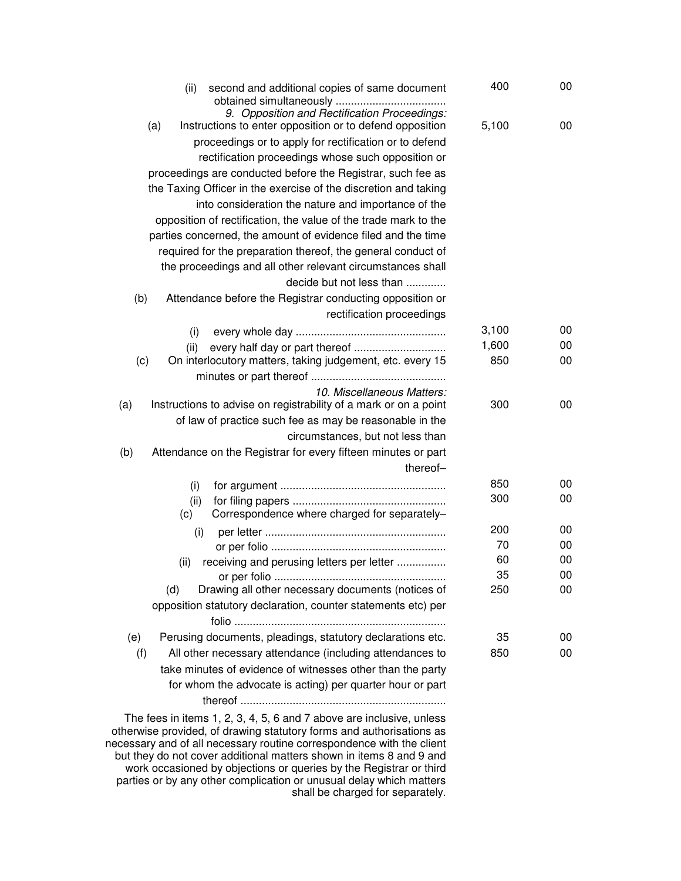| second and additional copies of same document<br>(ii)<br>obtained simultaneously                                | 400   | 00 |
|-----------------------------------------------------------------------------------------------------------------|-------|----|
| 9. Opposition and Rectification Proceedings:<br>Instructions to enter opposition or to defend opposition<br>(a) | 5,100 | 00 |
| proceedings or to apply for rectification or to defend                                                          |       |    |
| rectification proceedings whose such opposition or                                                              |       |    |
| proceedings are conducted before the Registrar, such fee as                                                     |       |    |
| the Taxing Officer in the exercise of the discretion and taking                                                 |       |    |
| into consideration the nature and importance of the                                                             |       |    |
| opposition of rectification, the value of the trade mark to the                                                 |       |    |
| parties concerned, the amount of evidence filed and the time                                                    |       |    |
| required for the preparation thereof, the general conduct of                                                    |       |    |
| the proceedings and all other relevant circumstances shall                                                      |       |    |
| decide but not less than                                                                                        |       |    |
| Attendance before the Registrar conducting opposition or<br>(b)                                                 |       |    |
| rectification proceedings                                                                                       |       |    |
|                                                                                                                 | 3,100 | 00 |
| (i)                                                                                                             | 1,600 | 00 |
| every half day or part thereof<br>(ii)<br>(c)<br>On interlocutory matters, taking judgement, etc. every 15      | 850   | 00 |
|                                                                                                                 |       |    |
| 10. Miscellaneous Matters:<br>Instructions to advise on registrability of a mark or on a point<br>(a)           | 300   | 00 |
| of law of practice such fee as may be reasonable in the                                                         |       |    |
| circumstances, but not less than                                                                                |       |    |
| Attendance on the Registrar for every fifteen minutes or part<br>(b)                                            |       |    |
| thereof-                                                                                                        |       |    |
| (i)                                                                                                             | 850   | 00 |
| (ii)                                                                                                            | 300   | 00 |
| Correspondence where charged for separately-<br>(c)                                                             |       |    |
| (i)                                                                                                             | 200   | 00 |
|                                                                                                                 | 70    | 00 |
| receiving and perusing letters per letter<br>(ii)                                                               | 60    | 00 |
|                                                                                                                 | 35    | 00 |
| Drawing all other necessary documents (notices of<br>(d)                                                        | 250   | 00 |
| opposition statutory declaration, counter statements etc) per                                                   |       |    |
|                                                                                                                 |       |    |
| Perusing documents, pleadings, statutory declarations etc.<br>(e)                                               | 35    | 00 |
| All other necessary attendance (including attendances to<br>(f)                                                 | 850   | 00 |
| take minutes of evidence of witnesses other than the party                                                      |       |    |
| for whom the advocate is acting) per quarter hour or part                                                       |       |    |
|                                                                                                                 |       |    |

The fees in items 1, 2, 3, 4, 5, 6 and 7 above are inclusive, unless otherwise provided, of drawing statutory forms and authorisations as necessary and of all necessary routine correspondence with the client but they do not cover additional matters shown in items 8 and 9 and work occasioned by objections or queries by the Registrar or third parties or by any other complication or unusual delay which matters shall be charged for separately.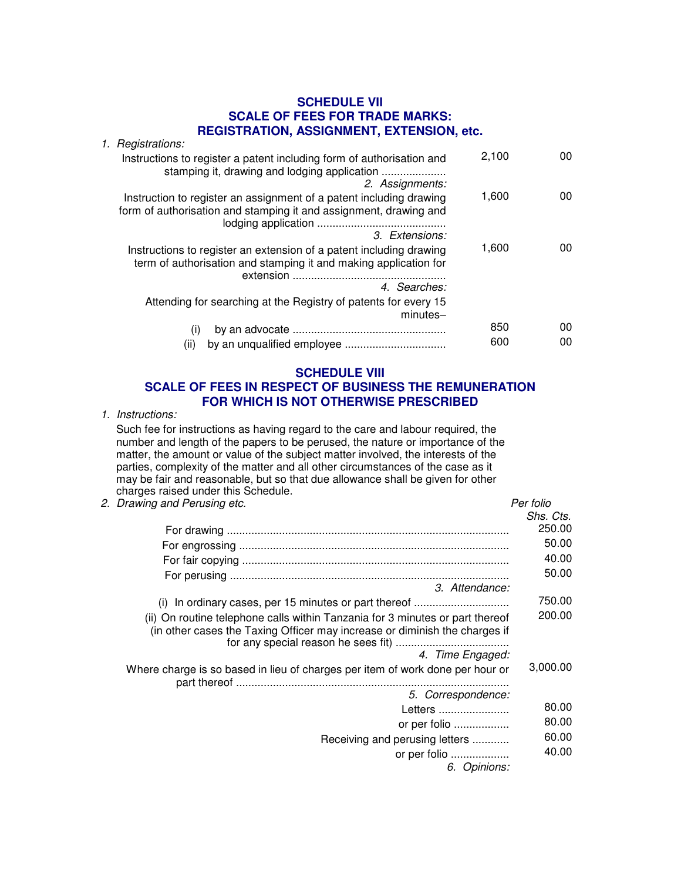#### **SCHEDULE VII SCALE OF FEES FOR TRADE MARKS: REGISTRATION, ASSIGNMENT, EXTENSION, etc.**

| 1. Registrations:                                                                                                                                                    |       |                 |
|----------------------------------------------------------------------------------------------------------------------------------------------------------------------|-------|-----------------|
| Instructions to register a patent including form of authorisation and<br>stamping it, drawing and lodging application<br>2. Assignments:                             | 2,100 | 00 <sup>°</sup> |
| Instruction to register an assignment of a patent including drawing<br>form of authorisation and stamping it and assignment, drawing and                             | 1,600 | 00 <sup>°</sup> |
| 3. Extensions:                                                                                                                                                       |       |                 |
| Instructions to register an extension of a patent including drawing<br>term of authorisation and stamping it and making application for<br>extension<br>4. Searches: | 1,600 | 00 <sup>°</sup> |
| Attending for searching at the Registry of patents for every 15<br>$minutes-$                                                                                        |       |                 |
| (i)                                                                                                                                                                  | 850   | 00              |
| (i)                                                                                                                                                                  | 600   | 00              |

#### **SCHEDULE VIII**

## **SCALE OF FEES IN RESPECT OF BUSINESS THE REMUNERATION FOR WHICH IS NOT OTHERWISE PRESCRIBED**

1. Instructions:

Such fee for instructions as having regard to the care and labour required, the number and length of the papers to be perused, the nature or importance of the matter, the amount or value of the subject matter involved, the interests of the parties, complexity of the matter and all other circumstances of the case as it may be fair and reasonable, but so that due allowance shall be given for other charges raised under this Schedule.

2. Drawing and Perusing etc. Per folio and the state of the periodic state of the periodic state of the periodic state of the periodic state of the periodic state of the periodic state of the periodic state of the periodic

| Shs. Cts. |
|-----------|
| 250.00    |
| 50.00     |
| 40.00     |
| 50.00     |
|           |
| 750.00    |
| 200.00    |
|           |
| 3,000.00  |
|           |
| 80.00     |
| 80.00     |
| 60.00     |
| 40.00     |
|           |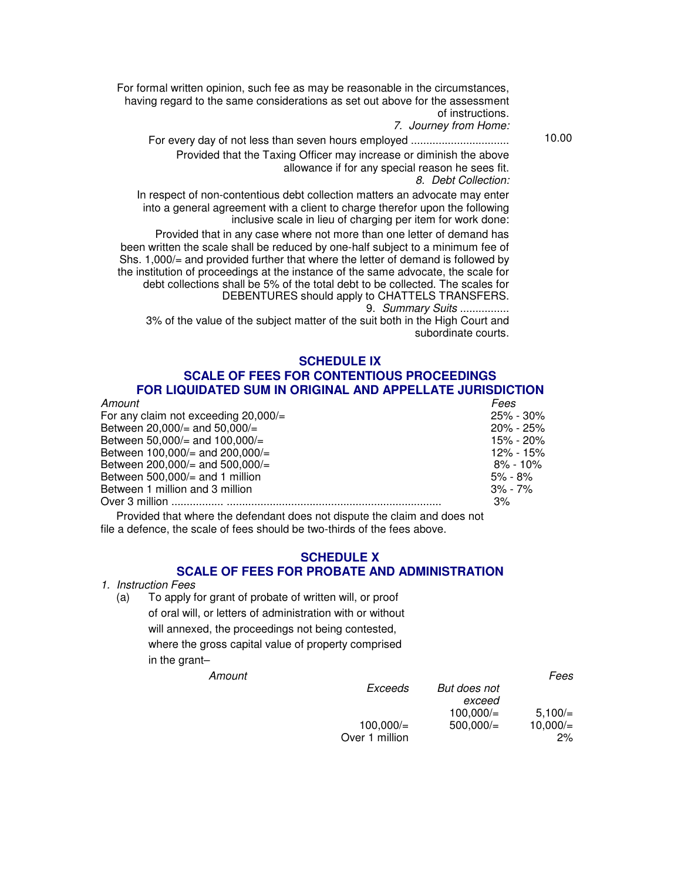For formal written opinion, such fee as may be reasonable in the circumstances, having regard to the same considerations as set out above for the assessment of instructions.

7. Journey from Home:

For every day of not less than seven hours employed ................................ 10.00 Provided that the Taxing Officer may increase or diminish the above allowance if for any special reason he sees fit. 8. Debt Collection:

In respect of non-contentious debt collection matters an advocate may enter into a general agreement with a client to charge therefor upon the following inclusive scale in lieu of charging per item for work done:

Provided that in any case where not more than one letter of demand has been written the scale shall be reduced by one-half subject to a minimum fee of Shs. 1,000/= and provided further that where the letter of demand is followed by the institution of proceedings at the instance of the same advocate, the scale for debt collections shall be 5% of the total debt to be collected. The scales for DEBENTURES should apply to CHATTELS TRANSFERS.

9. Summary Suits ................

3% of the value of the subject matter of the suit both in the High Court and subordinate courts.

#### **SCHEDULE IX**

#### **SCALE OF FEES FOR CONTENTIOUS PROCEEDINGS FOR LIQUIDATED SUM IN ORIGINAL AND APPELLATE JURISDICTION**

| Amount                                          | Fees          |
|-------------------------------------------------|---------------|
| For any claim not exceeding $20,000/=\pi$       | $25\% - 30\%$ |
| Between $20,000/=\text{and }50,000/=\text{.}$   | $20\%$ - 25%  |
| Between 50,000/= and 100,000/=                  | 15% - 20%     |
| Between $100,000/4$ and $200,000/4$             | 12% - 15%     |
| Between $200,000/=\text{and }500,000/=\text{.}$ | $8\% - 10\%$  |
| Between $500,000/=\text{and }1$ million         | 5% - 8%       |
| Between 1 million and 3 million                 | $3\%$ - 7%    |
|                                                 | 3%            |
|                                                 |               |

Provided that where the defendant does not dispute the claim and does not file a defence, the scale of fees should be two-thirds of the fees above.

#### **SCHEDULE X SCALE OF FEES FOR PROBATE AND ADMINISTRATION**

- 1. Instruction Fees
	- (a) To apply for grant of probate of written will, or proof of oral will, or letters of administration with or without will annexed, the proceedings not being contested, where the gross capital value of property comprised in the grant–

|                |              | Fees    |
|----------------|--------------|---------|
| Exceeds        | But does not |         |
|                | exceed       |         |
|                | 100.000/     | 5.100/  |
| 100,000/       | 500.000/     | 10,000/ |
| Over 1 million |              | 2%      |
|                |              |         |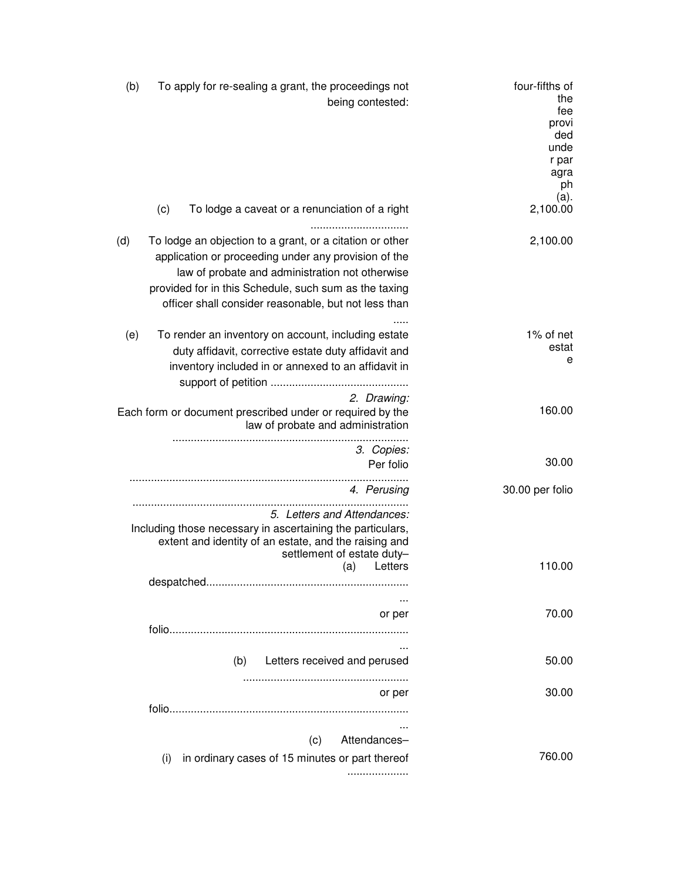| (b) | To apply for re-sealing a grant, the proceedings not<br>being contested:                                                                                                                                                                                                             | four-fifths of<br>the<br>fee<br>provi<br>ded<br>unde<br>r par<br>agra<br>ph |
|-----|--------------------------------------------------------------------------------------------------------------------------------------------------------------------------------------------------------------------------------------------------------------------------------------|-----------------------------------------------------------------------------|
|     | (c)<br>To lodge a caveat or a renunciation of a right<br>                                                                                                                                                                                                                            | (a).<br>2,100.00                                                            |
| (d) | To lodge an objection to a grant, or a citation or other<br>application or proceeding under any provision of the<br>law of probate and administration not otherwise<br>provided for in this Schedule, such sum as the taxing<br>officer shall consider reasonable, but not less than | 2,100.00                                                                    |
| (e) | To render an inventory on account, including estate<br>duty affidavit, corrective estate duty affidavit and<br>inventory included in or annexed to an affidavit in                                                                                                                   | 1% of net<br>estat<br>e                                                     |
|     | 2. Drawing:<br>Each form or document prescribed under or required by the<br>law of probate and administration                                                                                                                                                                        | 160.00                                                                      |
|     | 3. Copies:<br>Per folio                                                                                                                                                                                                                                                              | 30.00                                                                       |
|     | 4. Perusing                                                                                                                                                                                                                                                                          | 30.00 per folio                                                             |
|     | 5. Letters and Attendances:<br>Including those necessary in ascertaining the particulars,<br>extent and identity of an estate, and the raising and<br>settlement of estate duty-<br>Letters                                                                                          | 110.00                                                                      |
|     | (a)                                                                                                                                                                                                                                                                                  |                                                                             |
|     | or per                                                                                                                                                                                                                                                                               | 70.00                                                                       |
|     | (b)<br>Letters received and perused                                                                                                                                                                                                                                                  | 50.00                                                                       |
|     | or per                                                                                                                                                                                                                                                                               | 30.00                                                                       |
|     | (c)<br>Attendances-<br>in ordinary cases of 15 minutes or part thereof<br>(i)                                                                                                                                                                                                        | 760.00                                                                      |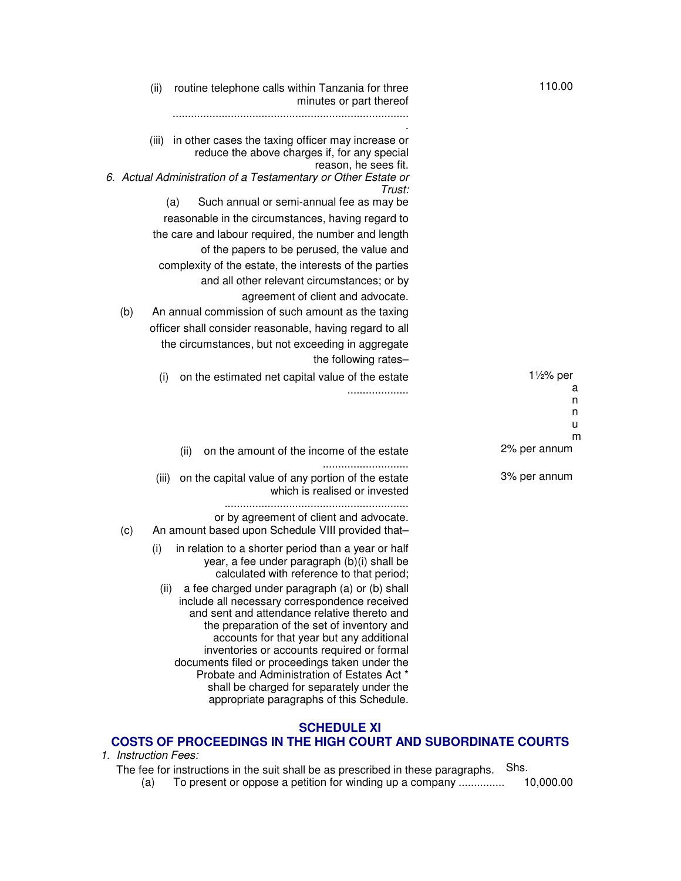|     | (ii)  | routine telephone calls within Tanzania for three<br>minutes or part thereof                                                                                                                                                                | 110.00                    |
|-----|-------|---------------------------------------------------------------------------------------------------------------------------------------------------------------------------------------------------------------------------------------------|---------------------------|
|     | (iii) | in other cases the taxing officer may increase or<br>reduce the above charges if, for any special<br>reason, he sees fit.                                                                                                                   |                           |
|     |       | 6. Actual Administration of a Testamentary or Other Estate or<br>Trust:                                                                                                                                                                     |                           |
|     |       | Such annual or semi-annual fee as may be<br>(a)<br>reasonable in the circumstances, having regard to                                                                                                                                        |                           |
|     |       | the care and labour required, the number and length                                                                                                                                                                                         |                           |
|     |       | of the papers to be perused, the value and                                                                                                                                                                                                  |                           |
|     |       | complexity of the estate, the interests of the parties                                                                                                                                                                                      |                           |
|     |       | and all other relevant circumstances; or by                                                                                                                                                                                                 |                           |
|     |       | agreement of client and advocate.                                                                                                                                                                                                           |                           |
| (b) |       | An annual commission of such amount as the taxing                                                                                                                                                                                           |                           |
|     |       | officer shall consider reasonable, having regard to all                                                                                                                                                                                     |                           |
|     |       | the circumstances, but not exceeding in aggregate                                                                                                                                                                                           |                           |
|     |       | the following rates-                                                                                                                                                                                                                        |                           |
|     | (i)   | on the estimated net capital value of the estate                                                                                                                                                                                            | $1\frac{1}{2}\%$ per<br>а |
|     |       |                                                                                                                                                                                                                                             | n                         |
|     |       |                                                                                                                                                                                                                                             | n<br>u                    |
|     |       |                                                                                                                                                                                                                                             | m                         |
|     |       | on the amount of the income of the estate<br>(ii)                                                                                                                                                                                           | 2% per annum              |
|     | (iii) | on the capital value of any portion of the estate<br>which is realised or invested                                                                                                                                                          | 3% per annum              |
|     |       | or by agreement of client and advocate.                                                                                                                                                                                                     |                           |
| (c) |       | An amount based upon Schedule VIII provided that-                                                                                                                                                                                           |                           |
|     | (i)   | in relation to a shorter period than a year or half<br>year, a fee under paragraph (b)(i) shall be<br>calculated with reference to that period;                                                                                             |                           |
|     | (ii)  | a fee charged under paragraph (a) or (b) shall<br>include all necessary correspondence received<br>and sent and attendance relative thereto and<br>the preparation of the set of inventory and<br>accounts for that year but any additional |                           |
|     |       | inventories or accounts required or formal<br>documents filed or proceedings taken under the<br>Probate and Administration of Estates Act *                                                                                                 |                           |
|     |       | shall be charged for separately under the<br>appropriate paragraphs of this Schedule.                                                                                                                                                       |                           |

## **SCHEDULE XI**

# **COSTS OF PROCEEDINGS IN THE HIGH COURT AND SUBORDINATE COURTS**

1. Instruction Fees:

The fee for instructions in the suit shall be as prescribed in these paragraphs. Shs.

(a) To present or oppose a petition for winding up a company ............... 10,000.00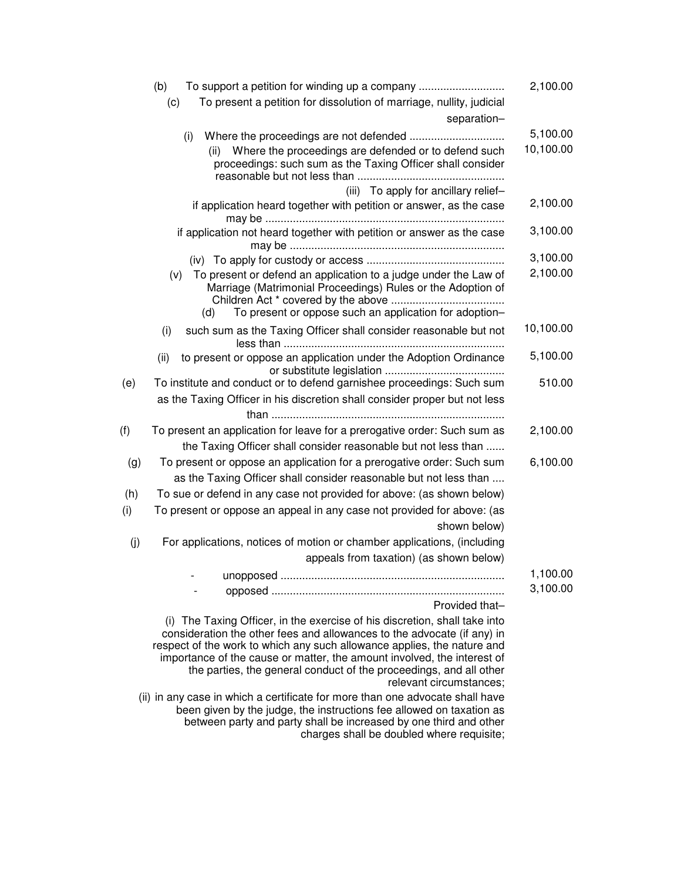| (b)<br>To support a petition for winding up a company                                                                                                                                                                                                                                                                                                                                                        | 2,100.00             |
|--------------------------------------------------------------------------------------------------------------------------------------------------------------------------------------------------------------------------------------------------------------------------------------------------------------------------------------------------------------------------------------------------------------|----------------------|
| To present a petition for dissolution of marriage, nullity, judicial<br>(c)                                                                                                                                                                                                                                                                                                                                  |                      |
| separation-                                                                                                                                                                                                                                                                                                                                                                                                  |                      |
| (i)                                                                                                                                                                                                                                                                                                                                                                                                          | 5,100.00             |
| Where the proceedings are defended or to defend such<br>(ii)<br>proceedings: such sum as the Taxing Officer shall consider                                                                                                                                                                                                                                                                                   | 10,100.00            |
| (iii) To apply for ancillary relief-                                                                                                                                                                                                                                                                                                                                                                         |                      |
| if application heard together with petition or answer, as the case                                                                                                                                                                                                                                                                                                                                           | 2,100.00             |
| if application not heard together with petition or answer as the case                                                                                                                                                                                                                                                                                                                                        | 3,100.00             |
|                                                                                                                                                                                                                                                                                                                                                                                                              | 3,100.00             |
| To present or defend an application to a judge under the Law of<br>(v)<br>Marriage (Matrimonial Proceedings) Rules or the Adoption of<br>To present or oppose such an application for adoption-<br>(d)                                                                                                                                                                                                       | 2,100.00             |
| such sum as the Taxing Officer shall consider reasonable but not<br>(i)                                                                                                                                                                                                                                                                                                                                      | 10,100.00            |
| to present or oppose an application under the Adoption Ordinance<br>(ii)                                                                                                                                                                                                                                                                                                                                     | 5,100.00             |
| To institute and conduct or to defend garnishee proceedings: Such sum<br>(e)                                                                                                                                                                                                                                                                                                                                 | 510.00               |
| as the Taxing Officer in his discretion shall consider proper but not less                                                                                                                                                                                                                                                                                                                                   |                      |
|                                                                                                                                                                                                                                                                                                                                                                                                              |                      |
| (f)<br>To present an application for leave for a prerogative order: Such sum as                                                                                                                                                                                                                                                                                                                              | 2,100.00             |
| the Taxing Officer shall consider reasonable but not less than                                                                                                                                                                                                                                                                                                                                               |                      |
| To present or oppose an application for a prerogative order: Such sum<br>(g)                                                                                                                                                                                                                                                                                                                                 | 6,100.00             |
| as the Taxing Officer shall consider reasonable but not less than                                                                                                                                                                                                                                                                                                                                            |                      |
| To sue or defend in any case not provided for above: (as shown below)<br>(h)                                                                                                                                                                                                                                                                                                                                 |                      |
| (i)<br>To present or oppose an appeal in any case not provided for above: (as<br>shown below)                                                                                                                                                                                                                                                                                                                |                      |
| (j)<br>For applications, notices of motion or chamber applications, (including                                                                                                                                                                                                                                                                                                                               |                      |
| appeals from taxation) (as shown below)                                                                                                                                                                                                                                                                                                                                                                      |                      |
| Provided that-                                                                                                                                                                                                                                                                                                                                                                                               | 1,100.00<br>3,100.00 |
| (i) The Taxing Officer, in the exercise of his discretion, shall take into<br>consideration the other fees and allowances to the advocate (if any) in<br>respect of the work to which any such allowance applies, the nature and<br>importance of the cause or matter, the amount involved, the interest of<br>the parties, the general conduct of the proceedings, and all other<br>relevant circumstances; |                      |
| (ii) in any case in which a certificate for more than one advocate shall have<br>been given by the judge, the instructions fee allowed on taxation as<br>between party and party shall be increased by one third and other<br>charges shall be doubled where requisite;                                                                                                                                      |                      |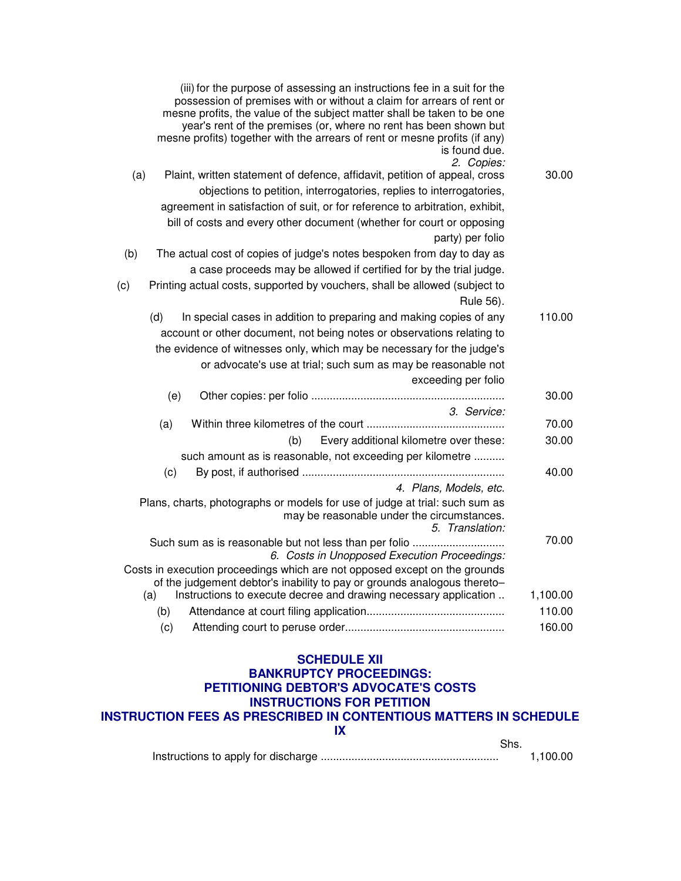| (iii) for the purpose of assessing an instructions fee in a suit for the<br>possession of premises with or without a claim for arrears of rent or<br>mesne profits, the value of the subject matter shall be taken to be one<br>year's rent of the premises (or, where no rent has been shown but<br>mesne profits) together with the arrears of rent or mesne profits (if any)<br>is found due.<br>2. Copies: |          |
|----------------------------------------------------------------------------------------------------------------------------------------------------------------------------------------------------------------------------------------------------------------------------------------------------------------------------------------------------------------------------------------------------------------|----------|
| Plaint, written statement of defence, affidavit, petition of appeal, cross<br>(a)                                                                                                                                                                                                                                                                                                                              | 30.00    |
| objections to petition, interrogatories, replies to interrogatories,                                                                                                                                                                                                                                                                                                                                           |          |
| agreement in satisfaction of suit, or for reference to arbitration, exhibit,                                                                                                                                                                                                                                                                                                                                   |          |
| bill of costs and every other document (whether for court or opposing                                                                                                                                                                                                                                                                                                                                          |          |
| party) per folio<br>The actual cost of copies of judge's notes bespoken from day to day as<br>(b)                                                                                                                                                                                                                                                                                                              |          |
| a case proceeds may be allowed if certified for by the trial judge.                                                                                                                                                                                                                                                                                                                                            |          |
| Printing actual costs, supported by vouchers, shall be allowed (subject to<br>(c)                                                                                                                                                                                                                                                                                                                              |          |
| Rule 56).                                                                                                                                                                                                                                                                                                                                                                                                      |          |
| (d)<br>In special cases in addition to preparing and making copies of any                                                                                                                                                                                                                                                                                                                                      | 110.00   |
| account or other document, not being notes or observations relating to                                                                                                                                                                                                                                                                                                                                         |          |
| the evidence of witnesses only, which may be necessary for the judge's                                                                                                                                                                                                                                                                                                                                         |          |
| or advocate's use at trial; such sum as may be reasonable not                                                                                                                                                                                                                                                                                                                                                  |          |
| exceeding per folio                                                                                                                                                                                                                                                                                                                                                                                            |          |
| (e)                                                                                                                                                                                                                                                                                                                                                                                                            | 30.00    |
| 3. Service:                                                                                                                                                                                                                                                                                                                                                                                                    |          |
| (a)                                                                                                                                                                                                                                                                                                                                                                                                            | 70.00    |
| Every additional kilometre over these:<br>(b)                                                                                                                                                                                                                                                                                                                                                                  | 30.00    |
| such amount as is reasonable, not exceeding per kilometre                                                                                                                                                                                                                                                                                                                                                      |          |
| (c)                                                                                                                                                                                                                                                                                                                                                                                                            | 40.00    |
| 4. Plans, Models, etc.                                                                                                                                                                                                                                                                                                                                                                                         |          |
| Plans, charts, photographs or models for use of judge at trial: such sum as<br>may be reasonable under the circumstances.<br>5. Translation:                                                                                                                                                                                                                                                                   |          |
| 6. Costs in Unopposed Execution Proceedings:                                                                                                                                                                                                                                                                                                                                                                   | 70.00    |
| Costs in execution proceedings which are not opposed except on the grounds<br>of the judgement debtor's inability to pay or grounds analogous thereto-                                                                                                                                                                                                                                                         |          |
| Instructions to execute decree and drawing necessary application<br>(a)                                                                                                                                                                                                                                                                                                                                        | 1,100.00 |
| (b)                                                                                                                                                                                                                                                                                                                                                                                                            | 110.00   |
| (c)                                                                                                                                                                                                                                                                                                                                                                                                            | 160.00   |
|                                                                                                                                                                                                                                                                                                                                                                                                                |          |

#### **SCHEDULE XII BANKRUPTCY PROCEEDINGS:**

# **PETITIONING DEBTOR'S ADVOCATE'S COSTS INSTRUCTIONS FOR PETITION**

# **INSTRUCTION FEES AS PRESCRIBED IN CONTENTIOUS MATTERS IN SCHEDULE**

**IX**

Shs.

Instructions to apply for discharge .......................................................... 1,100.00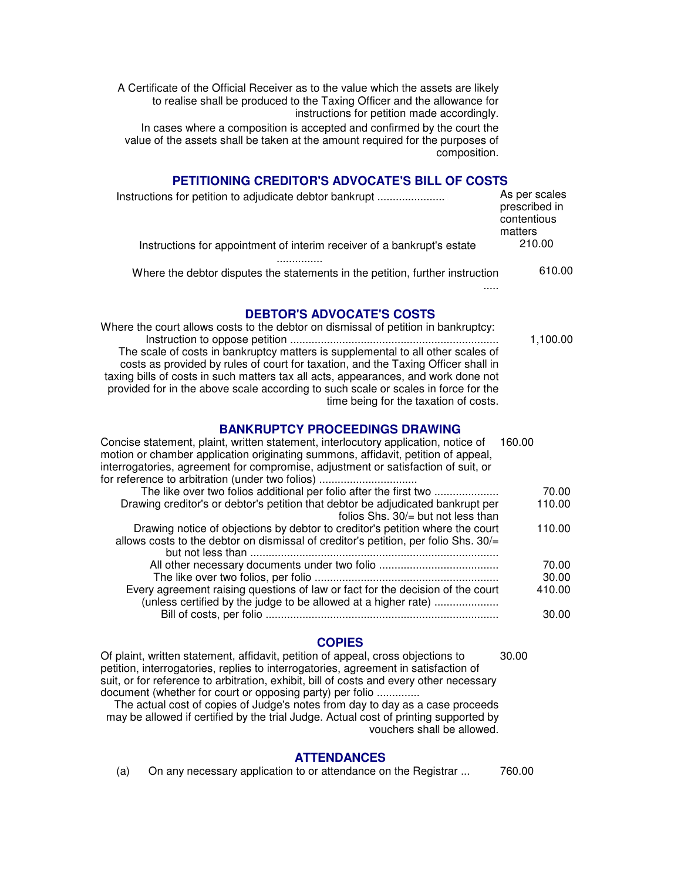A Certificate of the Official Receiver as to the value which the assets are likely to realise shall be produced to the Taxing Officer and the allowance for instructions for petition made accordingly.

In cases where a composition is accepted and confirmed by the court the value of the assets shall be taken at the amount required for the purposes of composition.

#### **PETITIONING CREDITOR'S ADVOCATE'S BILL OF COSTS**

| Instructions for petition to adjudicate debtor bankrupt                       | As per scales<br>prescribed in<br>contentious<br>matters |  |
|-------------------------------------------------------------------------------|----------------------------------------------------------|--|
| Instructions for appointment of interim receiver of a bankrupt's estate       | 210.00                                                   |  |
| Where the debtor disputes the statements in the petition, further instruction | 610.00                                                   |  |

**DEBTOR'S ADVOCATE'S COSTS**

Where the court allows costs to the debtor on dismissal of petition in bankruptcy: Instruction to oppose petition .................................................................... 1,100.00 The scale of costs in bankruptcy matters is supplemental to all other scales of costs as provided by rules of court for taxation, and the Taxing Officer shall in taxing bills of costs in such matters tax all acts, appearances, and work done not provided for in the above scale according to such scale or scales in force for the time being for the taxation of costs.

#### **BANKRUPTCY PROCEEDINGS DRAWING**

| Concise statement, plaint, written statement, interlocutory application, notice of<br>motion or chamber application originating summons, affidavit, petition of appeal, | 160.00 |
|-------------------------------------------------------------------------------------------------------------------------------------------------------------------------|--------|
| interrogatories, agreement for compromise, adjustment or satisfaction of suit, or                                                                                       |        |
| for reference to arbitration (under two folios)                                                                                                                         |        |
| The like over two folios additional per folio after the first two                                                                                                       | 70.00  |
| Drawing creditor's or debtor's petition that debtor be adjudicated bankrupt per<br>folios Shs. $30/1$ but not less than                                                 | 110.00 |
| Drawing notice of objections by debtor to creditor's petition where the court<br>allows costs to the debtor on dismissal of creditor's petition, per folio Shs. 30/=    | 110.00 |
|                                                                                                                                                                         | 70.00  |
|                                                                                                                                                                         | 30.00  |
| Every agreement raising questions of law or fact for the decision of the court<br>(unless certified by the judge to be allowed at a higher rate)                        | 410.00 |
|                                                                                                                                                                         | 30.00  |

## **COPIES**

30.00

.....

Of plaint, written statement, affidavit, petition of appeal, cross objections to petition, interrogatories, replies to interrogatories, agreement in satisfaction of suit, or for reference to arbitration, exhibit, bill of costs and every other necessary document (whether for court or opposing party) per folio ..............

The actual cost of copies of Judge's notes from day to day as a case proceeds may be allowed if certified by the trial Judge. Actual cost of printing supported by vouchers shall be allowed.

#### **ATTENDANCES**

(a) On any necessary application to or attendance on the Registrar ... 760.00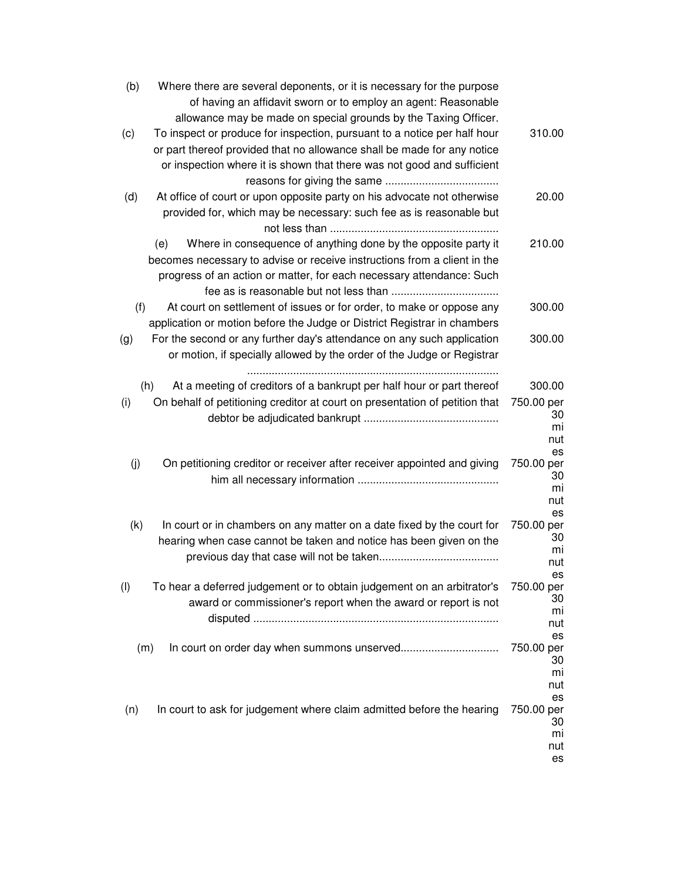| (b) | Where there are several deponents, or it is necessary for the purpose<br>of having an affidavit sworn or to employ an agent: Reasonable |                                     |
|-----|-----------------------------------------------------------------------------------------------------------------------------------------|-------------------------------------|
|     | allowance may be made on special grounds by the Taxing Officer.                                                                         |                                     |
| (c) | To inspect or produce for inspection, pursuant to a notice per half hour                                                                | 310.00                              |
|     | or part thereof provided that no allowance shall be made for any notice                                                                 |                                     |
|     | or inspection where it is shown that there was not good and sufficient                                                                  |                                     |
|     |                                                                                                                                         |                                     |
| (d) | At office of court or upon opposite party on his advocate not otherwise                                                                 | 20.00                               |
|     | provided for, which may be necessary: such fee as is reasonable but                                                                     |                                     |
|     | Where in consequence of anything done by the opposite party it<br>(e)                                                                   | 210.00                              |
|     | becomes necessary to advise or receive instructions from a client in the                                                                |                                     |
|     | progress of an action or matter, for each necessary attendance: Such                                                                    |                                     |
| (f) | At court on settlement of issues or for order, to make or oppose any                                                                    | 300.00                              |
|     | application or motion before the Judge or District Registrar in chambers                                                                |                                     |
| (g) | For the second or any further day's attendance on any such application                                                                  | 300.00                              |
|     | or motion, if specially allowed by the order of the Judge or Registrar                                                                  |                                     |
|     | (h)<br>At a meeting of creditors of a bankrupt per half hour or part thereof                                                            | 300.00                              |
| (i) | On behalf of petitioning creditor at court on presentation of petition that                                                             | 750.00 per                          |
|     |                                                                                                                                         | 30<br>mi<br>nut                     |
| (j) | On petitioning creditor or receiver after receiver appointed and giving                                                                 | es<br>750.00 per                    |
|     |                                                                                                                                         | 30<br>mi<br>nut                     |
| (k) | In court or in chambers on any matter on a date fixed by the court for                                                                  | es<br>750.00 per                    |
|     | hearing when case cannot be taken and notice has been given on the                                                                      | 30                                  |
|     |                                                                                                                                         | mi                                  |
|     |                                                                                                                                         | nut                                 |
| (1) | To hear a deferred judgement or to obtain judgement on an arbitrator's                                                                  | es<br>750.00 per                    |
|     | award or commissioner's report when the award or report is not                                                                          | 30                                  |
|     |                                                                                                                                         | mi                                  |
|     |                                                                                                                                         | nut                                 |
|     | (m)                                                                                                                                     | es<br>750.00 per                    |
|     |                                                                                                                                         | 30<br>mi                            |
|     |                                                                                                                                         | nut<br>es                           |
| (n) | In court to ask for judgement where claim admitted before the hearing                                                                   | 750.00 per<br>30<br>mi<br>nut<br>es |
|     |                                                                                                                                         |                                     |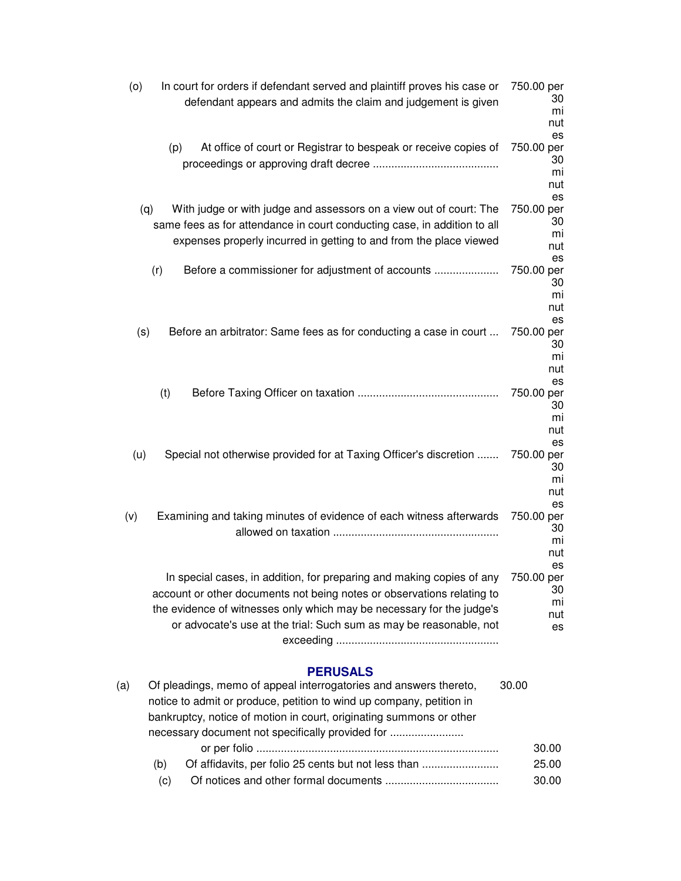| In court for orders if defendant served and plaintiff proves his case or<br>(0)<br>defendant appears and admits the claim and judgement is given                                                                                                                                               | 750.00 per<br>30<br>mi<br>nut<br>es       |
|------------------------------------------------------------------------------------------------------------------------------------------------------------------------------------------------------------------------------------------------------------------------------------------------|-------------------------------------------|
| (p)<br>At office of court or Registrar to bespeak or receive copies of                                                                                                                                                                                                                         | 750.00 per<br>30<br>mi<br>nut<br>es       |
| (q)<br>With judge or with judge and assessors on a view out of court: The<br>same fees as for attendance in court conducting case, in addition to all<br>expenses properly incurred in getting to and from the place viewed                                                                    | 750.00 per<br>30<br>mi<br>nut<br>es       |
| (r)<br>Before a commissioner for adjustment of accounts                                                                                                                                                                                                                                        | 750.00 per<br>30<br>mi<br>nut<br>es       |
| (s)<br>Before an arbitrator: Same fees as for conducting a case in court                                                                                                                                                                                                                       | 750.00 per<br>30<br>mi<br>nut<br>es       |
| (t)                                                                                                                                                                                                                                                                                            | 750.00 per<br>30<br>mi<br>nut<br>es       |
| Special not otherwise provided for at Taxing Officer's discretion<br>(u)                                                                                                                                                                                                                       | 750.00 per<br>30<br>mi<br>nut             |
| Examining and taking minutes of evidence of each witness afterwards<br>(v)                                                                                                                                                                                                                     | es<br>750.00 per<br>30<br>mi<br>nut       |
| In special cases, in addition, for preparing and making copies of any<br>account or other documents not being notes or observations relating to<br>the evidence of witnesses only which may be necessary for the judge's<br>or advocate's use at the trial: Such sum as may be reasonable, not | es<br>750.00 per<br>30<br>mi<br>nut<br>es |

# **PERUSALS**

| (a) |                                                  | Of pleadings, memo of appeal interrogatories and answers thereto,    | 30.00 |       |
|-----|--------------------------------------------------|----------------------------------------------------------------------|-------|-------|
|     |                                                  | notice to admit or produce, petition to wind up company, petition in |       |       |
|     |                                                  | bankruptcy, notice of motion in court, originating summons or other  |       |       |
|     | necessary document not specifically provided for |                                                                      |       |       |
|     |                                                  |                                                                      |       | 30.00 |
|     | (b)                                              | Of affidavits, per folio 25 cents but not less than                  |       | 25.00 |
|     | (C)                                              |                                                                      |       | 30.00 |
|     |                                                  |                                                                      |       |       |